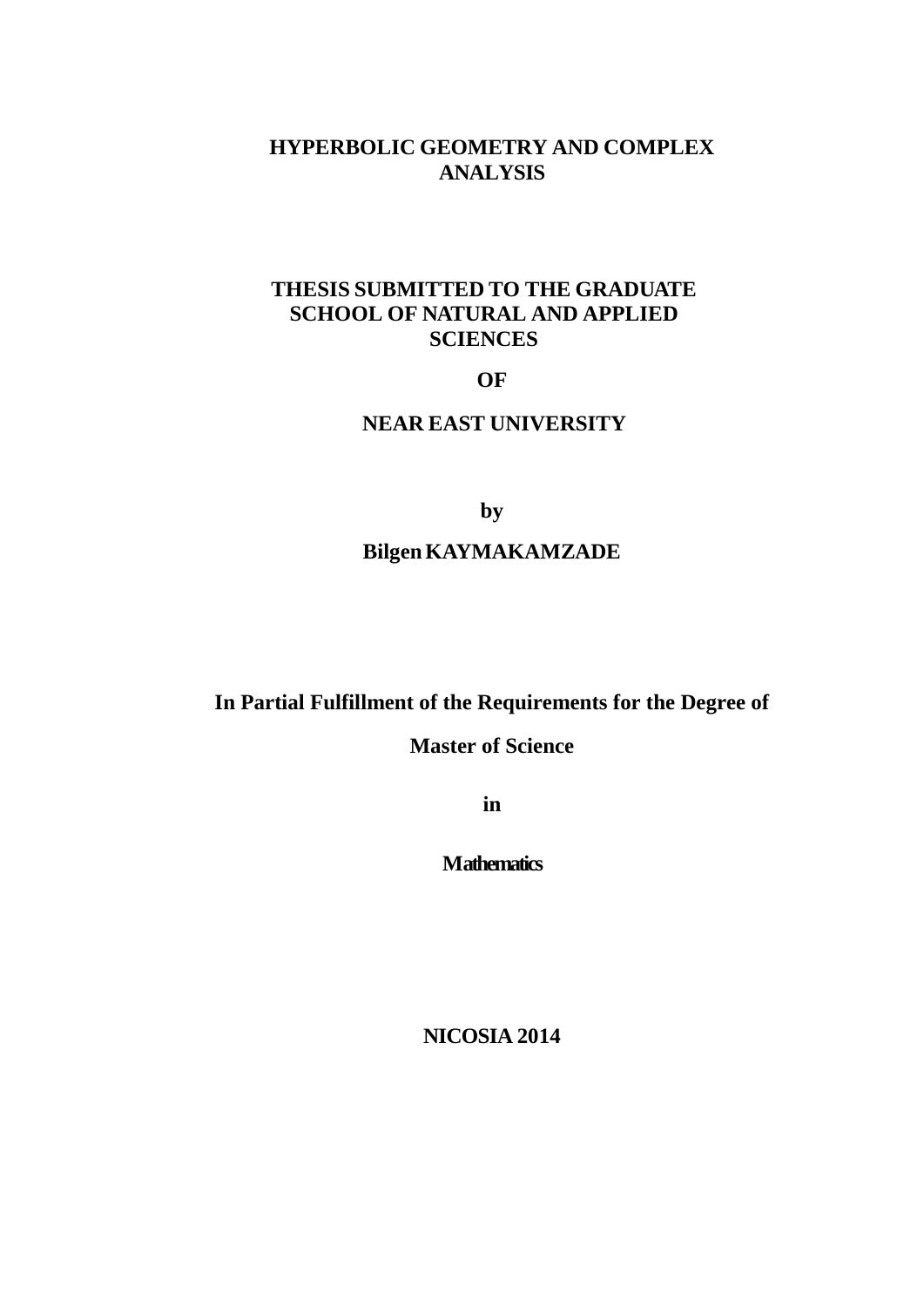## **HYPERBOLIC GEOMETRY AND COMPLEX ANALYSIS**

## **THESIS SUBMITTED TO THE GRADUATE SCHOOL OF NATURAL AND APPLIED SCIENCES**

**OF**

## **NEAR EAST UNIVERSITY**

**by**

## **BilgenKAYMAKAMZADE**

**In Partial Fulfillment of the Requirements for the Degree of** 

**Master of Science**

**in**

**Mathematics**

**NICOSIA 2014**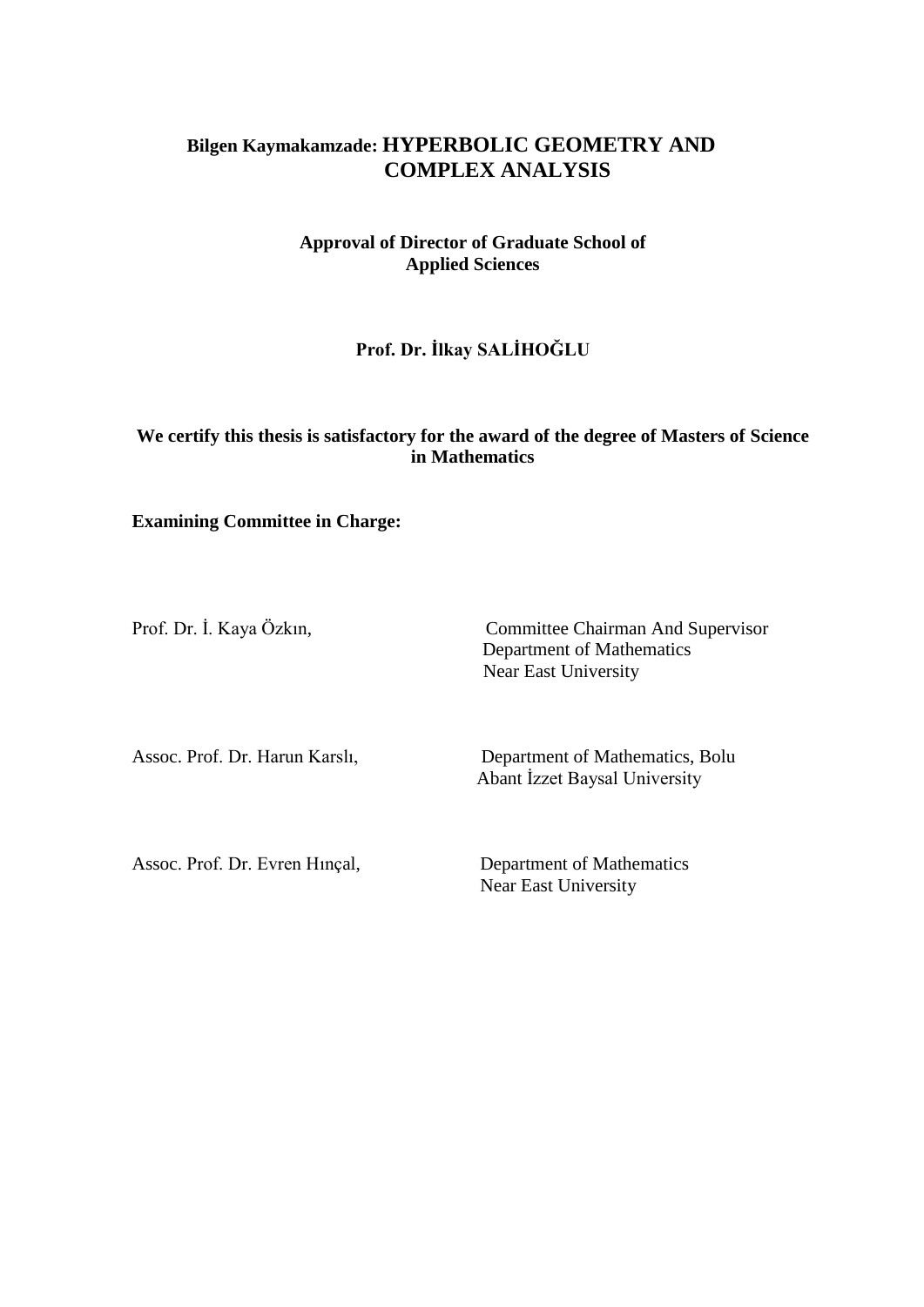## **Bilgen Kaymakamzade: HYPERBOLIC GEOMETRY AND COMPLEX ANALYSIS**

**Approval of Director of Graduate School of Applied Sciences**

**Prof. Dr. İlkay SALİHOĞLU**

### **We certify this thesis is satisfactory for the award of the degree of Masters of Science in Mathematics**

### **Examining Committee in Charge:**

Prof. Dr. İ. Kaya Özkın, Committee Chairman And Supervisor Department of Mathematics Near East University

Assoc. Prof. Dr. Harun Karslı, Department of Mathematics, Bolu Abant İzzet Baysal University

Assoc. Prof. Dr. Evren Hinçal, Department of Mathematics

Near East University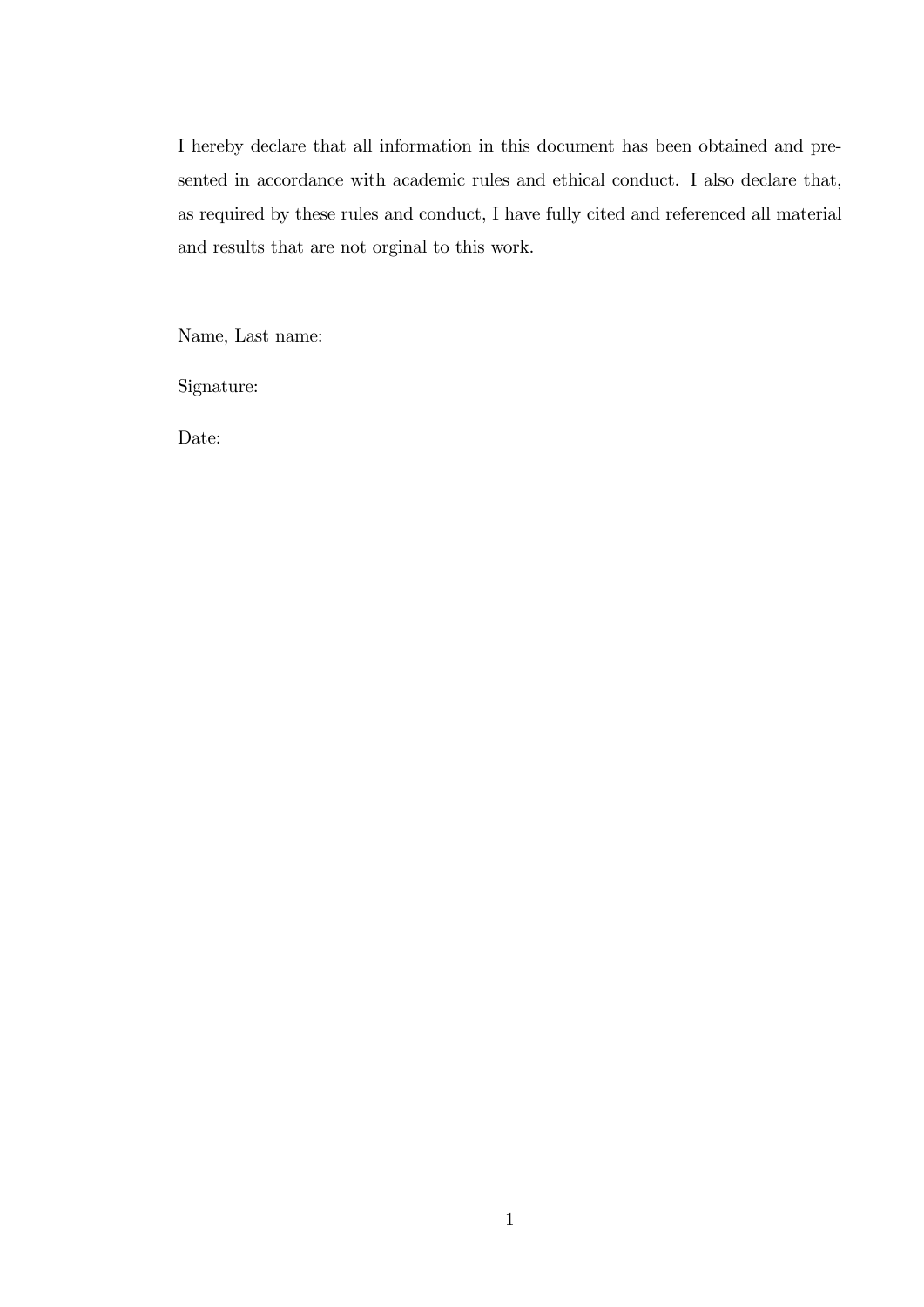I hereby declare that all information in this document has been obtained and presented in accordance with academic rules and ethical conduct. I also declare that, as required by these rules and conduct, I have fully cited and referenced all material and results that are not orginal to this work.

Name, Last name:

Signature:

Date: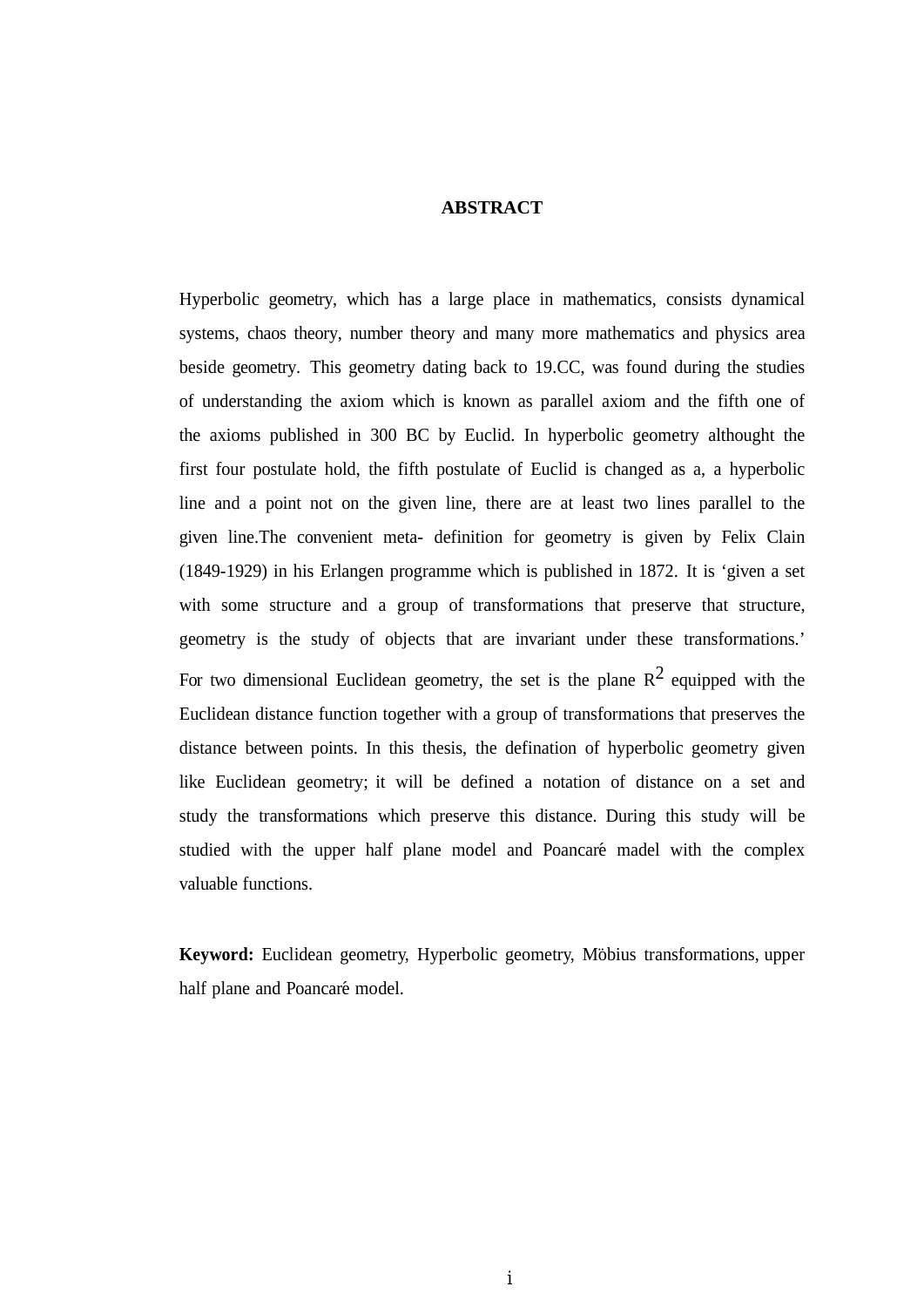#### **ABSTRACT**

Hyperbolic geometry, which has a large place in mathematics, consists dynamical systems, chaos theory, number theory and many more mathematics and physics area beside geometry. This geometry dating back to 19.CC, was found during the studies of understanding the axiom which is known as parallel axiom and the fifth one of the axioms published in 300 BC by Euclid. In hyperbolic geometry althought the first four postulate hold, the fifth postulate of Euclid is changed as a, a hyperbolic line and a point not on the given line, there are at least two lines parallel to the given line.The convenient meta- definition for geometry is given by Felix Clain (1849-1929) in his Erlangen programme which is published in 1872. It is 'given a set with some structure and a group of transformations that preserve that structure, geometry is the study of objects that are invariant under these transformations.' For two dimensional Euclidean geometry, the set is the plane  $\mathbb{R}^2$  equipped with the Euclidean distance function together with a group of transformations that preserves the distance between points. In this thesis, the defination of hyperbolic geometry given like Euclidean geometry; it will be defined a notation of distance on a set and study the transformations which preserve this distance. During this study will be studied with the upper half plane model and Poancaré madel with the complex valuable functions.

**Keyword:** Euclidean geometry, Hyperbolic geometry, Möbius transformations, upper half plane and Poancaré model.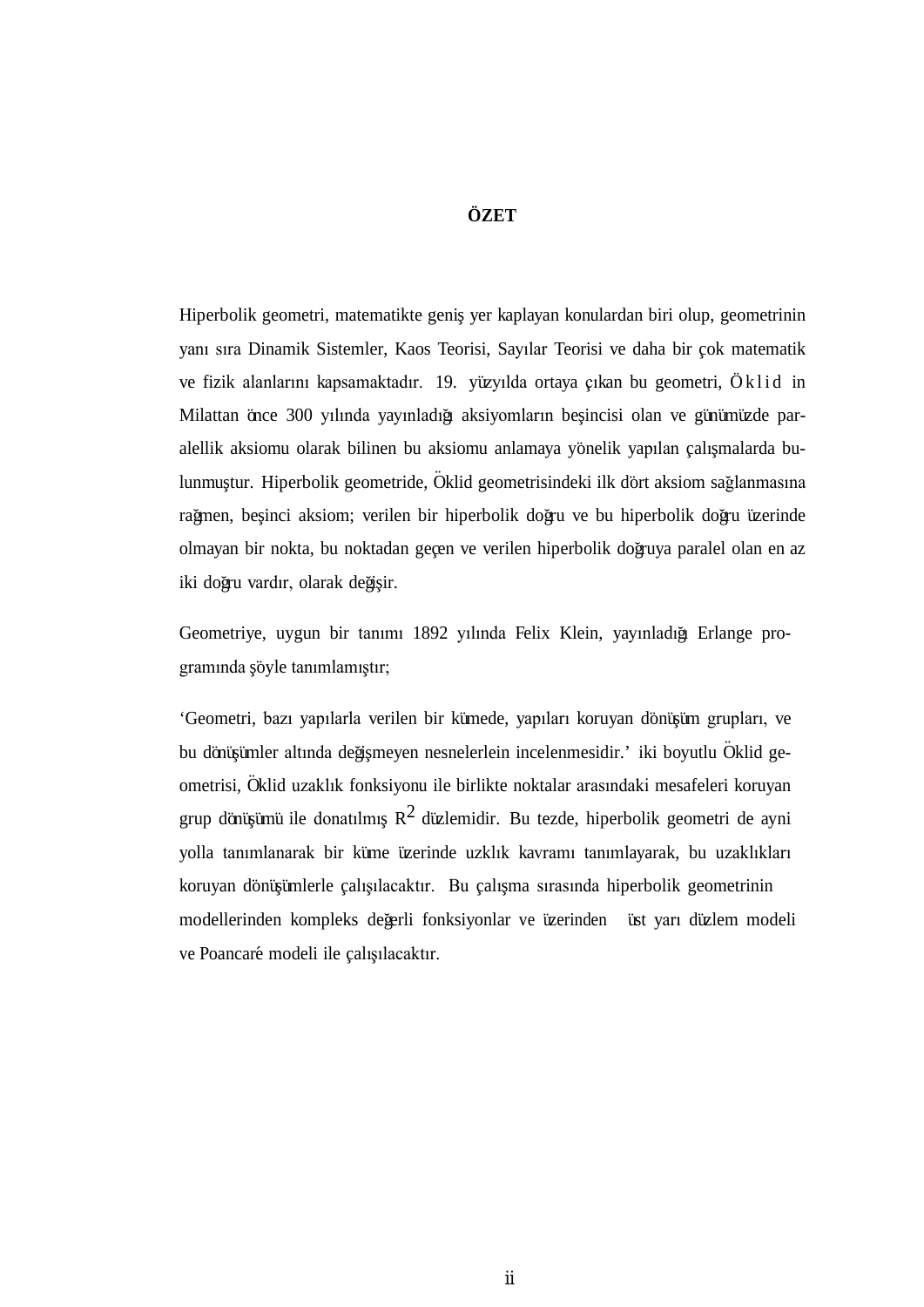## **ÖZET**

Hiperbolik geometri, matematikte geniş yer kaplayan konulardan biri olup, geometrinin yanı sıra Dinamik Sistemler, Kaos Teorisi, Sayılar Teorisi ve daha bir çok matematik ve fizik alanlarını kapsamaktadır. 19. yüzyılda ortaya çıkan bu geometri, Öklid in Milattan önce 300 yılında yayınladığı aksiyomların beşincisi olan ve günümüzde paralellik aksiomu olarak bilinen bu aksiomu anlamaya yönelik yapılan çalışmalarda bulunmuştur. Hiperbolik geometride, Öklid geometrisindeki ilk dört aksiom sağlanmasına rağmen, beşinci aksiom; verilen bir hiperbolik doğru ve bu hiperbolik doğru üzerinde olmayan bir nokta, bu noktadan geçen ve verilen hiperbolik doğruya paralel olan en az iki doğru vardır, olarak değişir.

Geometriye, uygun bir tanımı 1892 yılında Felix Klein, yayınladığı Erlange programında şöyle tanımlamıştır;

'Geometri, bazı yapılarla verilen bir kümede, yapıları koruyan dönüşüm grupları, ve bu dönüşümler altında değişmeyen nesnelerlein incelenmesidir.' iki boyutlu Oklid geometrisi, Öklid uzaklık fonksiyonu ile birlikte noktalar arasındaki mesafeleri koruyan grup dönüşümü ile donatılmış  $R^2$  düzlemidir. Bu tezde, hiperbolik geometri de ayni yolla tanımlanarak bir küme üzerinde uzklık kavramı tanımlayarak, bu uzaklıkları koruyan dönüşümlerle çalışılacaktır. Bu çalışma sırasında hiperbolik geometrinin modellerinden kompleks değerli fonksiyonlar ve üzerinden iüst yarı düzlem modeli ve Poancaré modeli ile çalışılacaktır.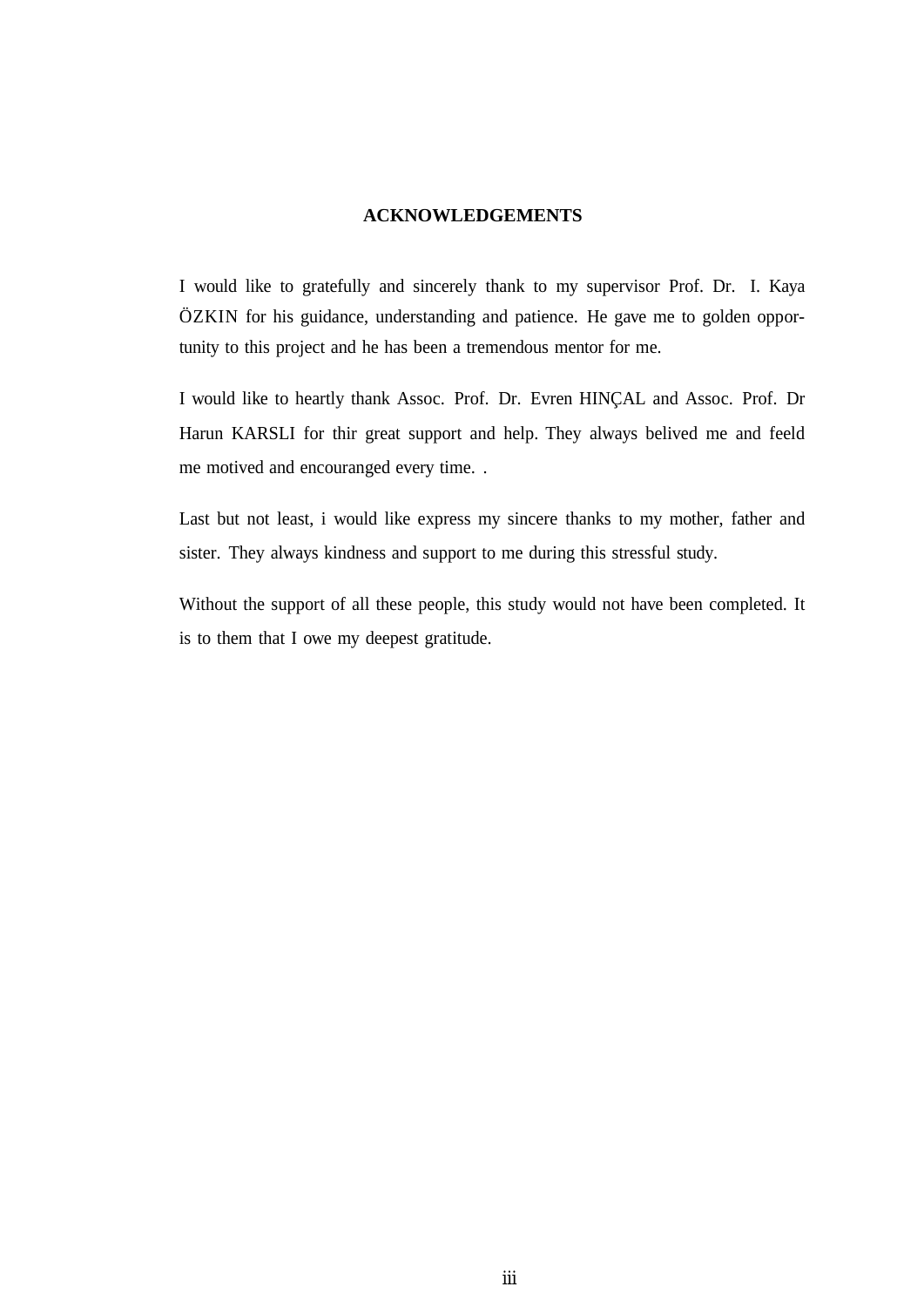#### **ACKNOWLEDGEMENTS**

I would like to gratefully and sincerely thank to my supervisor Prof. Dr. I. Kaya ÖZKIN for his guidance, understanding and patience. He gave me to golden opportunity to this project and he has been a tremendous mentor for me.

I would like to heartly thank Assoc. Prof. Dr. Evren HINCAL and Assoc. Prof. Dr Harun KARSLI for thir great support and help. They always belived me and feeld me motived and encouranged every time. .

Last but not least, i would like express my sincere thanks to my mother, father and sister. They always kindness and support to me during this stressful study.

Without the support of all these people, this study would not have been completed. It is to them that I owe my deepest gratitude.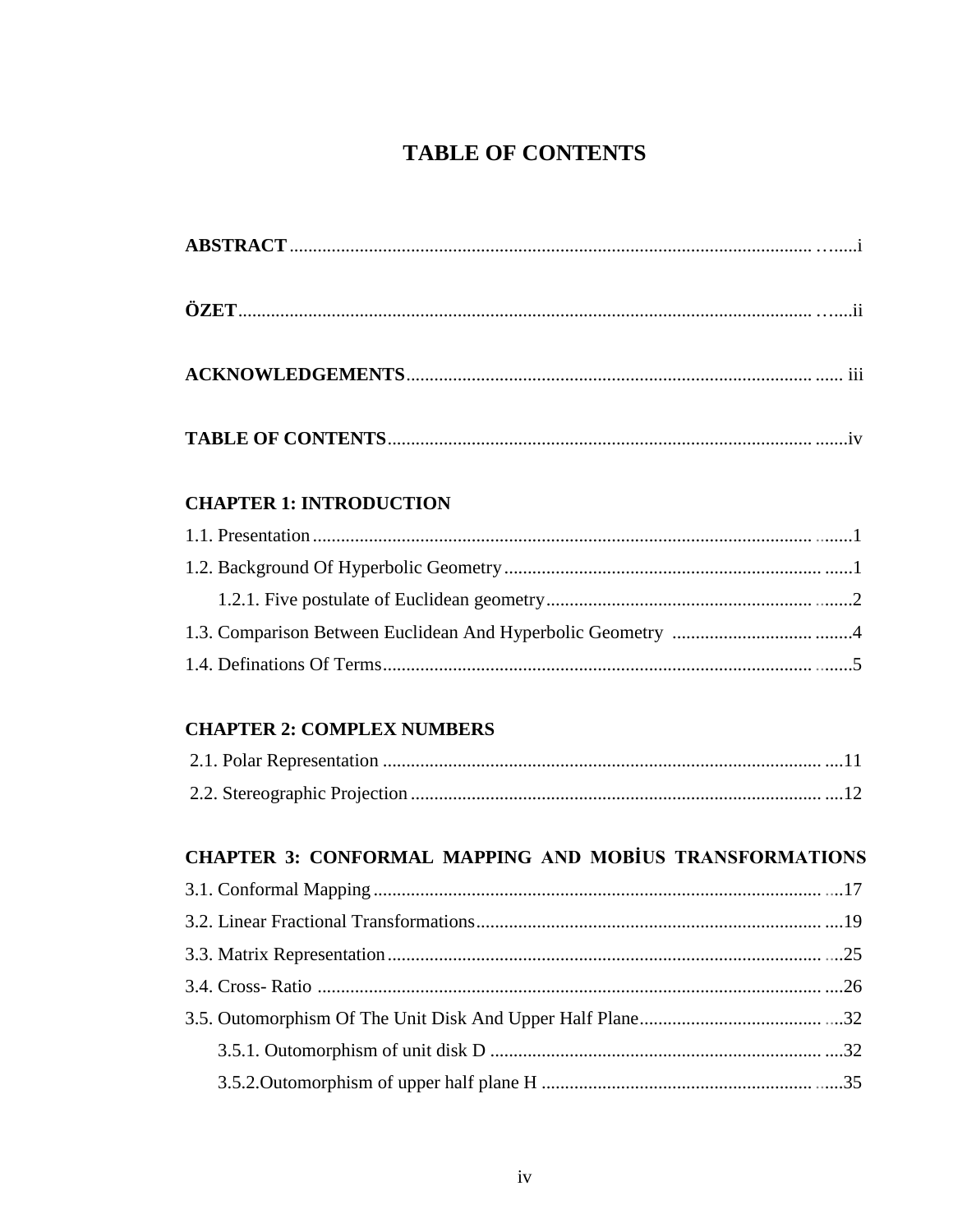## **TABLE OF CONTENTS**

| 111 |
|-----|
|     |

## **CHAPTER 1: INTRODUCTION**

## **CHAPTER 2: COMPLEX NUMBERS**

## **CHAPTER 3: CONFORMAL MAPPING AND MOBIUS TRANSFORMATIONS**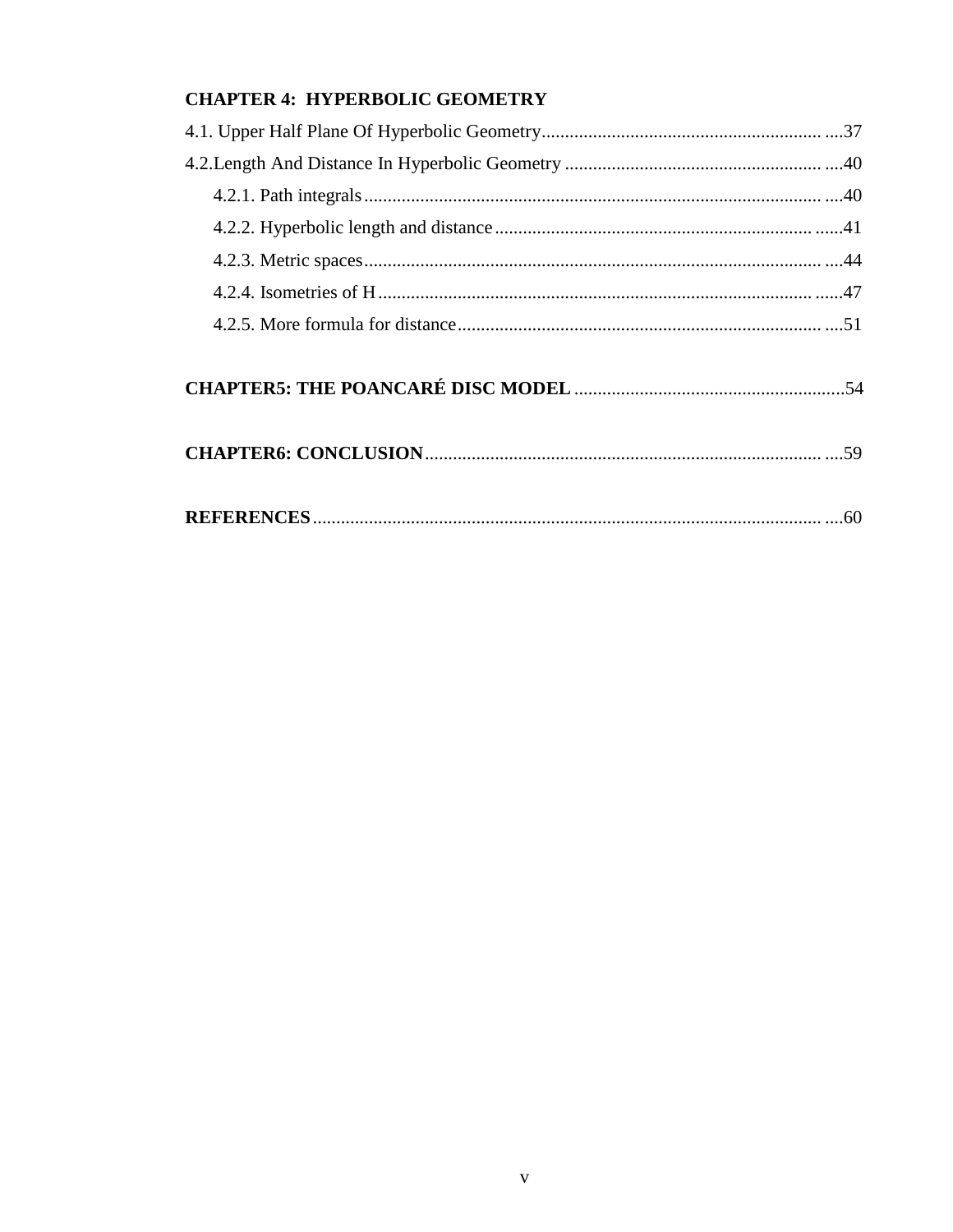## **CHAPTER 4: HYPERBOLIC GEOMETRY**

|--|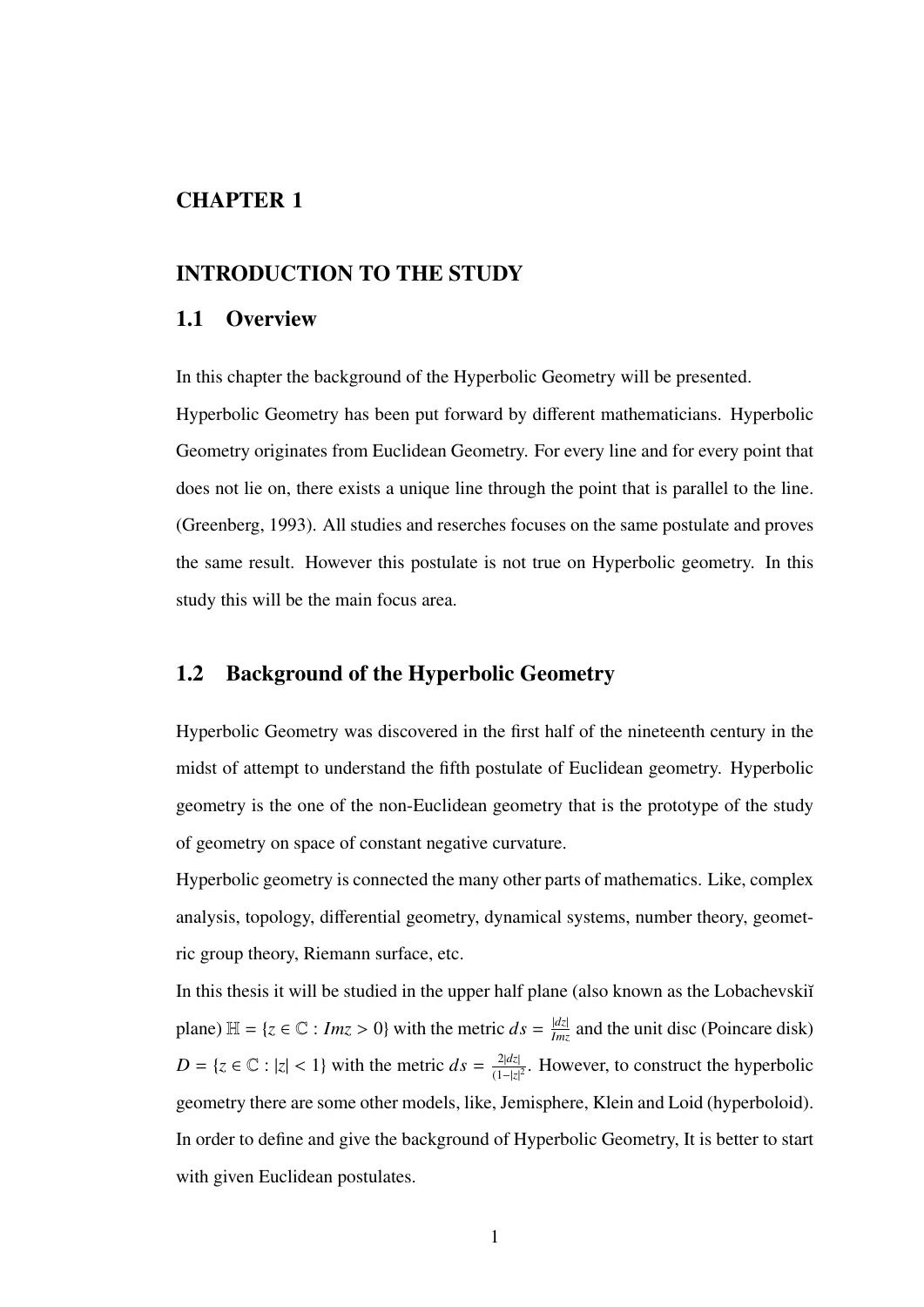## CHAPTER 1

### INTRODUCTION TO THE STUDY

### 1.1 Overview

In this chapter the background of the Hyperbolic Geometry will be presented.

Hyperbolic Geometry has been put forward by different mathematicians. Hyperbolic Geometry originates from Euclidean Geometry. For every line and for every point that does not lie on, there exists a unique line through the point that is parallel to the line. (Greenberg, 1993). All studies and reserches focuses on the same postulate and proves the same result. However this postulate is not true on Hyperbolic geometry. In this study this will be the main focus area.

## 1.2 Background of the Hyperbolic Geometry

Hyperbolic Geometry was discovered in the first half of the nineteenth century in the midst of attempt to understand the fifth postulate of Euclidean geometry. Hyperbolic geometry is the one of the non-Euclidean geometry that is the prototype of the study of geometry on space of constant negative curvature.

Hyperbolic geometry is connected the many other parts of mathematics. Like, complex analysis, topology, differential geometry, dynamical systems, number theory, geometric group theory, Riemann surface, etc.

In this thesis it will be studied in the upper half plane (also known as the Lobachevskiı̆ plane)  $\mathbb{H} = \{z \in \mathbb{C} : Imz > 0\}$  with the metric  $ds = \frac{|dz|}{Imz}$  and the unit disc (Poincare disk)  $D = \{z \in \mathbb{C} : |z| < 1\}$  with the metric  $ds = \frac{2|dz|}{(1-|z|)}$  $\frac{2|az|}{(1-|z|^2}$ . However, to construct the hyperbolic geometry there are some other models, like, Jemisphere, Klein and Loid (hyperboloid). In order to define and give the background of Hyperbolic Geometry, It is better to start with given Euclidean postulates.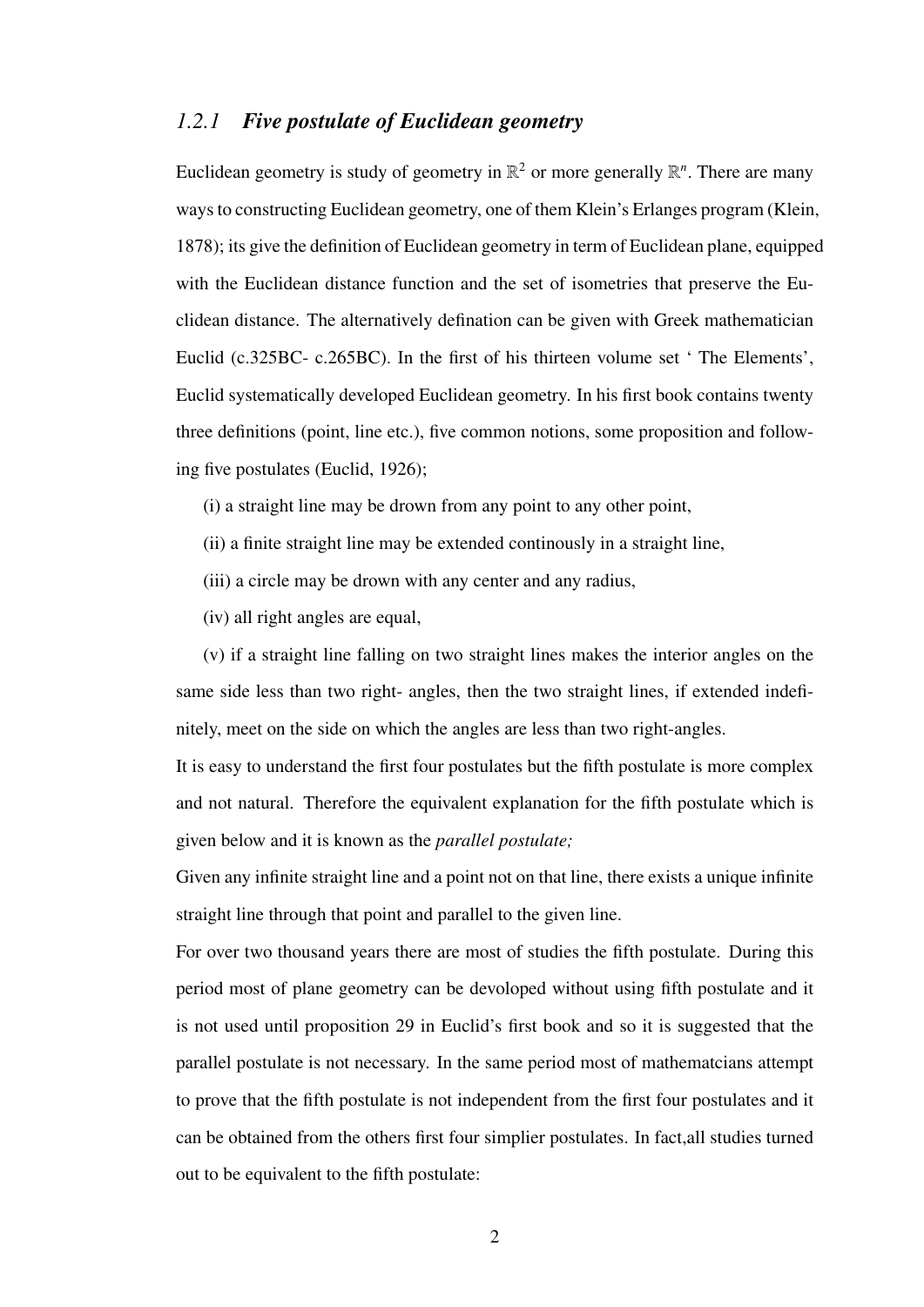## *1.2.1 Five postulate of Euclidean geometry*

Euclidean geometry is study of geometry in  $\mathbb{R}^2$  or more generally  $\mathbb{R}^n$ . There are many ways to constructing Euclidean geometry, one of them Klein's Erlanges program (Klein, 1878); its give the definition of Euclidean geometry in term of Euclidean plane, equipped with the Euclidean distance function and the set of isometries that preserve the Euclidean distance. The alternatively defination can be given with Greek mathematician Euclid (c.325BC- c.265BC). In the first of his thirteen volume set ' The Elements', Euclid systematically developed Euclidean geometry. In his first book contains twenty three definitions (point, line etc.), five common notions, some proposition and following five postulates (Euclid, 1926);

- (i) a straight line may be drown from any point to any other point,
- (ii) a finite straight line may be extended continously in a straight line,
- (iii) a circle may be drown with any center and any radius,
- (iv) all right angles are equal,

(v) if a straight line falling on two straight lines makes the interior angles on the same side less than two right- angles, then the two straight lines, if extended indefinitely, meet on the side on which the angles are less than two right-angles.

It is easy to understand the first four postulates but the fifth postulate is more complex and not natural. Therefore the equivalent explanation for the fifth postulate which is given below and it is known as the *parallel postulate;*

Given any infinite straight line and a point not on that line, there exists a unique infinite straight line through that point and parallel to the given line.

For over two thousand years there are most of studies the fifth postulate. During this period most of plane geometry can be devoloped without using fifth postulate and it is not used until proposition 29 in Euclid's first book and so it is suggested that the parallel postulate is not necessary. In the same period most of mathematcians attempt to prove that the fifth postulate is not independent from the first four postulates and it can be obtained from the others first four simplier postulates. In fact,all studies turned out to be equivalent to the fifth postulate: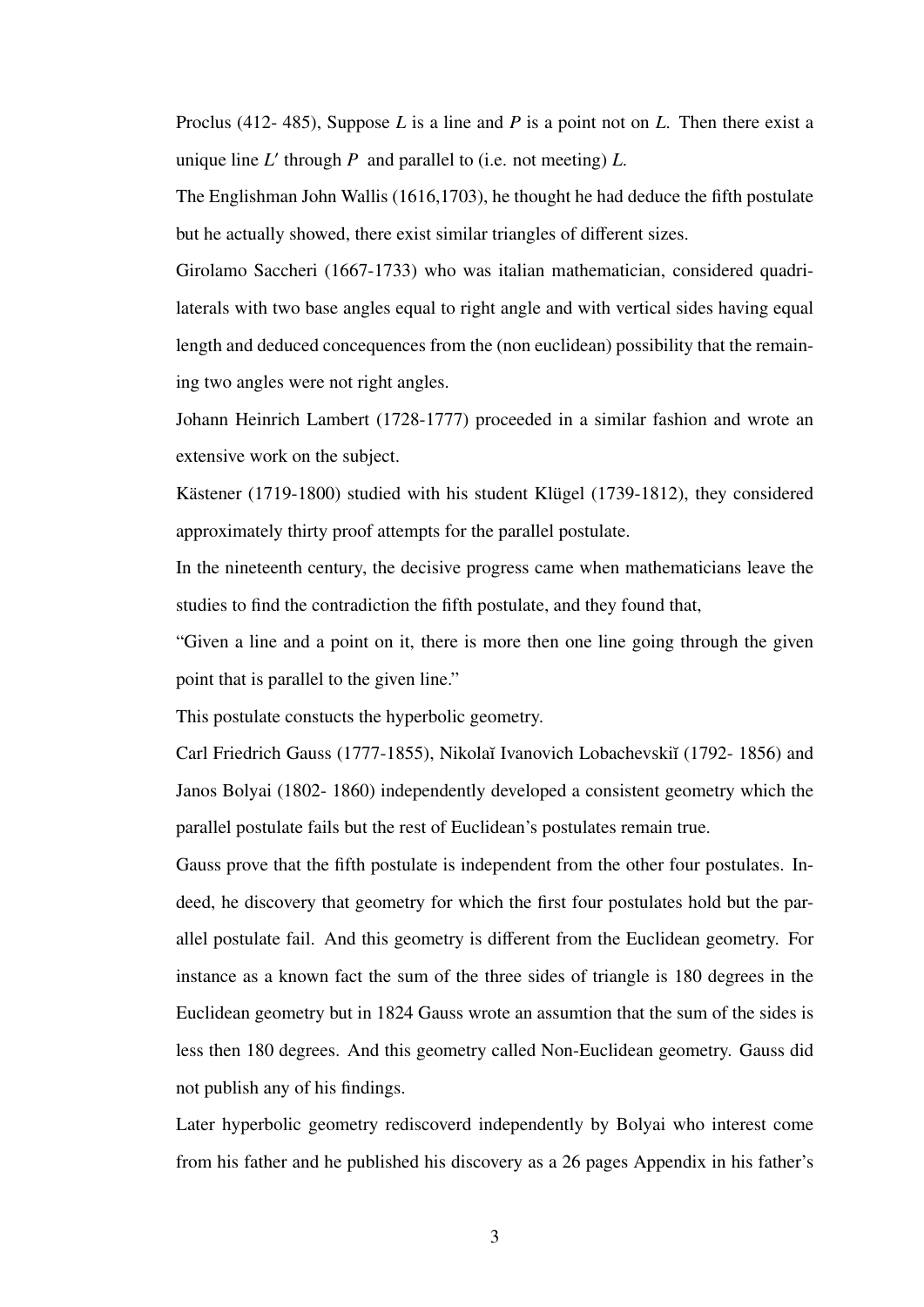Proclus (412- 485), Suppose *L* is a line and *P* is a point not on *L*. Then there exist a unique line  $L'$  through  $P$  and parallel to (i.e. not meeting)  $L$ .

The Englishman John Wallis (1616,1703), he thought he had deduce the fifth postulate but he actually showed, there exist similar triangles of different sizes.

Girolamo Saccheri (1667-1733) who was italian mathematician, considered quadrilaterals with two base angles equal to right angle and with vertical sides having equal length and deduced concequences from the (non euclidean) possibility that the remaining two angles were not right angles.

Johann Heinrich Lambert (1728-1777) proceeded in a similar fashion and wrote an extensive work on the subject.

Kästener (1719-1800) studied with his student Klügel (1739-1812), they considered approximately thirty proof attempts for the parallel postulate.

In the nineteenth century, the decisive progress came when mathematicians leave the studies to find the contradiction the fifth postulate, and they found that,

"Given a line and a point on it, there is more then one line going through the given point that is parallel to the given line."

This postulate constucts the hyperbolic geometry.

Carl Friedrich Gauss (1777-1855), Nikolaĭ Ivanovich Lobachevskiĭ (1792-1856) and Janos Bolyai (1802- 1860) independently developed a consistent geometry which the parallel postulate fails but the rest of Euclidean's postulates remain true.

Gauss prove that the fifth postulate is independent from the other four postulates. Indeed, he discovery that geometry for which the first four postulates hold but the parallel postulate fail. And this geometry is different from the Euclidean geometry. For instance as a known fact the sum of the three sides of triangle is 180 degrees in the Euclidean geometry but in 1824 Gauss wrote an assumtion that the sum of the sides is less then 180 degrees. And this geometry called Non-Euclidean geometry. Gauss did not publish any of his findings.

Later hyperbolic geometry rediscoverd independently by Bolyai who interest come from his father and he published his discovery as a 26 pages Appendix in his father's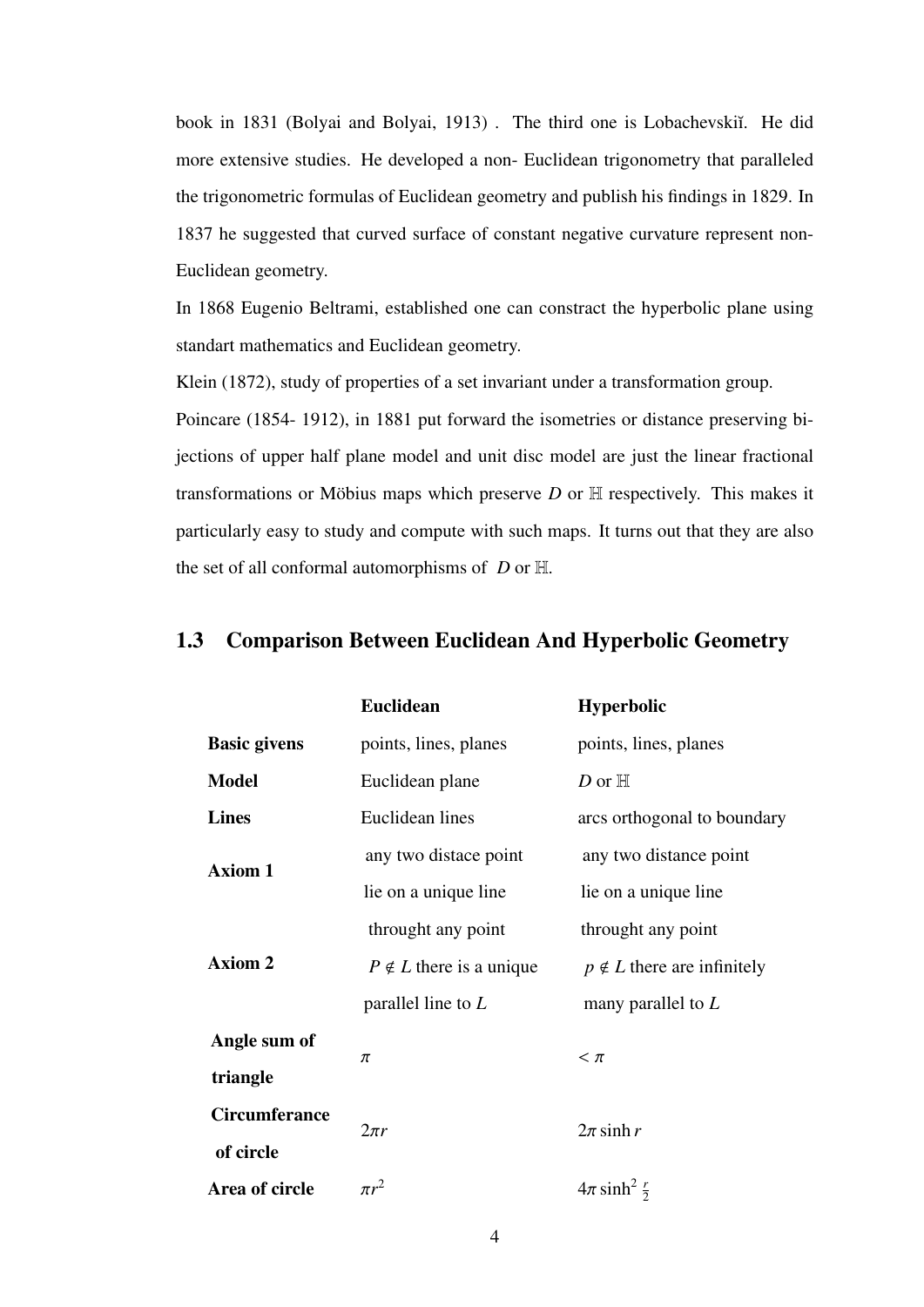book in 1831 (Bolyai and Bolyai, 1913). The third one is Lobachevskiı. He did more extensive studies. He developed a non- Euclidean trigonometry that paralleled the trigonometric formulas of Euclidean geometry and publish his findings in 1829. In 1837 he suggested that curved surface of constant negative curvature represent non-Euclidean geometry.

In 1868 Eugenio Beltrami, established one can constract the hyperbolic plane using standart mathematics and Euclidean geometry.

Klein (1872), study of properties of a set invariant under a transformation group.

Poincare (1854- 1912), in 1881 put forward the isometries or distance preserving bijections of upper half plane model and unit disc model are just the linear fractional transformations or Möbius maps which preserve  $D$  or  $H$  respectively. This makes it particularly easy to study and compute with such maps. It turns out that they are also the set of all conformal automorphisms of *D* or H.

| <b>Euclidean</b>               | <b>Hyperbolic</b>                 |
|--------------------------------|-----------------------------------|
| points, lines, planes          | points, lines, planes             |
| Euclidean plane                | D or $\mathbb H$                  |
| Euclidean lines                | arcs orthogonal to boundary       |
| any two distace point          | any two distance point            |
| lie on a unique line           | lie on a unique line              |
| throught any point             | throught any point                |
| $P \notin L$ there is a unique | $p \notin L$ there are infinitely |
| parallel line to $L$           | many parallel to $L$              |
|                                | $< \pi$                           |
|                                |                                   |
|                                | $2\pi$ sinh r                     |
|                                |                                   |
| $\pi r^2$                      | $4\pi \sinh^2 \frac{r}{2}$        |
|                                | π<br>$2\pi r$                     |

## 1.3 Comparison Between Euclidean And Hyperbolic Geometry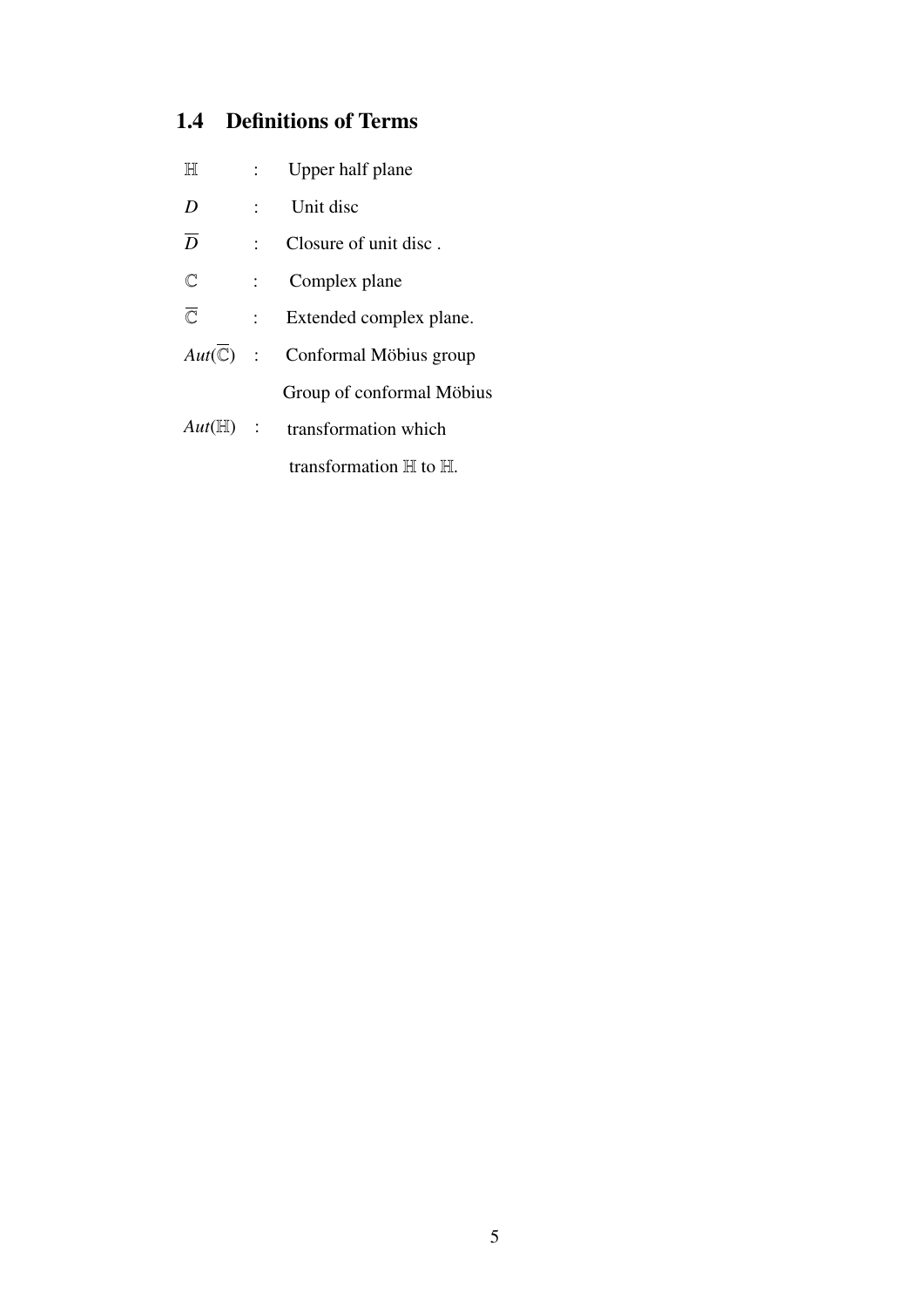## 1.4 Definitions of Terms

| $\mathbb H$ |                  |
|-------------|------------------|
|             | Upper half plane |

- *D* : Unit disc
- $\overline{D}$  : Closure of unit disc.
- C : Complex plane
- $\overline{\mathbb{C}}$  : Extended complex plane.
- $Aut(\overline{\mathbb{C}})$  : Conformal Möbius group Group of conformal Möbius
- *Aut*(H) : transformation which transformation <sup>H</sup> to <sup>H</sup>.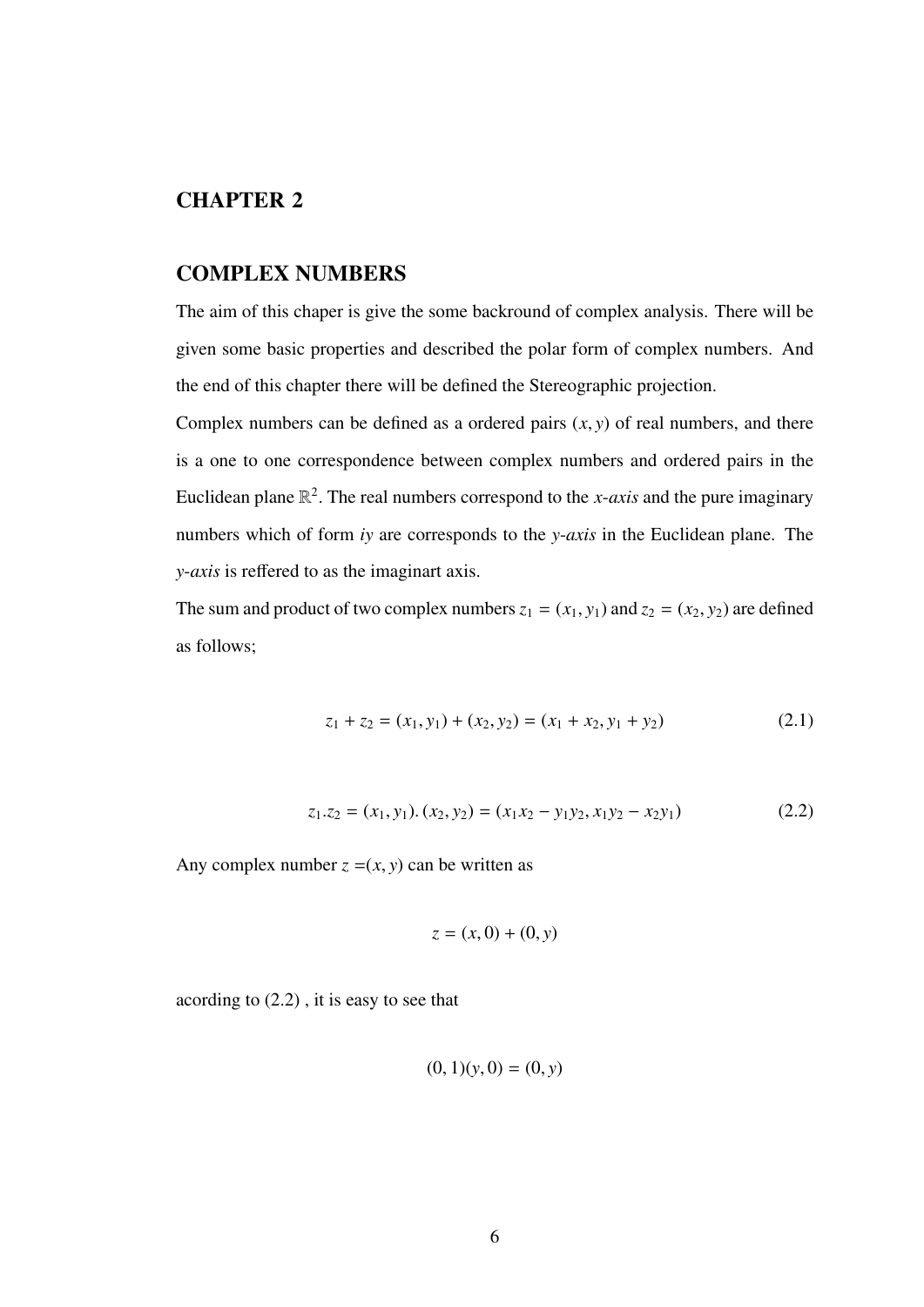## CHAPTER 2

## COMPLEX NUMBERS

The aim of this chaper is give the some backround of complex analysis. There will be given some basic properties and described the polar form of complex numbers. And the end of this chapter there will be defined the Stereographic projection.

Complex numbers can be defined as a ordered pairs  $(x, y)$  of real numbers, and there is a one to one correspondence between complex numbers and ordered pairs in the Euclidean plane  $\mathbb{R}^2$ . The real numbers correspond to the *x*-*axis* and the pure imaginary numbers which of form *iy* are corresponds to the *y*-*axis* in the Euclidean plane. The *y*-*axis* is reffered to as the imaginart axis.

The sum and product of two complex numbers  $z_1 = (x_1, y_1)$  and  $z_2 = (x_2, y_2)$  are defined as follows;

$$
z_1 + z_2 = (x_1, y_1) + (x_2, y_2) = (x_1 + x_2, y_1 + y_2)
$$
\n(2.1)

$$
z_1 \tcdot z_2 = (x_1, y_1) \tcdot (x_2, y_2) = (x_1 x_2 - y_1 y_2, x_1 y_2 - x_2 y_1) \t\t(2.2)
$$

Any complex number  $z = (x, y)$  can be written as

$$
z = (x,0) + (0,y)
$$

acording to (2.2) , it is easy to see that

$$
(0,1)(y,0) = (0,y)
$$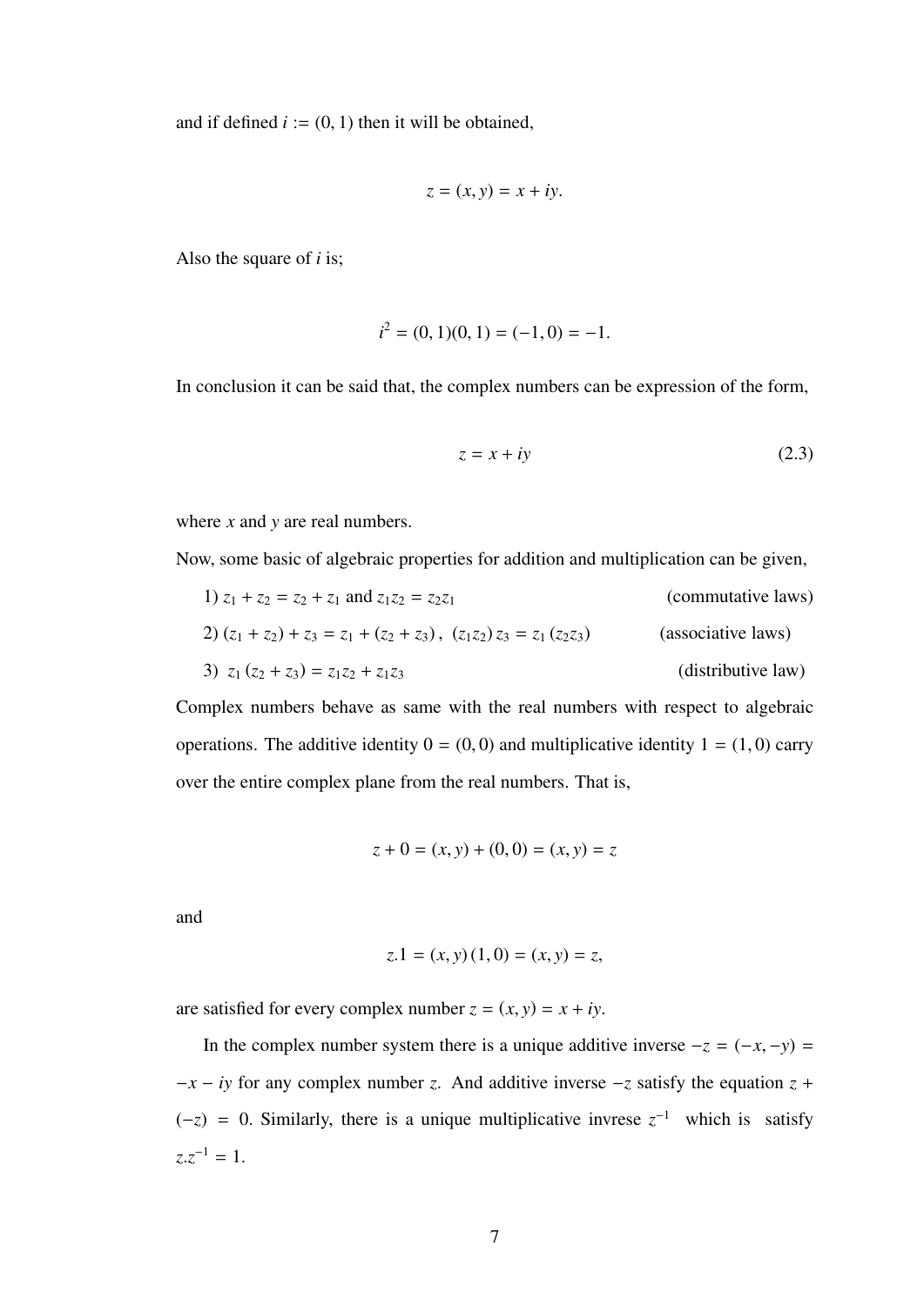and if defined  $i := (0, 1)$  then it will be obtained,

$$
z = (x, y) = x + iy.
$$

Also the square of *i* is;

$$
i^2 = (0, 1)(0, 1) = (-1, 0) = -1.
$$

In conclusion it can be said that, the complex numbers can be expression of the form,

$$
z = x + iy \tag{2.3}
$$

where *x* and *y* are real numbers.

Now, some basic of algebraic properties for addition and multiplication can be given,

1) 
$$
z_1 + z_2 = z_2 + z_1
$$
 and  $z_1z_2 = z_2z_1$  (commutative laws)  
\n2)  $(z_1 + z_2) + z_3 = z_1 + (z_2 + z_3), (z_1z_2)z_3 = z_1(z_2z_3)$  (associative laws)  
\n3)  $z_1(z_2 + z_3) = z_1z_2 + z_1z_3$  (distributive law)

Complex numbers behave as same with the real numbers with respect to algebraic operations. The additive identity  $0 = (0, 0)$  and multiplicative identity  $1 = (1, 0)$  carry over the entire complex plane from the real numbers. That is,

$$
z + 0 = (x, y) + (0, 0) = (x, y) = z
$$

and

$$
z.1 = (x, y) (1, 0) = (x, y) = z,
$$

are satisfied for every complex number  $z = (x, y) = x + iy$ .

In the complex number system there is a unique additive inverse  $-z = (-x, -y) =$  $-x - iy$  for any complex number *z*. And additive inverse  $-z$  satisfy the equation  $z + iy$  $(-z) = 0$ . Similarly, there is a unique multiplicative invrese  $z^{-1}$  which is satisfy  $z \cdot z^{-1} = 1.$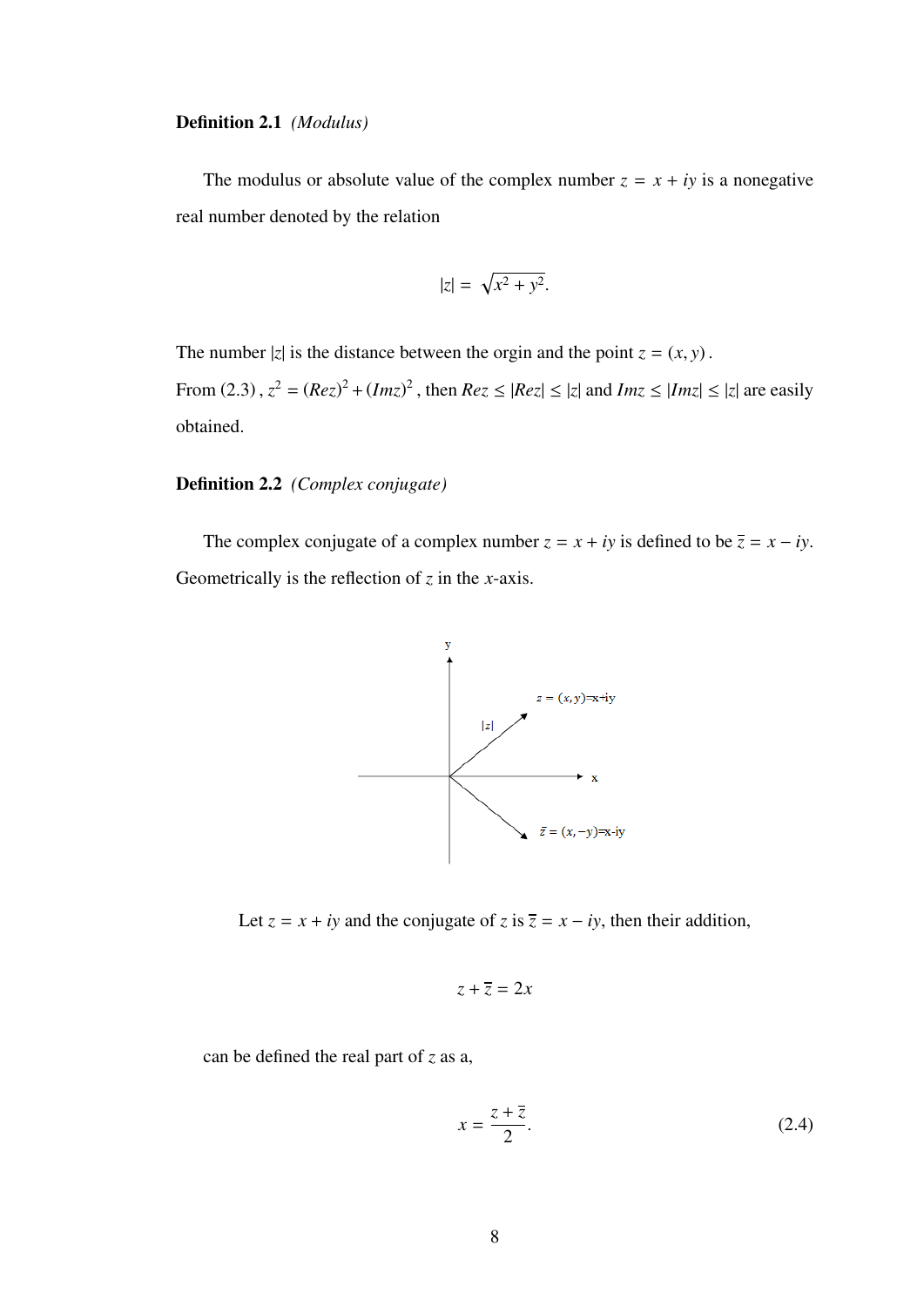#### Definition 2.1 *(Modulus)*

The modulus or absolute value of the complex number  $z = x + iy$  is a nonegative real number denoted by the relation

$$
|z| = \sqrt{x^2 + y^2}.
$$

The number  $|z|$  is the distance between the orgin and the point  $z = (x, y)$ . From (2.3),  $z^2 = (Rez)^2 + (Imz)^2$ , then  $Rez \leq |Rez| \leq |z|$  and  $Imz \leq |Imz| \leq |z|$  are easily obtained.

#### Definition 2.2 *(Complex conjugate)*

The complex conjugate of a complex number  $z = x + iy$  is defined to be  $\overline{z} = x - iy$ . Geometrically is the reflection of *z* in the *x*-axis.



Let  $z = x + iy$  and the conjugate of  $z$  is  $\overline{z} = x - iy$ , then their addition,

$$
z + \overline{z} = 2x
$$

can be defined the real part of *z* as a,

$$
x = \frac{z + \overline{z}}{2}.
$$
 (2.4)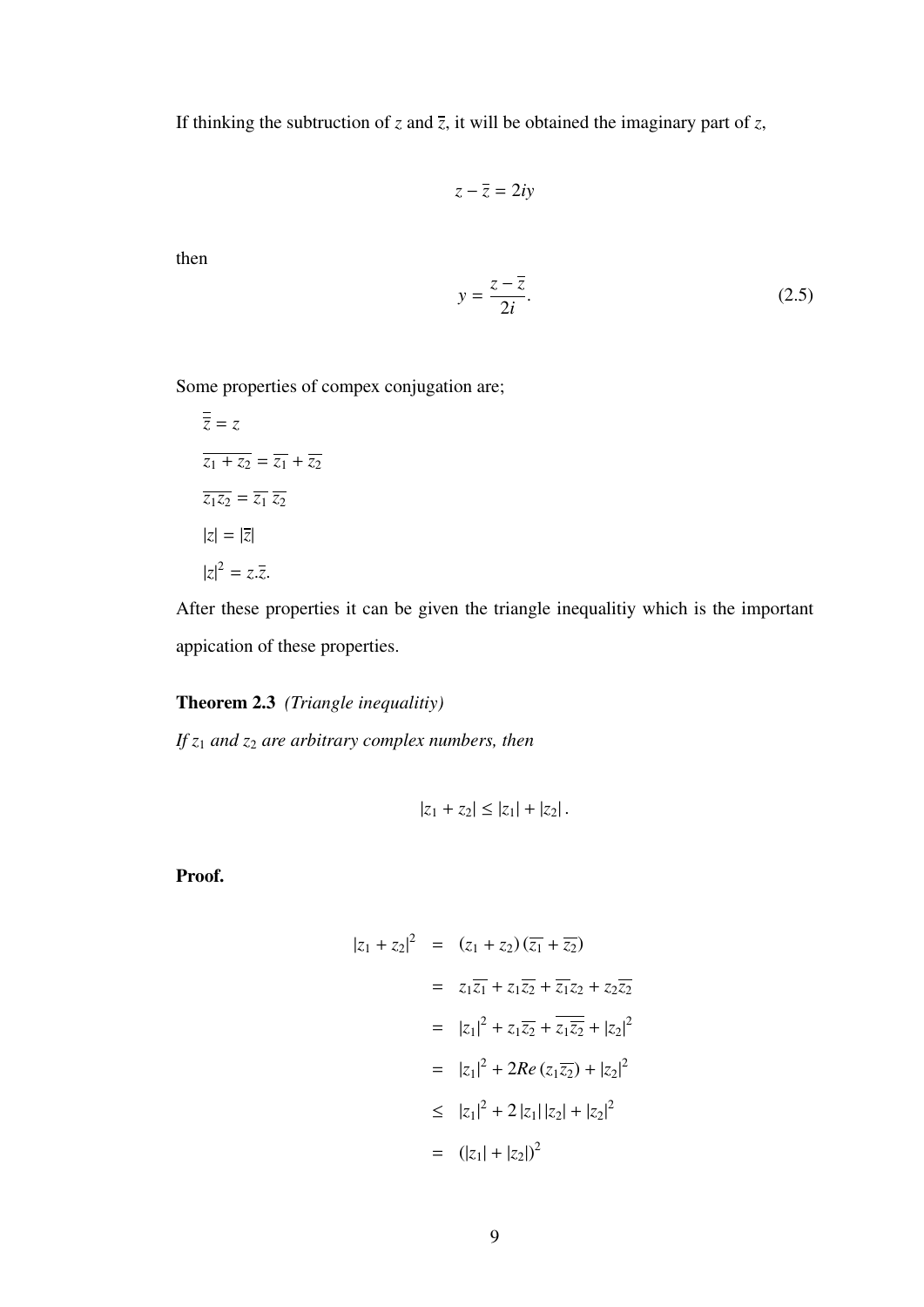If thinking the subtruction of *z* and  $\overline{z}$ , it will be obtained the imaginary part of *z*,

$$
z-\overline{z}=2iy
$$

then

$$
y = \frac{z - \overline{z}}{2i}.\tag{2.5}
$$

Some properties of compex conjugation are;

$$
\overline{z} = z
$$
  
\n
$$
\overline{z_1 + z_2} = \overline{z_1} + \overline{z_2}
$$
  
\n
$$
\overline{z_1 z_2} = \overline{z_1} \overline{z_2}
$$
  
\n
$$
|z| = |\overline{z}|
$$
  
\n
$$
|z|^2 = z.\overline{z}.
$$

After these properties it can be given the triangle inequalitiy which is the important appication of these properties.

#### Theorem 2.3 *(Triangle inequalitiy)*

*If z*<sup>1</sup> *and z*<sup>2</sup> *are arbitrary complex numbers, then*

$$
|z_1+z_2|\leq |z_1|+|z_2|.
$$

Proof.

$$
|z_1 + z_2|^2 = (z_1 + z_2)(\overline{z_1} + \overline{z_2})
$$
  
\n
$$
= z_1\overline{z_1} + z_1\overline{z_2} + \overline{z_1}z_2 + z_2\overline{z_2}
$$
  
\n
$$
= |z_1|^2 + z_1\overline{z_2} + \overline{z_1}\overline{z_2} + |z_2|^2
$$
  
\n
$$
= |z_1|^2 + 2Re(z_1\overline{z_2}) + |z_2|^2
$$
  
\n
$$
\leq |z_1|^2 + 2|z_1||z_2| + |z_2|^2
$$
  
\n
$$
= (|z_1| + |z_2|)^2
$$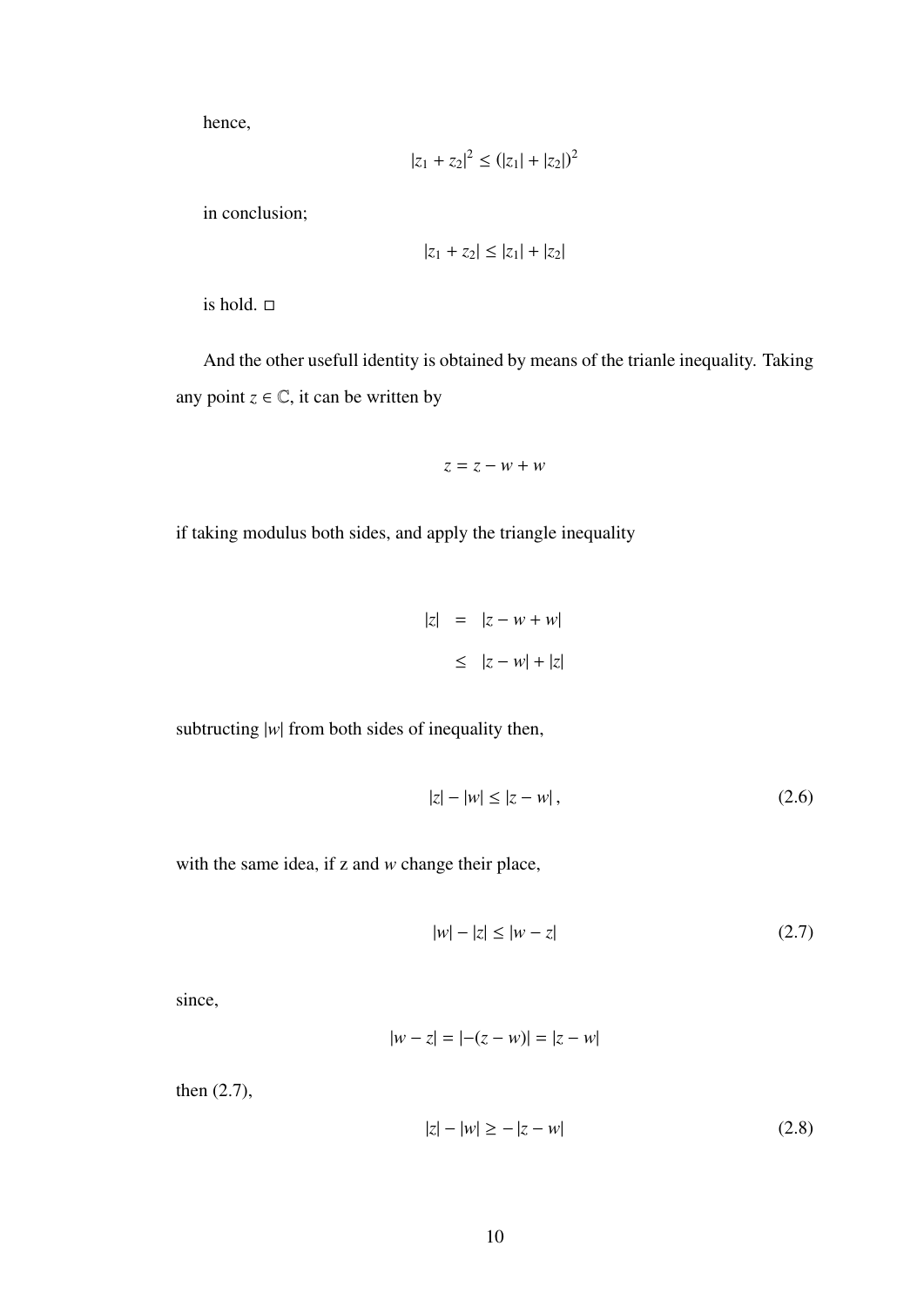hence,

$$
|z_1 + z_2|^2 \le (|z_1| + |z_2|)^2
$$

in conclusion;

$$
|z_1 + z_2| \le |z_1| + |z_2|
$$

is hold.  $\square$ 

And the other usefull identity is obtained by means of the trianle inequality. Taking any point  $z \in \mathbb{C}$ , it can be written by

$$
z=z-w+w
$$

if taking modulus both sides, and apply the triangle inequality

$$
|z| = |z - w + w|
$$
  

$$
\leq |z - w| + |z|
$$

subtructing |*w*| from both sides of inequality then,

$$
|z| - |w| \le |z - w|,
$$
\n(2.6)

with the same idea, if z and *w* change their place,

$$
|w| - |z| \le |w - z| \tag{2.7}
$$

since,

$$
|w - z| = |-(z - w)| = |z - w|
$$

then (2.7),

$$
|z| - |w| \ge -|z - w|
$$
 (2.8)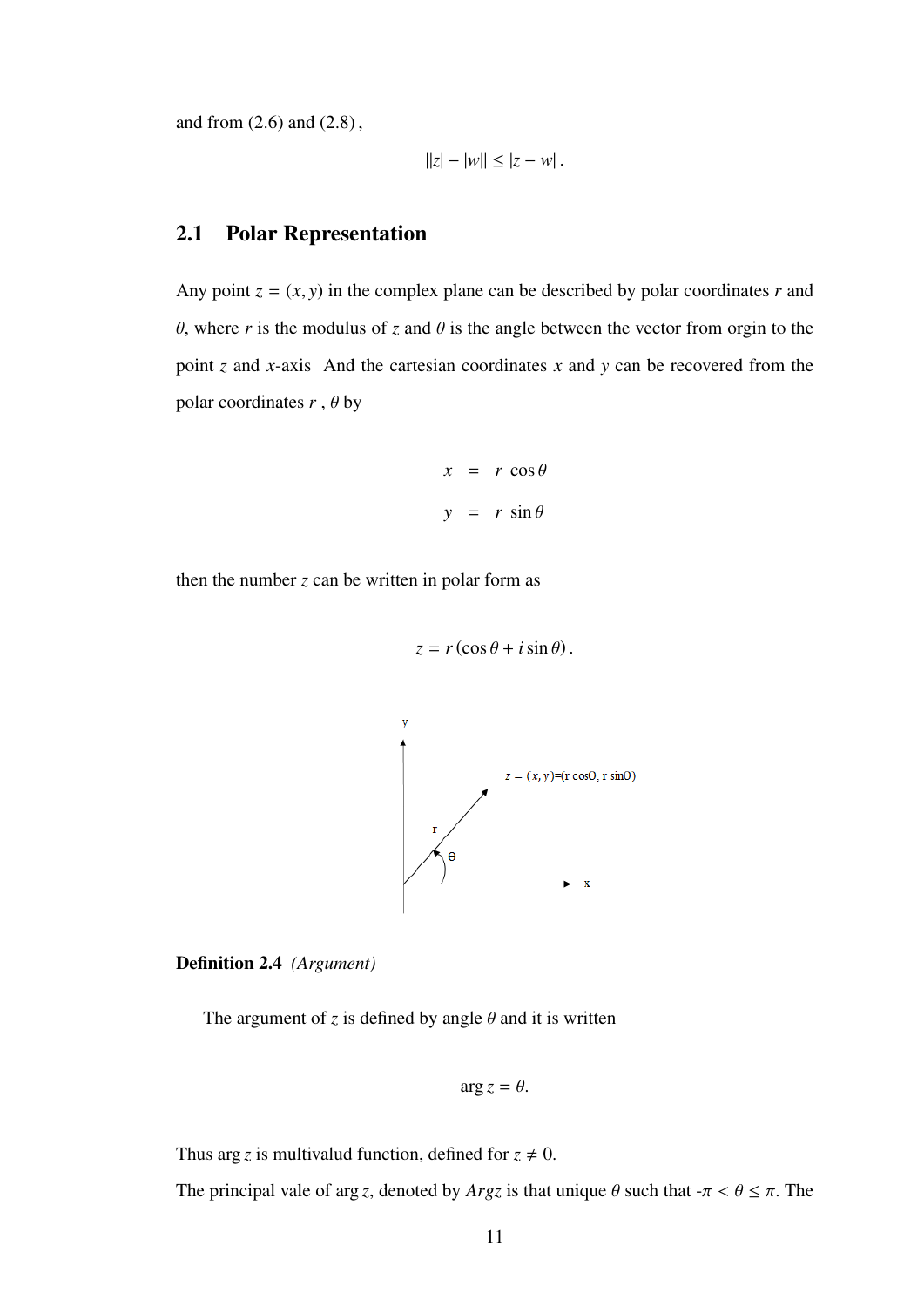and from (2.6) and (2.8) ,

$$
||z| - |w|| \le |z - w|.
$$

## 2.1 Polar Representation

Any point  $z = (x, y)$  in the complex plane can be described by polar coordinates *r* and θ, where *<sup>r</sup>* is the modulus of *<sup>z</sup>* and θ is the angle between the vector from orgin to the point *z* and *x*-axis And the cartesian coordinates *x* and *y* can be recovered from the polar coordinates  $r$ ,  $\theta$  by

$$
x = r \cos \theta
$$
  

$$
y = r \sin \theta
$$

then the number  $z$  can be written in polar form as

$$
z = r(\cos\theta + i\sin\theta).
$$





The argument of *z* is defined by angle  $\theta$  and it is written

$$
\arg z = \theta.
$$

Thus arg *z* is multivalud function, defined for  $z \neq 0$ .

The principal vale of arg *z*, denoted by *Argz* is that unique  $\theta$  such that  $-\pi < \theta \leq \pi$ . The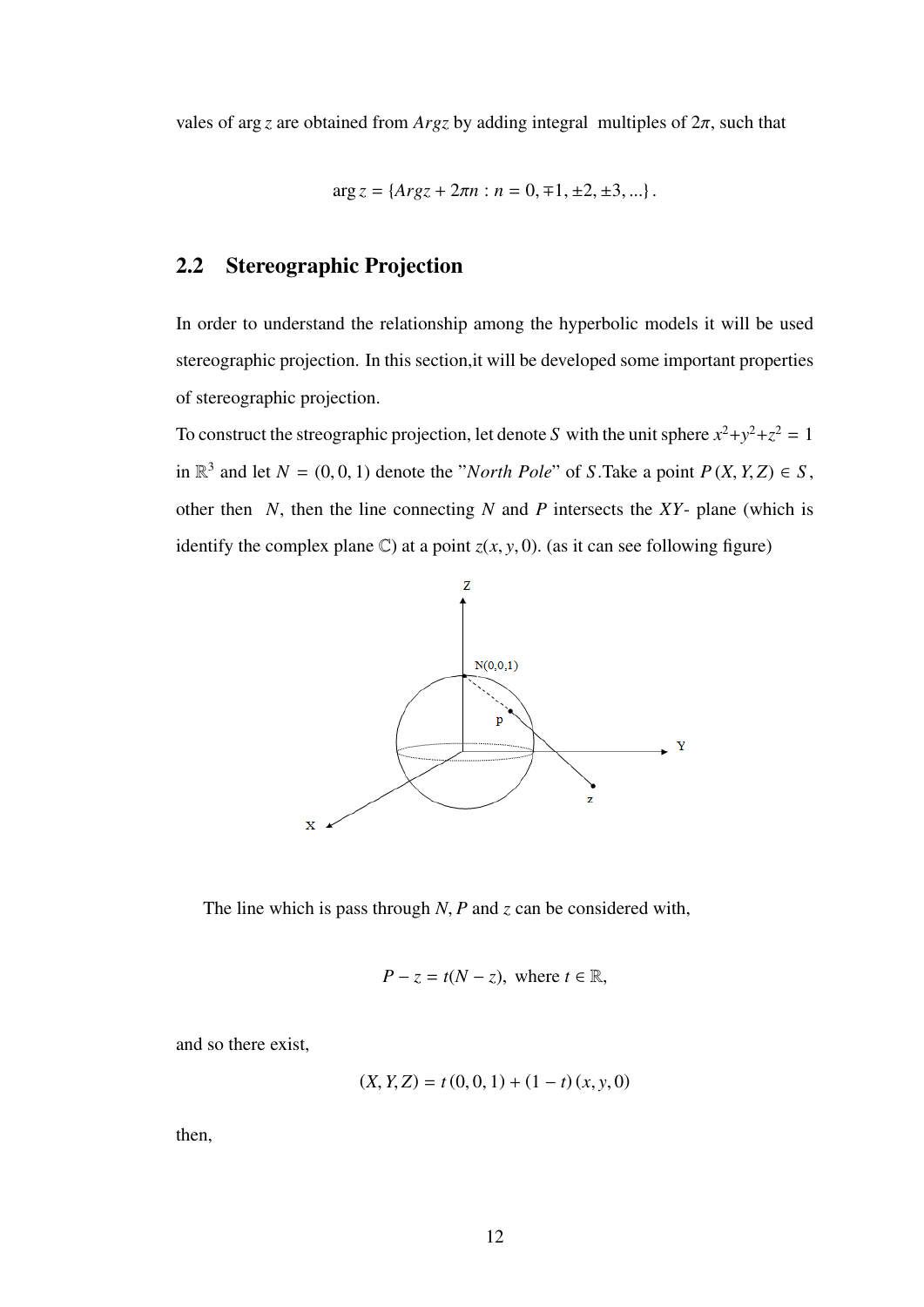vales of arg *z* are obtained from *Argz* by adding integral multiples of  $2\pi$ , such that

$$
\arg z = \{Arg z + 2\pi n : n = 0, \pm 1, \pm 2, \pm 3, \ldots\}.
$$

## 2.2 Stereographic Projection

In order to understand the relationship among the hyperbolic models it will be used stereographic projection. In this section,it will be developed some important properties of stereographic projection.

To construct the streographic projection, let denote *S* with the unit sphere  $x^2 + y^2 + z^2 = 1$ in  $\mathbb{R}^3$  and let *N* = (0, 0, 1) denote the "*North Pole*" of *S*. Take a point  $P(X, Y, Z) \in S$ , other then *N*, then the line connecting *N* and *P* intersects the *XY*- plane (which is identify the complex plane  $\mathbb{C}$ ) at a point  $z(x, y, 0)$ . (as it can see following figure)



The line which is pass through *<sup>N</sup>*, *<sup>P</sup>* and *<sup>z</sup>* can be considered with,

$$
P - z = t(N - z), \text{ where } t \in \mathbb{R},
$$

and so there exist,

$$
(X, Y, Z) = t(0, 0, 1) + (1 - t)(x, y, 0)
$$

then,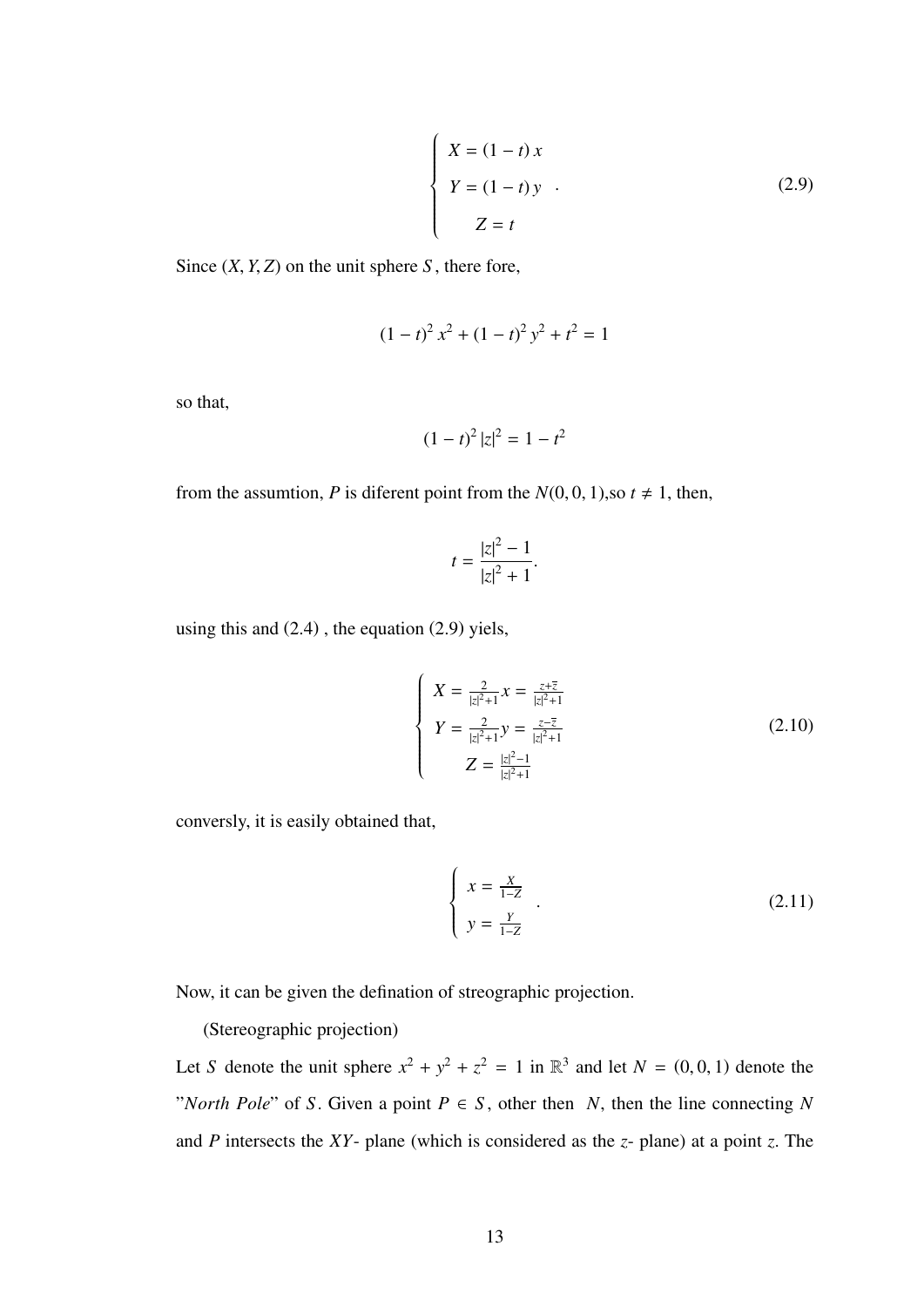$$
\begin{cases}\nX = (1 - t)x \\
Y = (1 - t)y \\
Z = t\n\end{cases}
$$
\n(2.9)

Since  $(X, Y, Z)$  on the unit sphere *S*, there fore,

$$
(1-t)^2 x^2 + (1-t)^2 y^2 + t^2 = 1
$$

so that,

$$
(1-t)^2 |z|^2 = 1-t^2
$$

from the assumtion, *P* is diferent point from the  $N(0, 0, 1)$ , so  $t \neq 1$ , then,

$$
t = \frac{|z|^2 - 1}{|z|^2 + 1}.
$$

using this and (2.4) , the equation (2.9) yiels,

$$
\begin{cases}\nX = \frac{2}{|z|^2 + 1} x = \frac{z + \overline{z}}{|z|^2 + 1} \\
Y = \frac{2}{|z|^2 + 1} y = \frac{z - \overline{z}}{|z|^2 + 1} \\
Z = \frac{|z|^2 - 1}{|z|^2 + 1}\n\end{cases} (2.10)
$$

conversly, it is easily obtained that,

$$
\begin{cases}\n x = \frac{x}{1 - z} \\
 y = \frac{y}{1 - z}\n\end{cases}.
$$
\n(2.11)

Now, it can be given the defination of streographic projection.

(Stereographic projection)

Let *S* denote the unit sphere  $x^2 + y^2 + z^2 = 1$  in  $\mathbb{R}^3$  and let  $N = (0, 0, 1)$  denote the "*North Pole*" of *S*. Given a point  $P \in S$ , other then *N*, then the line connecting *N* and *<sup>P</sup>* intersects the *XY*- plane (which is considered as the *<sup>z</sup>*- plane) at a point *<sup>z</sup>*. The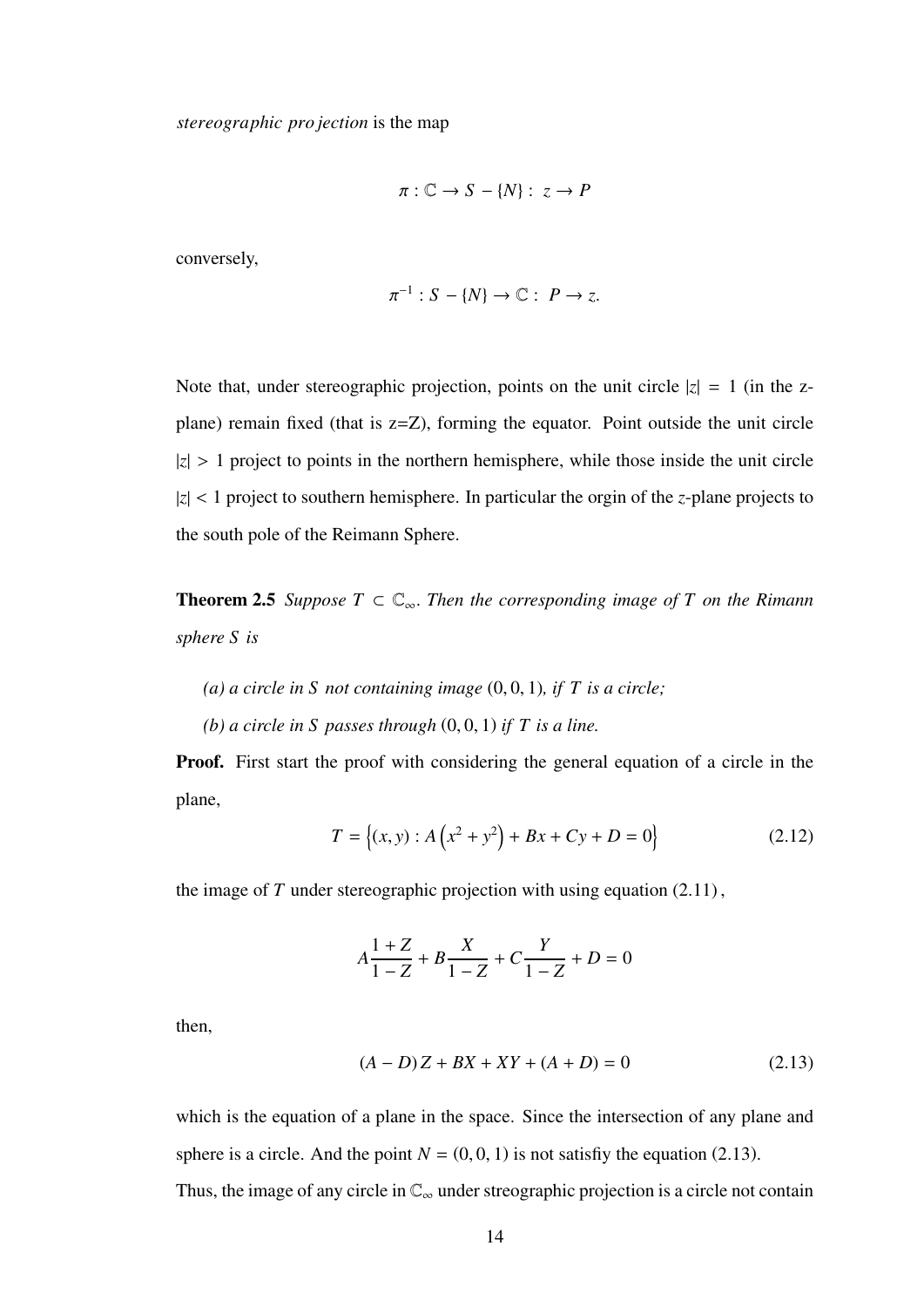$$
\pi: \mathbb{C} \to S - \{N\}: z \to P
$$

conversely,

$$
\pi^{-1}: S - \{N\} \to \mathbb{C} : P \to z.
$$

Note that, under stereographic projection, points on the unit circle  $|z| = 1$  (in the zplane) remain fixed (that is z=Z), forming the equator. Point outside the unit circle  $|z| > 1$  project to points in the northern hemisphere, while those inside the unit circle <sup>|</sup>*z*<sup>|</sup> <sup>&</sup>lt; 1 project to southern hemisphere. In particular the orgin of the *<sup>z</sup>*-plane projects to the south pole of the Reimann Sphere.

**Theorem 2.5** *Suppose*  $T \subset \mathbb{C}_{\infty}$ *. Then the corresponding image of*  $T$  *on the Rimann sphere S is*

- *(a) a circle in S not containing image* (0, <sup>0</sup>, 1)*, if T is a circle;*
- *(b) a circle in S passes through* (0, <sup>0</sup>, 1) *if T is a line.*

Proof. First start the proof with considering the general equation of a circle in the plane,

$$
T = \{(x, y) : A(x^2 + y^2) + Bx + Cy + D = 0\}
$$
 (2.12)

the image of  $T$  under stereographic projection with using equation  $(2.11)$ ,

$$
A\frac{1+Z}{1-Z} + B\frac{X}{1-Z} + C\frac{Y}{1-Z} + D = 0
$$

then,

$$
(A - D)Z + BX + XY + (A + D) = 0
$$
\n(2.13)

which is the equation of a plane in the space. Since the intersection of any plane and sphere is a circle. And the point  $N = (0, 0, 1)$  is not satisfiy the equation (2.13).

Thus, the image of any circle in  $\mathbb{C}_{\infty}$  under streographic projection is a circle not contain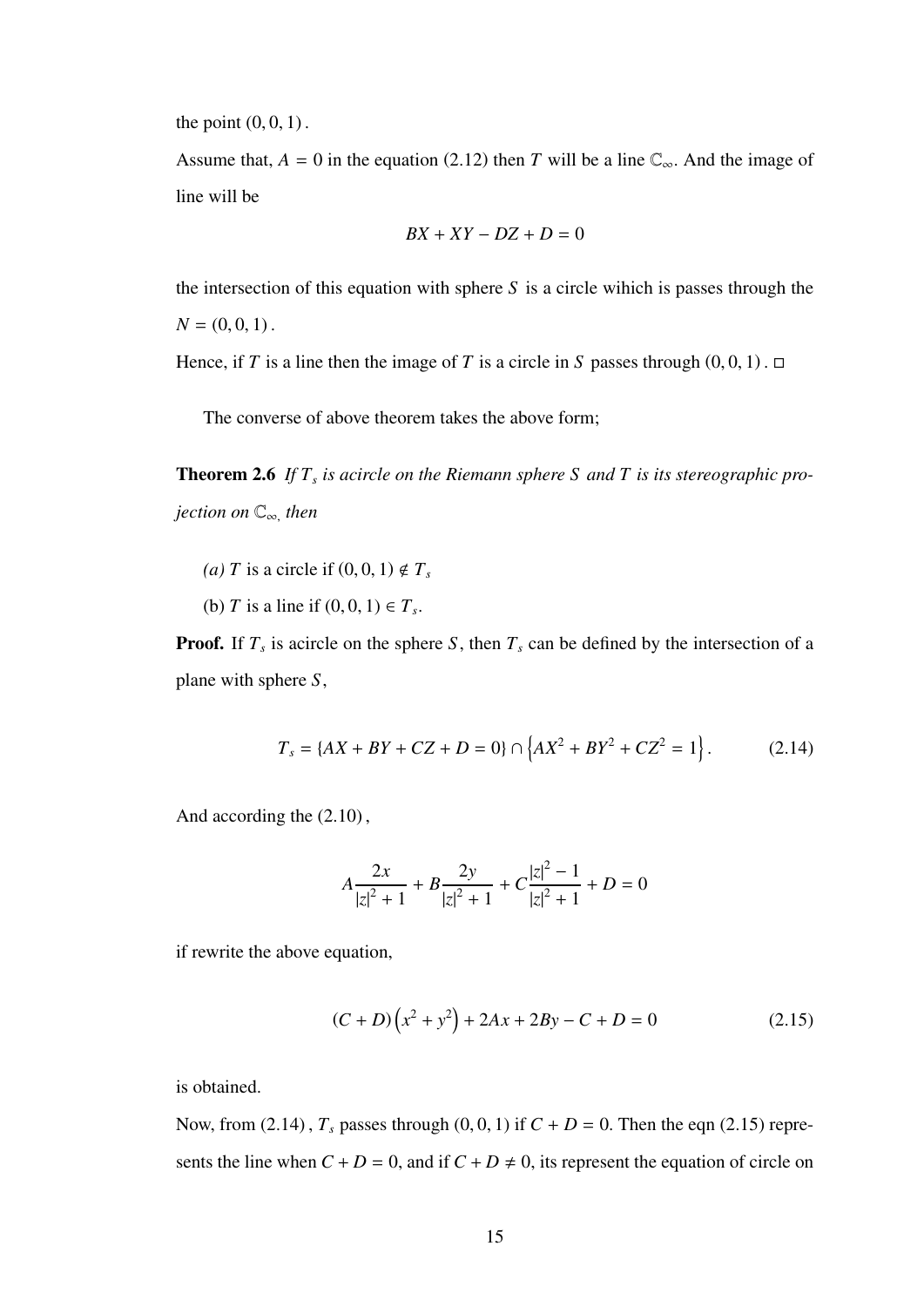the point  $(0, 0, 1)$ .

Assume that,  $A = 0$  in the equation (2.12) then *T* will be a line  $\mathbb{C}_{\infty}$ . And the image of line will be

$$
BX + XY - DZ + D = 0
$$

the intersection of this equation with sphere *S* is a circle wihich is passes through the  $N = (0, 0, 1)$ .

Hence, if *T* is a line then the image of *T* is a circle in *S* passes through  $(0, 0, 1)$ .  $\Box$ 

The converse of above theorem takes the above form;

**Theorem 2.6** If  $T_s$  is acircle on the Riemann sphere S and T is its stereographic pro*jection on* <sup>C</sup><sup>∞</sup>, *then*

- (*a*) *T* is a circle if  $(0, 0, 1) \notin T_s$
- (b) *T* is a line if  $(0, 0, 1) \in T_s$ .

**Proof.** If  $T_s$  is acircle on the sphere *S*, then  $T_s$  can be defined by the intersection of a plane with sphere *<sup>S</sup>*,

$$
T_s = \{AX + BY + CZ + D = 0\} \cap \left\{AX^2 + BY^2 + CZ^2 = 1\right\}.
$$
 (2.14)

And according the (2.10) ,

$$
A\frac{2x}{|z|^2+1} + B\frac{2y}{|z|^2+1} + C\frac{|z|^2-1}{|z|^2+1} + D = 0
$$

if rewrite the above equation,

$$
(C+D)\left(x^2+y^2\right) + 2Ax + 2By - C + D = 0 \tag{2.15}
$$

is obtained.

Now, from (2.14),  $T_s$  passes through (0, 0, 1) if  $C + D = 0$ . Then the eqn (2.15) represents the line when  $C + D = 0$ , and if  $C + D \neq 0$ , its represent the equation of circle on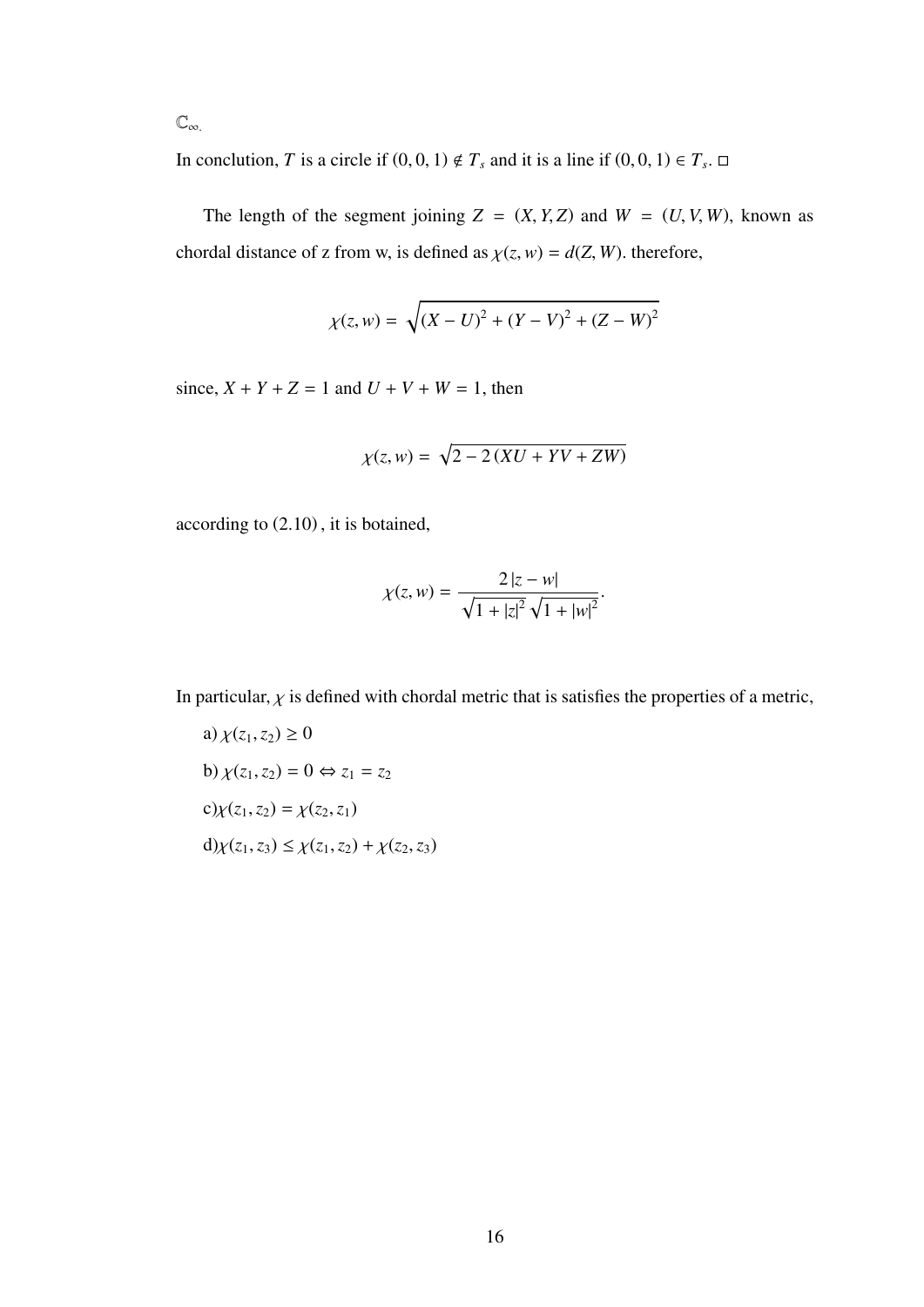$\mathbb{C}_{\infty}$ .

In conclution, *T* is a circle if  $(0, 0, 1) \notin T_s$  and it is a line if  $(0, 0, 1) \in T_s$ .

The length of the segment joining  $Z = (X, Y, Z)$  and  $W = (U, V, W)$ , known as chordal distance of z from w, is defined as  $\chi(z, w) = d(Z, W)$ . therefore,

$$
\chi(z, w) = \sqrt{(X - U)^2 + (Y - V)^2 + (Z - W)^2}
$$

since,  $X + Y + Z = 1$  and  $U + V + W = 1$ , then

$$
\chi(z, w) = \sqrt{2 - 2\left(XU + YV + ZW\right)}
$$

according to (2.10) , it is botained,

$$
\chi(z, w) = \frac{2|z - w|}{\sqrt{1 + |z|^2} \sqrt{1 + |w|^2}}
$$

In particular,  $\chi$  is defined with chordal metric that is satisfies the properties of a metric,

a)  $\chi(z_1, z_2) \ge 0$ b)  $\chi(z_1, z_2) = 0 \Leftrightarrow z_1 = z_2$ c) $\chi(z_1, z_2) = \chi(z_2, z_1)$ d) $\chi(z_1, z_3) \leq \chi(z_1, z_2) + \chi(z_2, z_3)$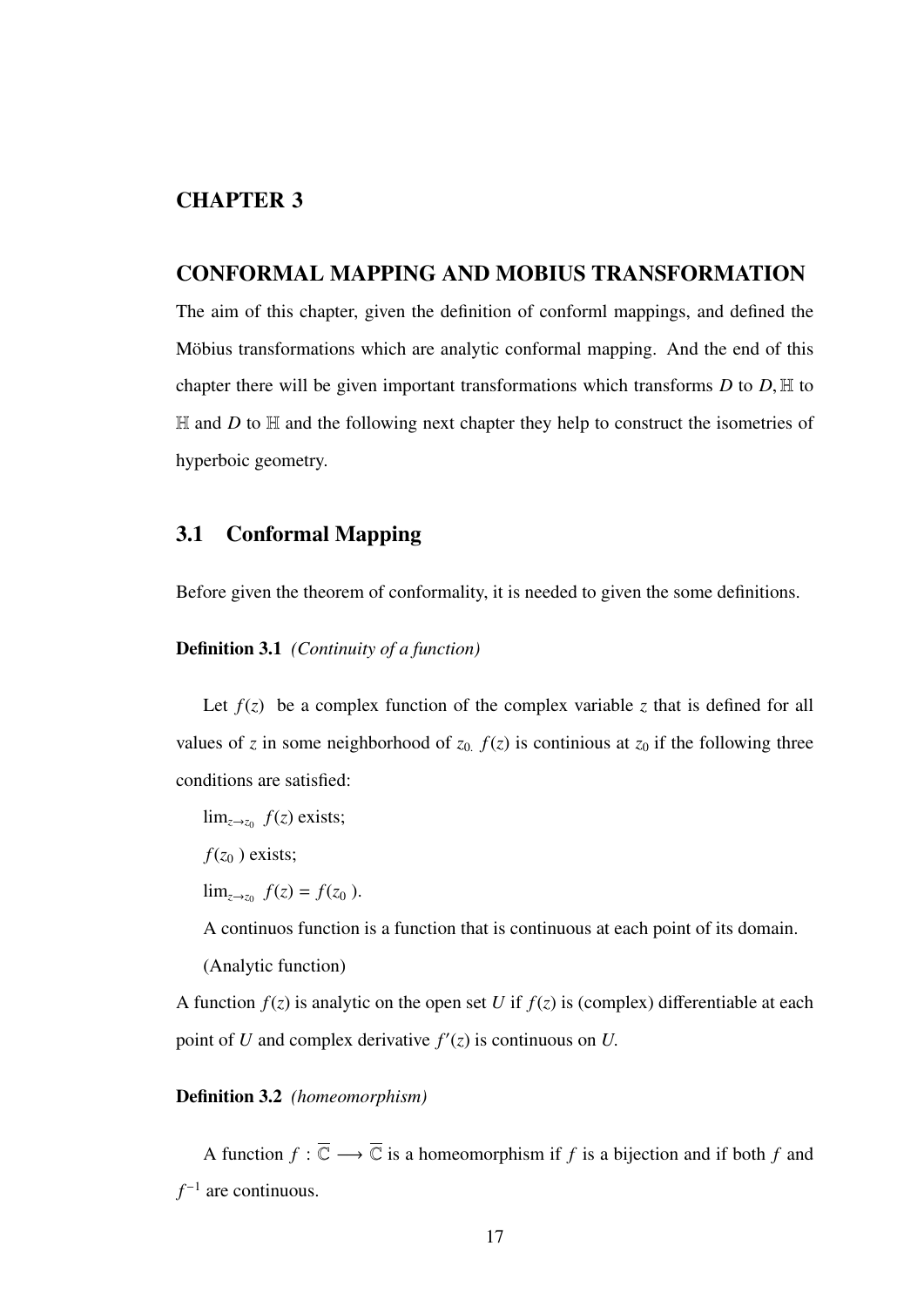## CHAPTER 3

### CONFORMAL MAPPING AND MOBIUS TRANSFORMATION

The aim of this chapter, given the definition of conforml mappings, and defined the Möbius transformations which are analytic conformal mapping. And the end of this chapter there will be given important transformations which transforms  $D$  to  $D$ ,  $H$  to  $H$  and *D* to  $H$  and the following next chapter they help to construct the isometries of hyperboic geometry.

### 3.1 Conformal Mapping

Before given the theorem of conformality, it is needed to given the some definitions.

#### Definition 3.1 *(Continuity of a function)*

Let  $f(z)$  be a complex function of the complex variable z that is defined for all values of *z* in some neighborhood of  $z_0$ .  $f(z)$  is continious at  $z_0$  if the following three conditions are satisfied:

 $\lim_{z\to z_0} f(z)$  exists;

 $f(z_0)$  exists;

lim<sub>*z*→*z*<sup>0</sup></sub>  $f(z) = f(z_0)$ .

A continuos function is a function that is continuous at each point of its domain.

(Analytic function)

A function  $f(z)$  is analytic on the open set *U* if  $f(z)$  is (complex) differentiable at each point of *U* and complex derivative  $f'(z)$  is continuous on *U*.

#### Definition 3.2 *(homeomorphism)*

A function  $f : \overline{\mathbb{C}} \longrightarrow \overline{\mathbb{C}}$  is a homeomorphism if *f* is a bijection and if both *f* and *f*<sup>−1</sup> are continuous.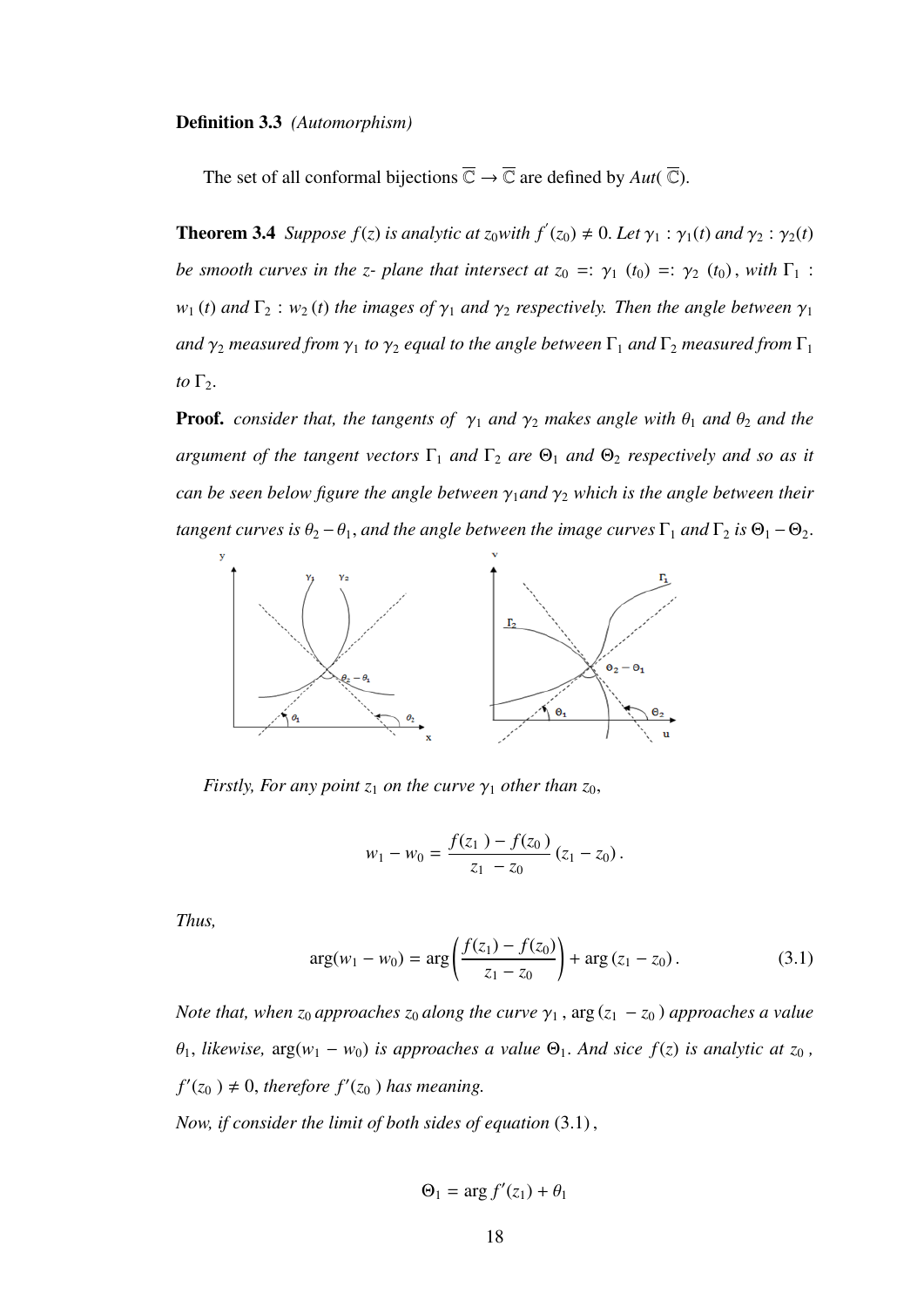#### Definition 3.3 *(Automorphism)*

The set of all conformal bijections  $\overline{\mathbb{C}} \to \overline{\mathbb{C}}$  are defined by  $Aut(\overline{\mathbb{C}})$ .

**Theorem 3.4** *Suppose*  $f(z)$  *is analytic at*  $z_0$ *with*  $f'(z_0) \neq 0$ *. Let*  $\gamma_1 : \gamma_1(t)$  *and*  $\gamma_2 : \gamma_2(t)$ *be smooth curves in the z- plane that intersect at*  $z_0 =: \gamma_1(t_0) =: \gamma_2(t_0)$ *, with*  $\Gamma_1$ :  $w_1(t)$  *and*  $\Gamma_2$  :  $w_2(t)$  *the images of*  $\gamma_1$  *and*  $\gamma_2$  *respectively. Then the angle between*  $\gamma_1$ *and*  $\gamma_2$  *measured from*  $\gamma_1$  *to*  $\gamma_2$  *equal to the angle between*  $\Gamma_1$  *and*  $\Gamma_2$  *measured from*  $\Gamma_1$ *to*  $\Gamma_2$ *.* 

**Proof.** *consider that, the tangents of*  $\gamma_1$  *and*  $\gamma_2$  *makes angle with*  $\theta_1$  *and*  $\theta_2$  *and the argument of the tangent vectors*  $\Gamma_1$  *and*  $\Gamma_2$  *are*  $\Theta_1$  *and*  $\Theta_2$  *respectively and so as it can be seen below figure the angle between* <sup>γ</sup><sup>1</sup>*and* <sup>γ</sup><sup>2</sup> *which is the angle between their tangent curves is*  $\theta_2 - \theta_1$ *, and the angle between the image curves*  $\Gamma_1$  *and*  $\Gamma_2$  *is*  $\Theta_1 - \Theta_2$ *.* 



*Firstly, For any point*  $z_1$  *on the curve*  $\gamma_1$  *other than*  $z_0$ *,* 

$$
w_1 - w_0 = \frac{f(z_1) - f(z_0)}{z_1 - z_0} (z_1 - z_0).
$$

*Thus,*

$$
\arg(w_1 - w_0) = \arg\left(\frac{f(z_1) - f(z_0)}{z_1 - z_0}\right) + \arg\left(z_1 - z_0\right). \tag{3.1}
$$

*Note that, when*  $z_0$  *approaches*  $z_0$  *along the curve*  $\gamma_1$ ,  $\arg(z_1 - z_0)$  *approaches a value*  $\theta_1$ , *likewise*,  $\arg(w_1 - w_0)$  *is approaches a value*  $\Theta_1$ *. And sice*  $f(z)$  *is analytic at*  $z_0$ *,*  $f'(z_0) \neq 0$ , *therefore*  $f'(z_0)$  *has meaning.* 

*Now, if consider the limit of both sides of equation* (3.1) ,

$$
\Theta_1 = \arg f'(z_1) + \theta_1
$$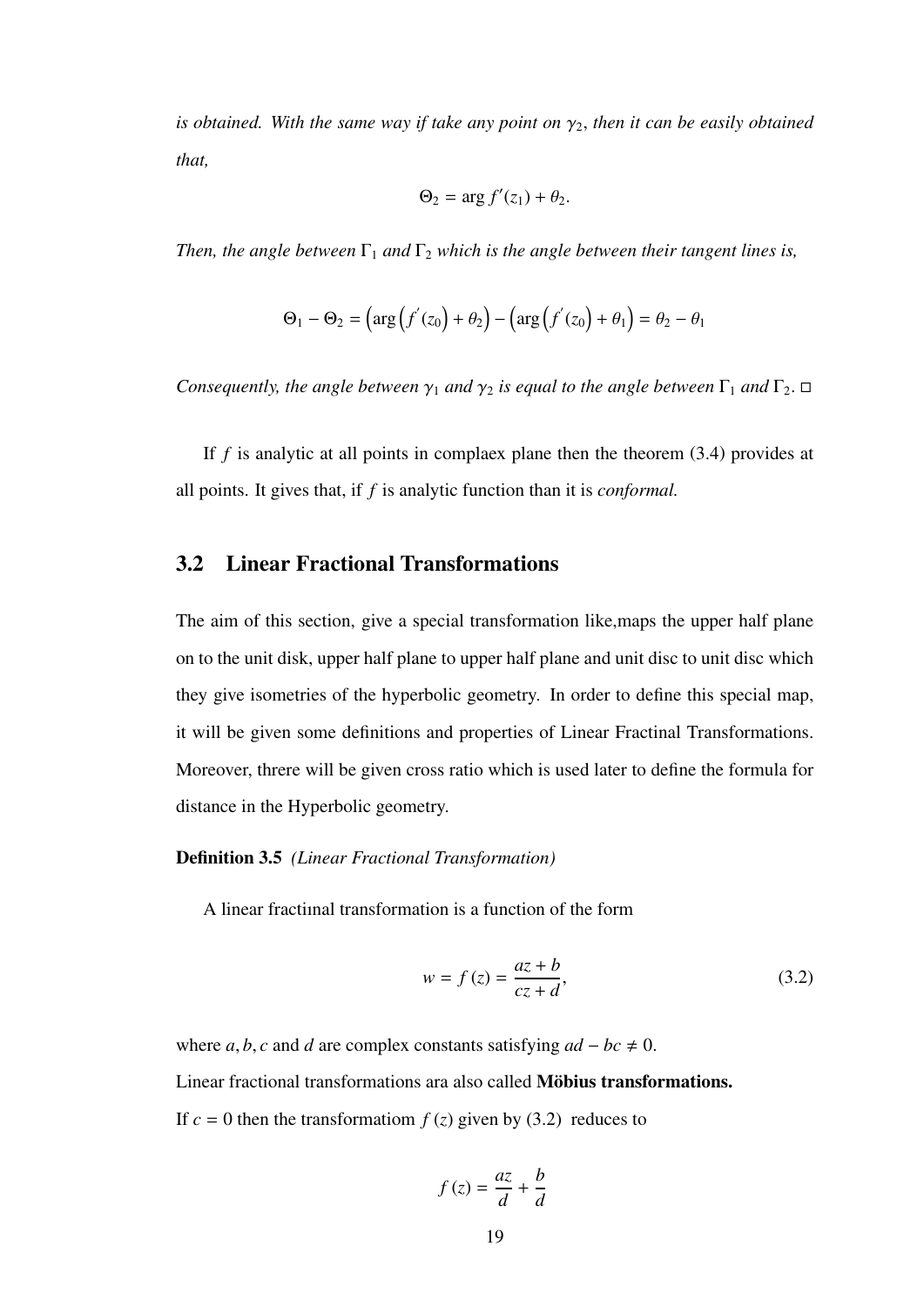*is obtained. With the same way if take any point on*  $\gamma_2$ , *then it can be easily obtained that,*

$$
\Theta_2 = \arg f'(z_1) + \theta_2.
$$

*Then, the angle between*  $\Gamma_1$  *and*  $\Gamma_2$  *which is the angle between their tangent lines is,* 

$$
\Theta_1 - \Theta_2 = \left( \arg \left( f'(z_0) + \theta_2 \right) - \left( \arg \left( f'(z_0) + \theta_1 \right) \right) = \theta_2 - \theta_1
$$

*Consequently, the angle between*  $\gamma_1$  *and*  $\gamma_2$  *is equal to the angle between*  $\Gamma_1$  *and*  $\Gamma_2$ .  $\Box$ 

If *f* is analytic at all points in complaex plane then the theorem (3.4) provides at all points. It gives that, if *f* is analytic function than it is *conformal.*

### 3.2 Linear Fractional Transformations

The aim of this section, give a special transformation like,maps the upper half plane on to the unit disk, upper half plane to upper half plane and unit disc to unit disc which they give isometries of the hyperbolic geometry. In order to define this special map, it will be given some definitions and properties of Linear Fractinal Transformations. Moreover, threre will be given cross ratio which is used later to define the formula for distance in the Hyperbolic geometry.

#### Definition 3.5 *(Linear Fractional Transformation)*

A linear fractiınal transformation is a function of the form

$$
w = f(z) = \frac{az+b}{cz+d},
$$
\n(3.2)

where *a*, *b*, *c* and *d* are complex constants satisfying  $ad - bc \neq 0$ . Linear fractional transformations ara also called Möbius transformations. If  $c = 0$  then the transformation  $f(z)$  given by (3.2) reduces to

$$
f(z) = \frac{az}{d} + \frac{b}{d}
$$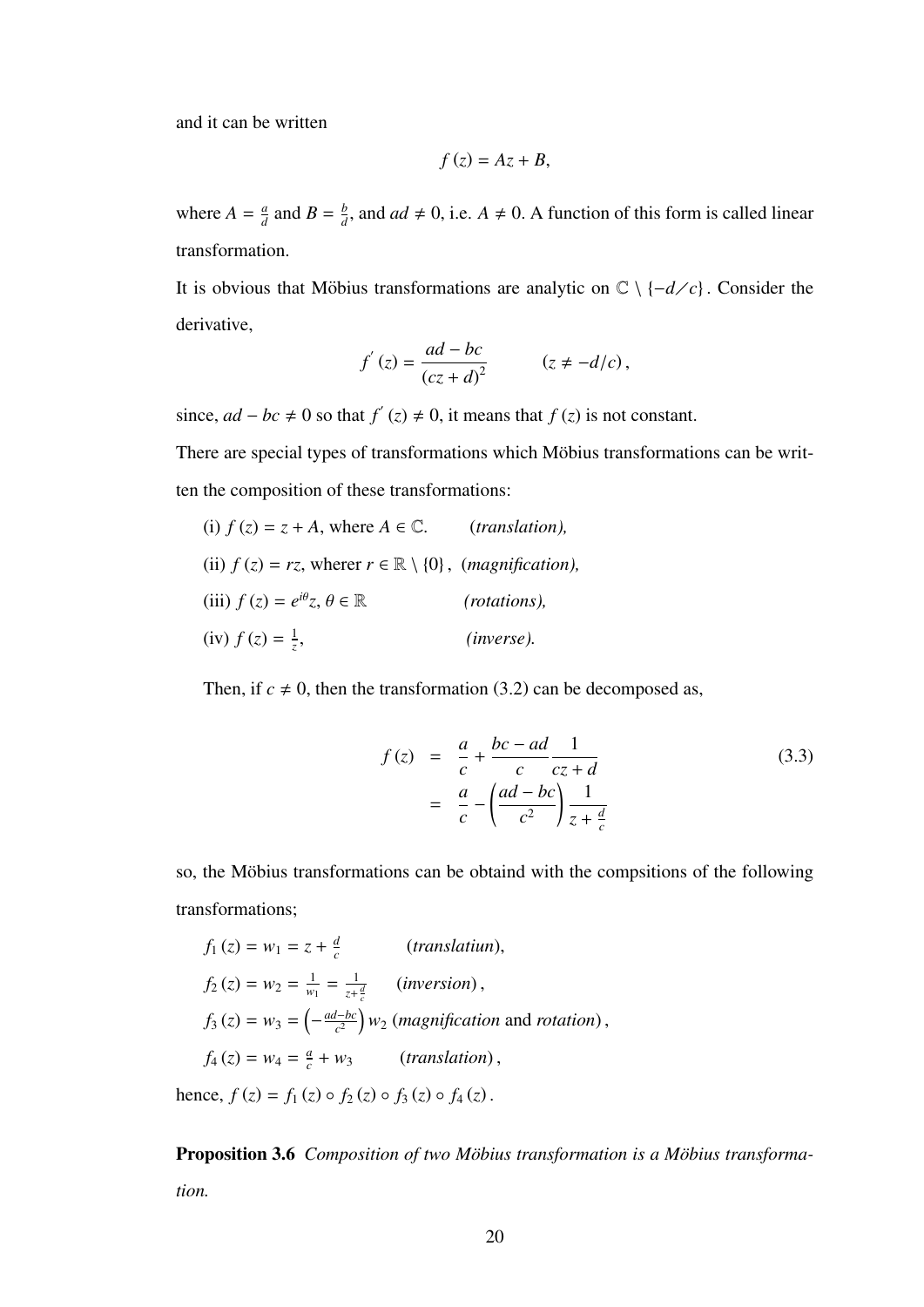and it can be written

$$
f(z)=Az+B,
$$

where  $A = \frac{a}{d}$  $\frac{a}{d}$  and  $B = \frac{b}{d}$  $\frac{b}{d}$ , and *ad*  $\neq$  0, i.e. *A*  $\neq$  0. A function of this form is called linear transformation.

It is obvious that Möbius transformations are analytic on  $\mathbb{C} \setminus \{-d/c\}$ . Consider the derivative,

$$
f'(z) = \frac{ad - bc}{(cz + d)^2} \qquad (z \neq -d/c),
$$

since,  $ad - bc ≠ 0$  so that  $f'(z) ≠ 0$ , it means that  $f(z)$  is not constant.

There are special types of transformations which Möbius transformations can be written the composition of these transformations:

(i) 
$$
f(z) = z + A
$$
, where  $A \in \mathbb{C}$ . (*translation*),  
\n(ii)  $f(z) = rz$ , where  $r \in \mathbb{R} \setminus \{0\}$ , (*magnification*),  
\n(iii)  $f(z) = e^{i\theta}z$ ,  $\theta \in \mathbb{R}$  (*rotations*),  
\n(iv)  $f(z) = \frac{1}{z}$ , (*inverse*).

Then, if  $c \neq 0$ , then the transformation (3.2) can be decomposed as,

$$
f(z) = \frac{a}{c} + \frac{bc - ad}{c} \frac{1}{cz + d}
$$
  

$$
= \frac{a}{c} - \left(\frac{ad - bc}{c^2}\right) \frac{1}{z + \frac{d}{c}}
$$
 (3.3)

so, the Möbius transformations can be obtaind with the compsitions of the following transformations;

$$
f_1(z) = w_1 = z + \frac{d}{c}
$$
 (*translation*),  
\n
$$
f_2(z) = w_2 = \frac{1}{w_1} = \frac{1}{z + \frac{d}{c}}
$$
 (*inversion*),  
\n
$$
f_3(z) = w_3 = \left(-\frac{ad - bc}{c^2}\right)w_2
$$
 (*magnification* and *rotation*),  
\n
$$
f_4(z) = w_4 = \frac{a}{c} + w_3
$$
 (*translation*),

hence,  $f(z) = f_1(z) \circ f_2(z) \circ f_3(z) \circ f_4(z)$ .

Proposition 3.6 *Composition of two Möbius transformation is a Möbius transformation.*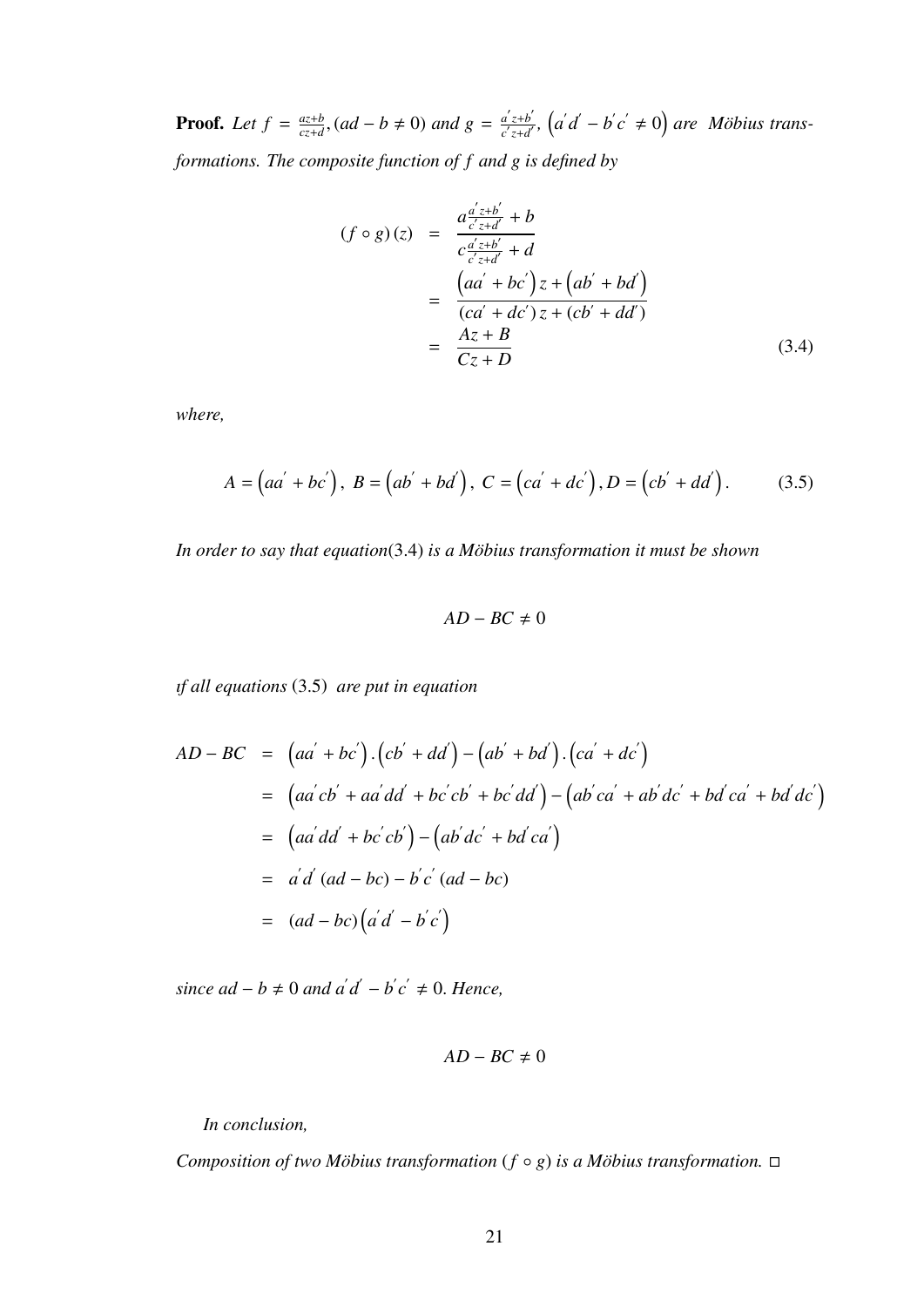**Proof.** Let  $f = \frac{az+b}{cz+d}$ *<u>c<sub>z+</sub><i>d*</sub>, (*ad* − *b* ≠ 0) *and*  $g = \frac{a'z+b'}{c'z+d'}$ </u>  $\frac{a'z+b'}{c'z+d'}$ ,  $(a'd'-b'c' \neq 0)$  are *Möbius transformations. The composite function of f and g is defined by*

$$
(f \circ g)(z) = \frac{a \frac{a'z+b'}{c'z+d'} + b}{c \frac{a'z+b'}{c'z+d'} + d}
$$
  
= 
$$
\frac{(aa' + bc')z + (ab' + bd')}{(ca' + dc')z + (cb' + dd')}
$$
  
= 
$$
\frac{Az + B}{Cz + D}
$$
(3.4)

*where,*

$$
A = (aa' + bc'), B = (ab' + bd'), C = (ca' + dc'), D = (cb' + dd').
$$
 (3.5)

*In order to say that equation*(3.4) *is a Möbius transformation it must be shown* 

$$
AD-BC\neq 0
$$

*ıf all equations* (3.5) *are put in equation*

$$
AD - BC = (aa' + bc').(cb' + dd') - (ab' + bd').(ca' + dc')
$$
  
= 
$$
(aa'cb' + aa'dd' + bc'cb' + bc'dd') - (ab'ca' + ab'dc' + bd'ca' + bd'dc')
$$
  
= 
$$
(aa'dd' + bc'cb') - (ab'dc' + bd'ca')
$$
  
= 
$$
a'd' (ad - bc) - b'c' (ad - bc)
$$
  
= 
$$
(ad - bc)(a'd - b'c')
$$

 $\sin$ ce  $ad - b \neq 0$  and  $a'd' - b'c' \neq 0$ . Hence,

$$
AD-BC\neq 0
$$

*In conclusion,*

*Composition of two Möbius transformation*  $(f \circ g)$  *is a Möbius transformation.*  $\Box$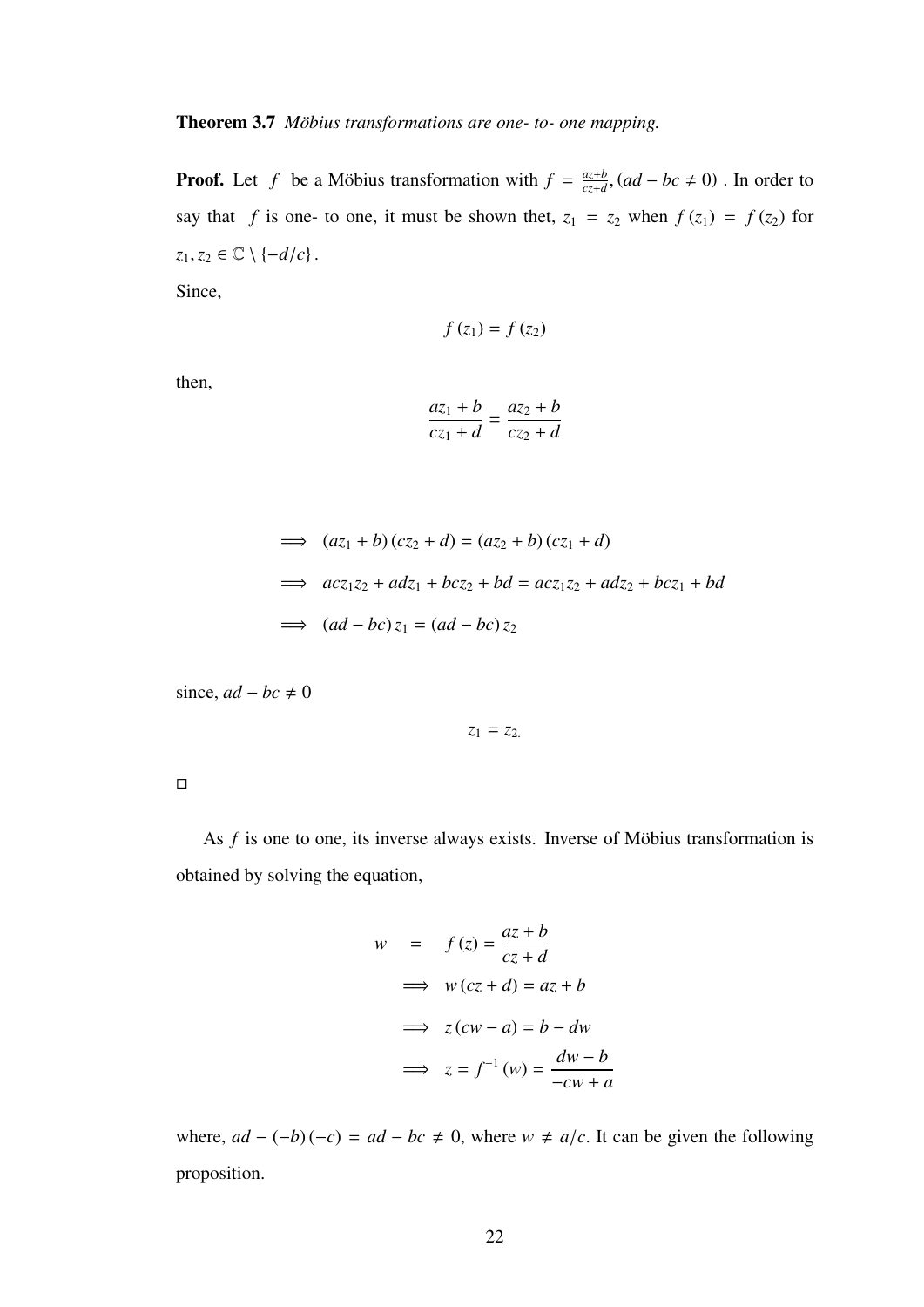Theorem 3.7 *Möbius transformations are one- to- one mapping.* 

**Proof.** Let f be a Möbius transformation with  $f = \frac{az+b}{cz+d}$  $\frac{az+b}{cz+d}$ ,  $(ad-bc \neq 0)$ . In order to say that *f* is one- to one, it must be shown thet,  $z_1 = z_2$  when  $f(z_1) = f(z_2)$  for  $z_1, z_2 \in \mathbb{C} \setminus \{-d/c\}$ .

Since,

$$
f(z_1) = f(z_2)
$$

then,

$$
\frac{az_1 + b}{cz_1 + d} = \frac{az_2 + b}{cz_2 + d}
$$

$$
\implies (az_1 + b)(cz_2 + d) = (az_2 + b)(cz_1 + d)
$$
  
\n
$$
\implies acz_1z_2 + adz_1 + bcz_2 + bd = acz_1z_2 + adz_2 + bcz_1 + bd
$$
  
\n
$$
\implies (ad - bc) z_1 = (ad - bc) z_2
$$

since,  $ad - bc \neq 0$ 

$$
z_1=z_2
$$

 $\Box$ 

As  $f$  is one to one, its inverse always exists. Inverse of Möbius transformation is obtained by solving the equation,

$$
w = f(z) = \frac{az+b}{cz+d}
$$
  
\n
$$
\implies w(cz+d) = az+b
$$
  
\n
$$
\implies z(cw-a) = b - dw
$$
  
\n
$$
\implies z = f^{-1}(w) = \frac{dw-b}{-cw+a}
$$

where,  $ad - (-b)(-c) = ad - bc \neq 0$ , where  $w \neq a/c$ . It can be given the following proposition.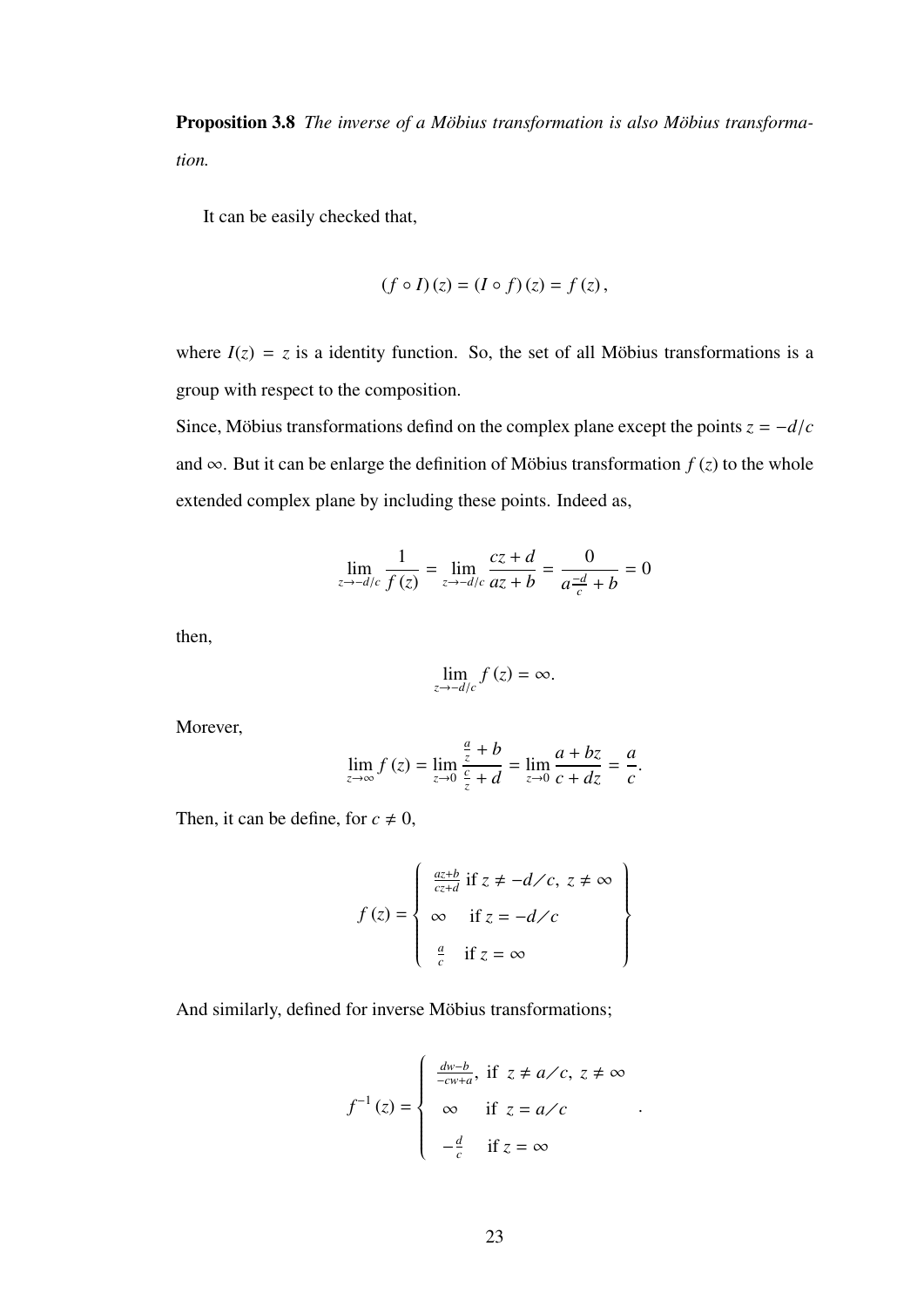**Proposition 3.8** *The inverse of a Möbius transformation is also Möbius transformation.*

It can be easily checked that,

$$
(f \circ I)(z) = (I \circ f)(z) = f(z),
$$

where  $I(z) = z$  is a identity function. So, the set of all Möbius transformations is a group with respect to the composition.

Since, Möbius transformations defind on the complex plane except the points  $z = -d/c$ and  $\infty$ . But it can be enlarge the definition of Möbius transformation  $f(z)$  to the whole extended complex plane by including these points. Indeed as,

$$
\lim_{z \to -d/c} \frac{1}{f(z)} = \lim_{z \to -d/c} \frac{cz + d}{az + b} = \frac{0}{a \frac{-d}{c} + b} = 0
$$

then,

$$
\lim_{z \to -d/c} f(z) = \infty.
$$

Morever,

$$
\lim_{z \to \infty} f(z) = \lim_{z \to 0} \frac{\frac{a}{z} + b}{\frac{c}{z} + d} = \lim_{z \to 0} \frac{a + bz}{c + dz} = \frac{a}{c}.
$$

Then, it can be define, for  $c \neq 0$ ,

$$
f(z) = \begin{cases} \frac{az+b}{cz+d} & \text{if } z \neq -d \diagup c, \ z \neq \infty \\ \infty & \text{if } z = -d \diagup c \\ \frac{a}{c} & \text{if } z = \infty \end{cases}
$$

And similarly, defined for inverse Möbius transformations;

$$
f^{-1}(z) = \begin{cases} \frac{dw - b}{-cw + a}, & \text{if } z \neq a \nearrow c, z \neq \infty \\ \infty & \text{if } z = a \nearrow c \\ -\frac{d}{c} & \text{if } z = \infty \end{cases}
$$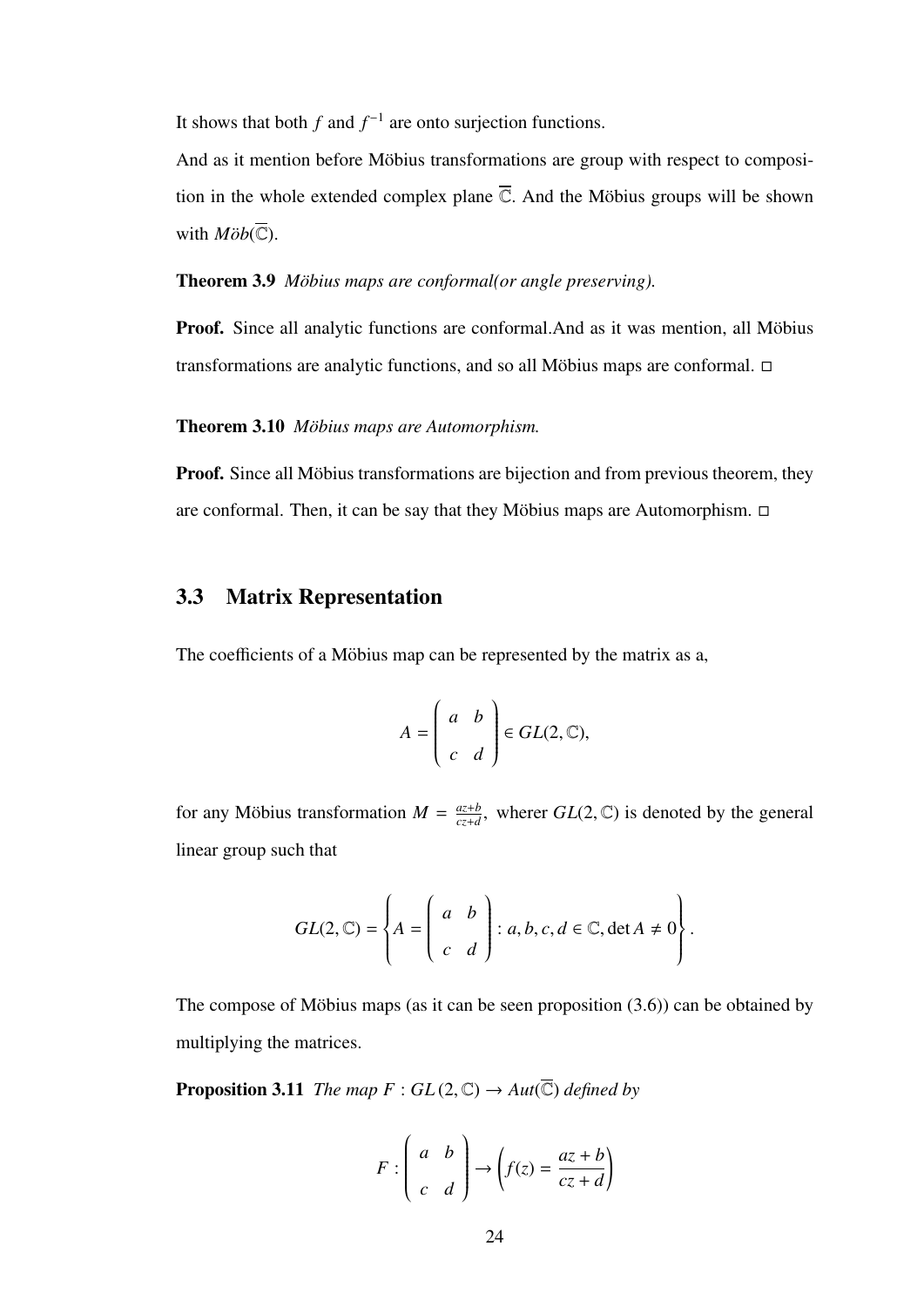It shows that both  $f$  and  $f^{-1}$  are onto surjection functions.

And as it mention before Möbius transformations are group with respect to composition in the whole extended complex plane  $\overline{C}$ . And the Möbius groups will be shown with  $M\ddot{o}b(\overline{\mathbb{C}})$ .

**Theorem 3.9** *Möbius maps are conformal(or angle preserving).* 

Proof. Since all analytic functions are conformal.And as it was mention, all Möbius transformations are analytic functions, and so all Möbius maps are conformal.  $\Box$ 

#### Theorem 3.10 *Möbius maps are Automorphism.*

**Proof.** Since all Möbius transformations are bijection and from previous theorem, they are conformal. Then, it can be say that they Möbius maps are Automorphism.  $\Box$ 

## 3.3 Matrix Representation

The coefficients of a Möbius map can be represented by the matrix as a,

$$
A = \begin{pmatrix} a & b \\ c & d \end{pmatrix} \in GL(2, \mathbb{C}),
$$

for any Möbius transformation  $M = \frac{az+b}{cz+d}$  $\frac{az+b}{cz+d}$ , wherer  $GL(2,\mathbb{C})$  is denoted by the general linear group such that

$$
GL(2,\mathbb{C}) = \left\{ A = \left( \begin{array}{cc} a & b \\ c & d \end{array} \right) : a, b, c, d \in \mathbb{C}, \det A \neq 0 \right\}.
$$

The compose of Möbius maps (as it can be seen proposition  $(3.6)$ ) can be obtained by multiplying the matrices.

**Proposition 3.11** *The map*  $F: GL(2, \mathbb{C}) \rightarrow Aut(\overline{\mathbb{C}})$  *defined by* 

$$
F: \begin{pmatrix} a & b \\ c & d \end{pmatrix} \to \begin{pmatrix} f(z) = \frac{az+b}{cz+d} \end{pmatrix}
$$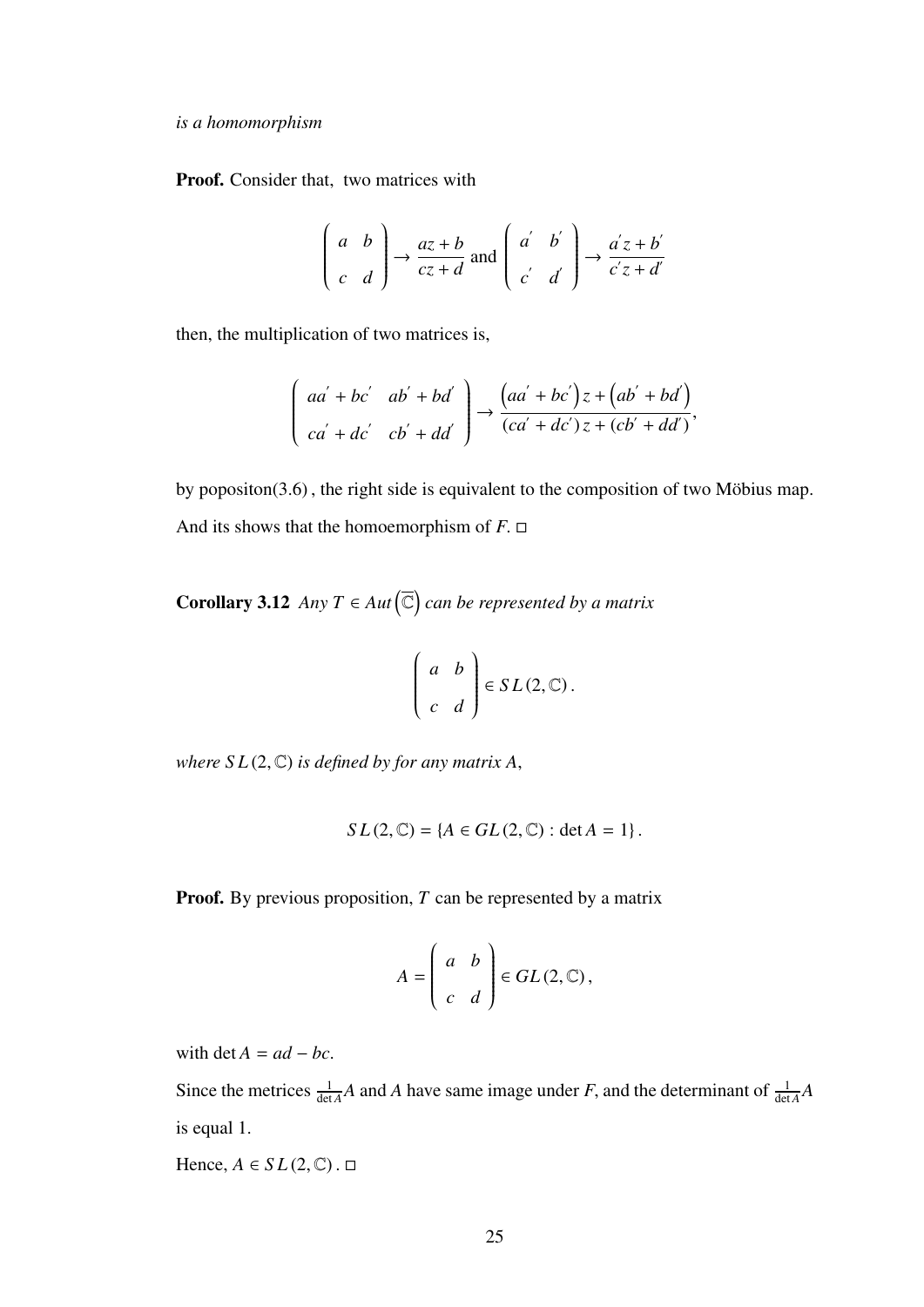#### *is a homomorphism*

Proof. Consider that, two matrices with

$$
\begin{pmatrix} a & b \\ c & d \end{pmatrix} \rightarrow \frac{az+b}{cz+d} \text{ and } \begin{pmatrix} a' & b' \\ c' & d \end{pmatrix} \rightarrow \frac{a'z+b'}{c'z+d'}
$$

then, the multiplication of two matrices is,

$$
\begin{pmatrix} aa' + bc' & ab' + bd' \\ ca' + dc' & cb' + dd' \end{pmatrix} \rightarrow \frac{(aa' + bc')z + (ab' + bd')}{(ca' + dc')z + (cb' + dd')},
$$

by popositon $(3.6)$ , the right side is equivalent to the composition of two Möbius map. And its shows that the homoemorphism of  $F$ .  $\Box$ 

**Corollary 3.12** *Any*  $T \in Aut(\overline{\mathbb{C}})$  *can be represented by a matrix* 

$$
\left(\begin{array}{cc} a & b \\ c & d \end{array}\right) \in SL(2, \mathbb{C}).
$$

*where*  $SL(2, \mathbb{C})$  *is defined by for any matrix A,* 

$$
SL(2,\mathbb{C}) = \{A \in GL(2,\mathbb{C}) : \det A = 1\}.
$$

Proof. By previous proposition, *T* can be represented by a matrix

$$
A = \left(\begin{array}{cc} a & b \\ c & d \end{array}\right) \in GL(2, \mathbb{C}),
$$

with det  $A = ad - bc$ .

Since the metrices  $\frac{1}{\det A}A$  and *A* have same image under *F*, and the determinant of  $\frac{1}{\det A}A$ is equal 1.

Hence,  $A \in SL(2, \mathbb{C})$ .  $\Box$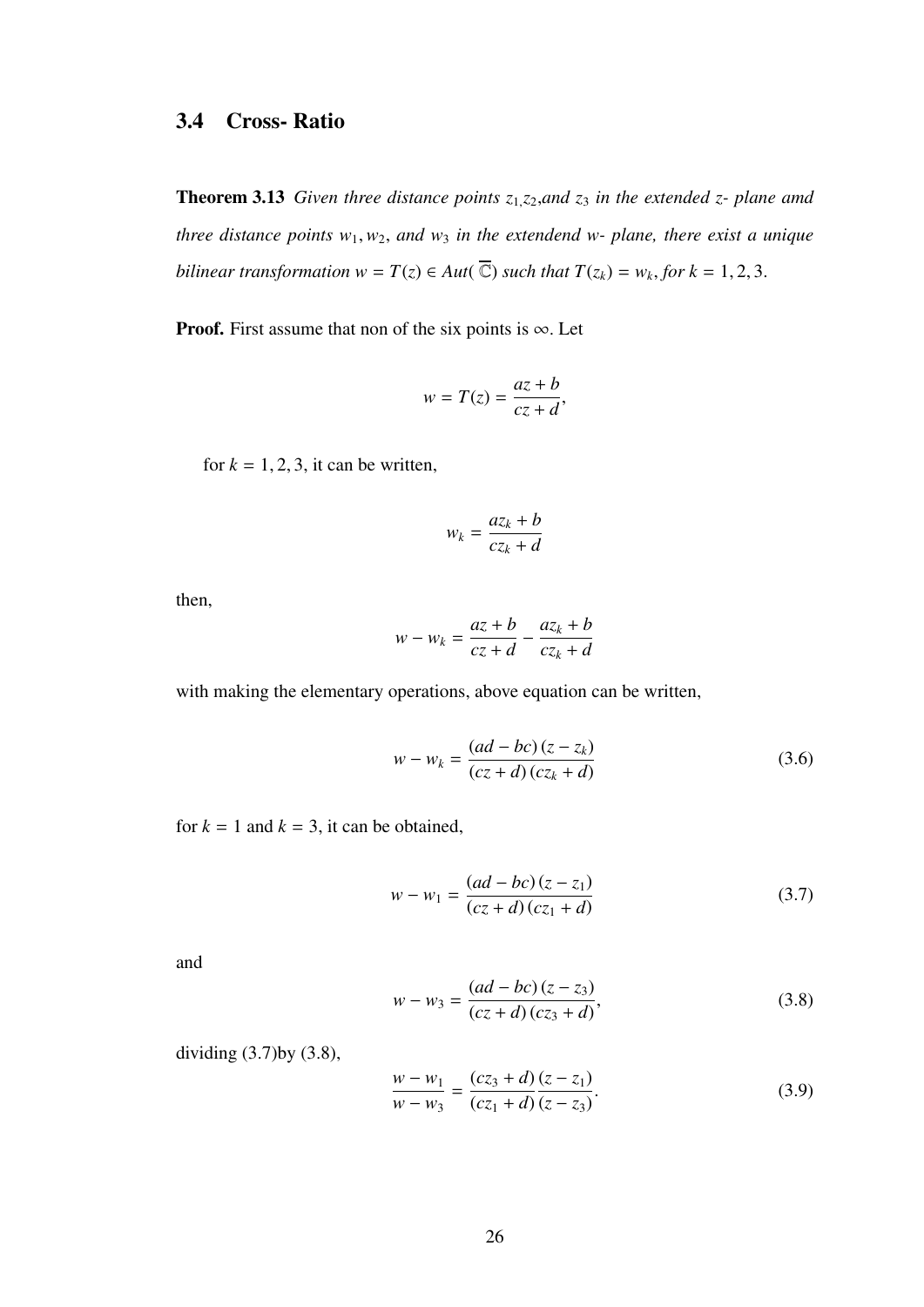## 3.4 Cross- Ratio

Theorem 3.13 *Given three distance points z*<sup>1</sup>,*z*<sup>2</sup>,*and z*<sup>3</sup> *in the extended z- plane amd three distance points*  $w_1, w_2$ *, and*  $w_3$  *in the extendend*  $w$ *- plane, there exist a unique bilinear transformation*  $w = T(z) \in Aut(\overline{\mathbb{C}})$  *such that*  $T(z_k) = w_k$ , *for*  $k = 1, 2, 3$ .

**Proof.** First assume that non of the six points is  $\infty$ . Let

$$
w = T(z) = \frac{az + b}{cz + d},
$$

for  $k = 1, 2, 3$ , it can be written,

$$
w_k = \frac{az_k + b}{cz_k + d}
$$

then,

$$
w - w_k = \frac{az + b}{cz + d} - \frac{az_k + b}{cz_k + d}
$$

with making the elementary operations, above equation can be written,

$$
w - w_k = \frac{(ad - bc)(z - z_k)}{(cz + d)(cz_k + d)}
$$
(3.6)

for  $k = 1$  and  $k = 3$ , it can be obtained,

$$
w - w_1 = \frac{(ad - bc)(z - z_1)}{(cz + d)(cz_1 + d)}
$$
(3.7)

and

$$
w - w_3 = \frac{(ad - bc)(z - z_3)}{(cz + d)(cz_3 + d)},
$$
\n(3.8)

dividing (3.7)by (3.8),

$$
\frac{w - w_1}{w - w_3} = \frac{(cz_3 + d)}{(cz_1 + d)} \frac{(z - z_1)}{(z - z_3)}.
$$
\n(3.9)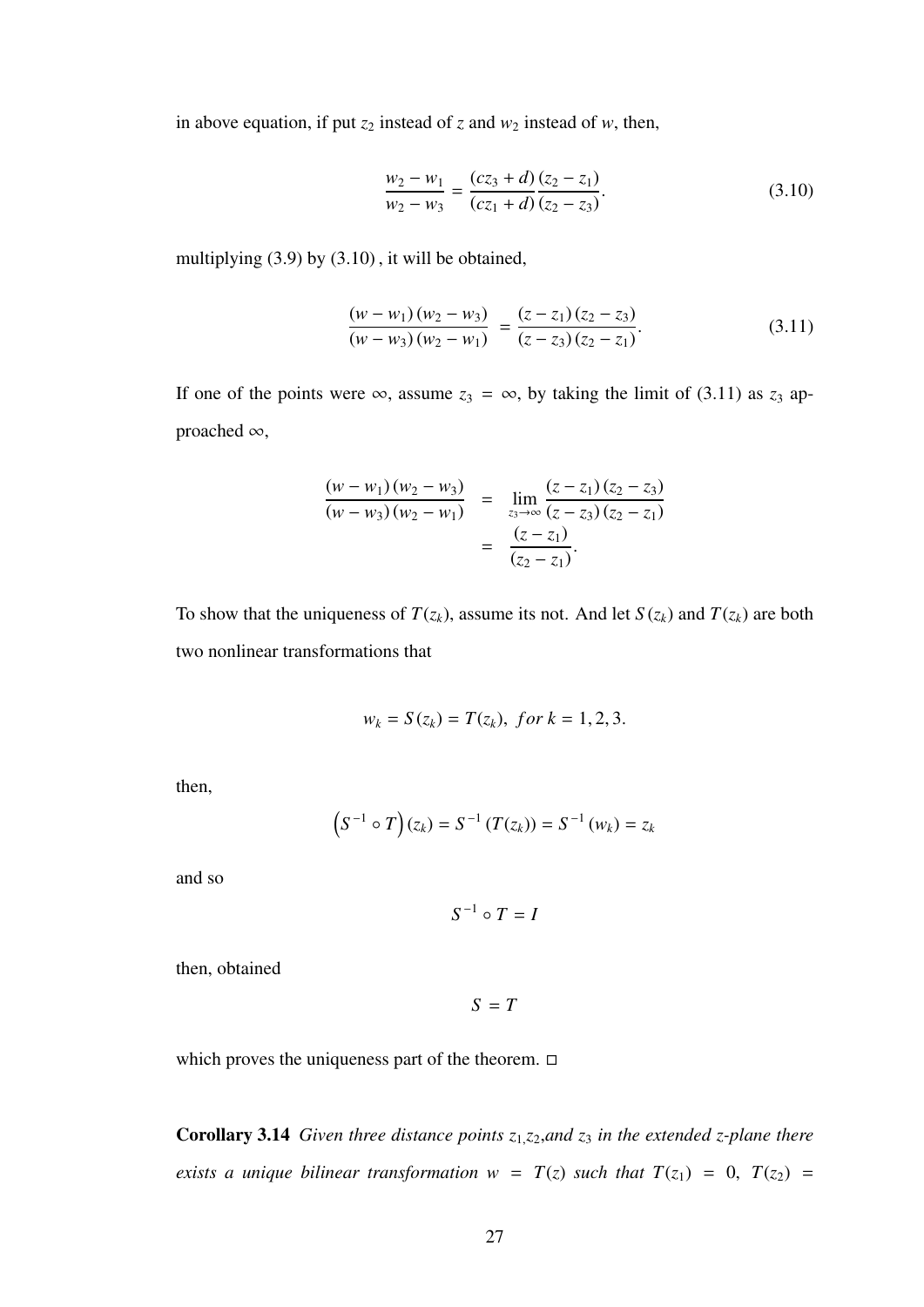in above equation, if put  $z_2$  instead of  $z$  and  $w_2$  instead of  $w$ , then,

$$
\frac{w_2 - w_1}{w_2 - w_3} = \frac{(cz_3 + d)}{(cz_1 + d)} \frac{(z_2 - z_1)}{(z_2 - z_3)}.
$$
\n(3.10)

multiplying (3.9) by (3.10) , it will be obtained,

$$
\frac{(w-w_1)(w_2-w_3)}{(w-w_3)(w_2-w_1)} = \frac{(z-z_1)(z_2-z_3)}{(z-z_3)(z_2-z_1)}.
$$
\n(3.11)

If one of the points were  $\infty$ , assume  $z_3 = \infty$ , by taking the limit of (3.11) as  $z_3$  approached <sup>∞</sup>,

$$
\frac{(w - w_1)(w_2 - w_3)}{(w - w_3)(w_2 - w_1)} = \lim_{z_3 \to \infty} \frac{(z - z_1)(z_2 - z_3)}{(z - z_3)(z_2 - z_1)} = \frac{(z - z_1)}{(z_2 - z_1)}.
$$

To show that the uniqueness of  $T(z_k)$ , assume its not. And let  $S(z_k)$  and  $T(z_k)$  are both two nonlinear transformations that

$$
w_k = S(z_k) = T(z_k), \text{ for } k = 1, 2, 3.
$$

then,

$$
(S^{-1} \circ T)(z_k) = S^{-1}(T(z_k)) = S^{-1}(w_k) = z_k
$$

and so

 $S^{-1} \circ T = I$ 

then, obtained

*S* = *T*

which proves the uniqueness part of the theorem.  $\Box$ 

Corollary 3.14 *Given three distance points z*<sup>1</sup>,*z*<sup>2</sup>,*and z*<sup>3</sup> *in the extended z-plane there exists a unique bilinear transformation*  $w = T(z)$  *such that*  $T(z_1) = 0$ ,  $T(z_2) =$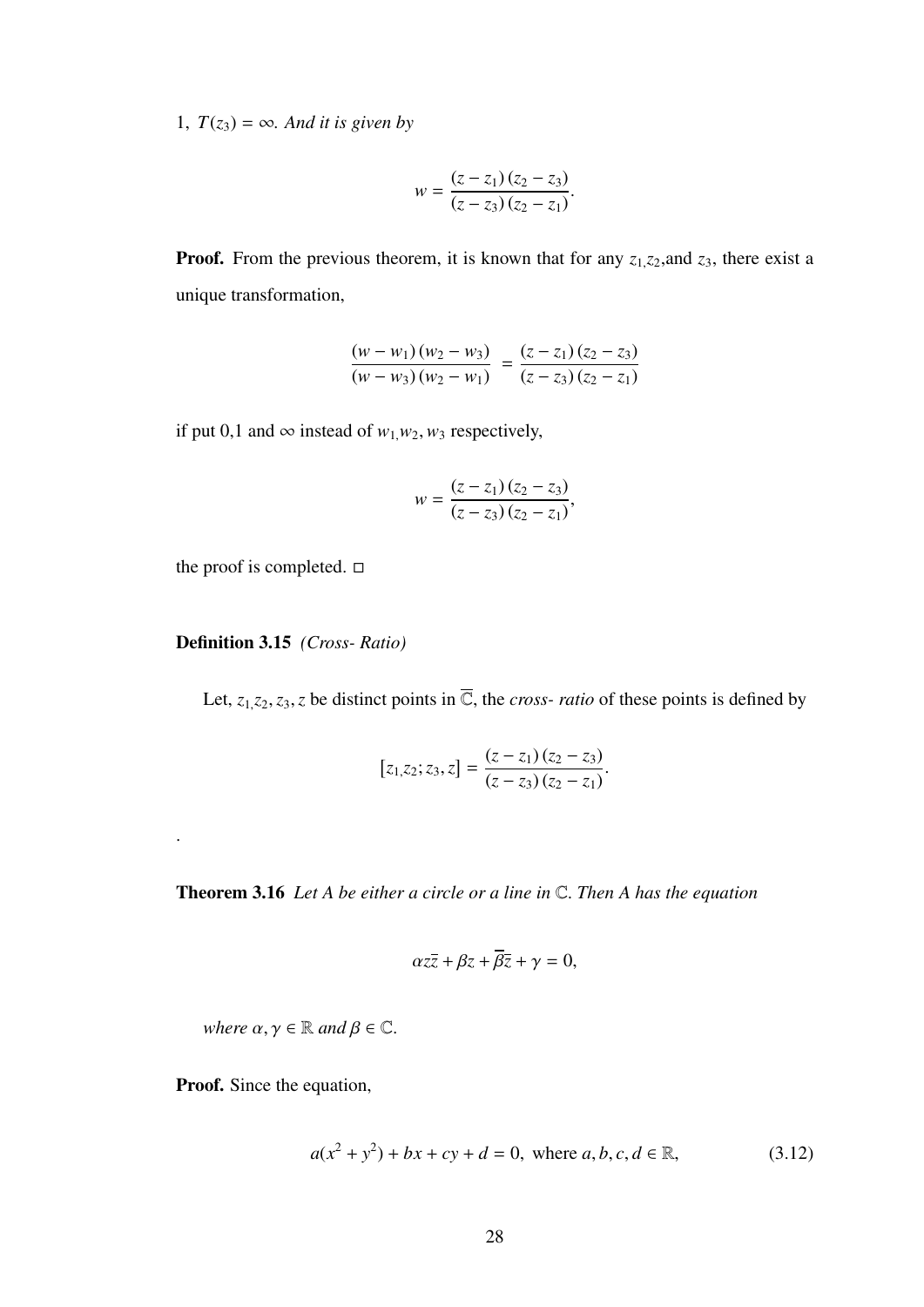1,  $T(z_3) = \infty$ *. And it is given by* 

$$
w = \frac{(z - z_1)(z_2 - z_3)}{(z - z_3)(z_2 - z_1)}.
$$

**Proof.** From the previous theorem, it is known that for any  $z_1$ ,  $z_2$ , and  $z_3$ , there exist a unique transformation,

$$
\frac{(w-w_1)(w_2-w_3)}{(w-w_3)(w_2-w_1)} = \frac{(z-z_1)(z_2-z_3)}{(z-z_3)(z_2-z_1)}
$$

if put 0,1 and ∞ instead of  $w_1, w_2, w_3$  respectively,

$$
w = \frac{(z - z_1)(z_2 - z_3)}{(z - z_3)(z_2 - z_1)},
$$

the proof is completed.  $\square$ 

#### Definition 3.15 *(Cross- Ratio)*

Let,  $z_1, z_2, z_3, z$  be distinct points in  $\overline{C}$ , the *cross- ratio* of these points is defined by

$$
[z_1, z_2; z_3, z] = \frac{(z - z_1)(z_2 - z_3)}{(z - z_3)(z_2 - z_1)}.
$$

Theorem 3.16 *Let A be either a circle or a line in* <sup>C</sup>. *Then A has the equation*

$$
\alpha z\overline{z} + \beta z + \overline{\beta}\overline{z} + \gamma = 0,
$$

*where*  $\alpha, \gamma \in \mathbb{R}$  *and*  $\beta \in \mathbb{C}$ *.* 

Proof. Since the equation,

.

$$
a(x^{2} + y^{2}) + bx + cy + d = 0, \text{ where } a, b, c, d \in \mathbb{R},
$$
 (3.12)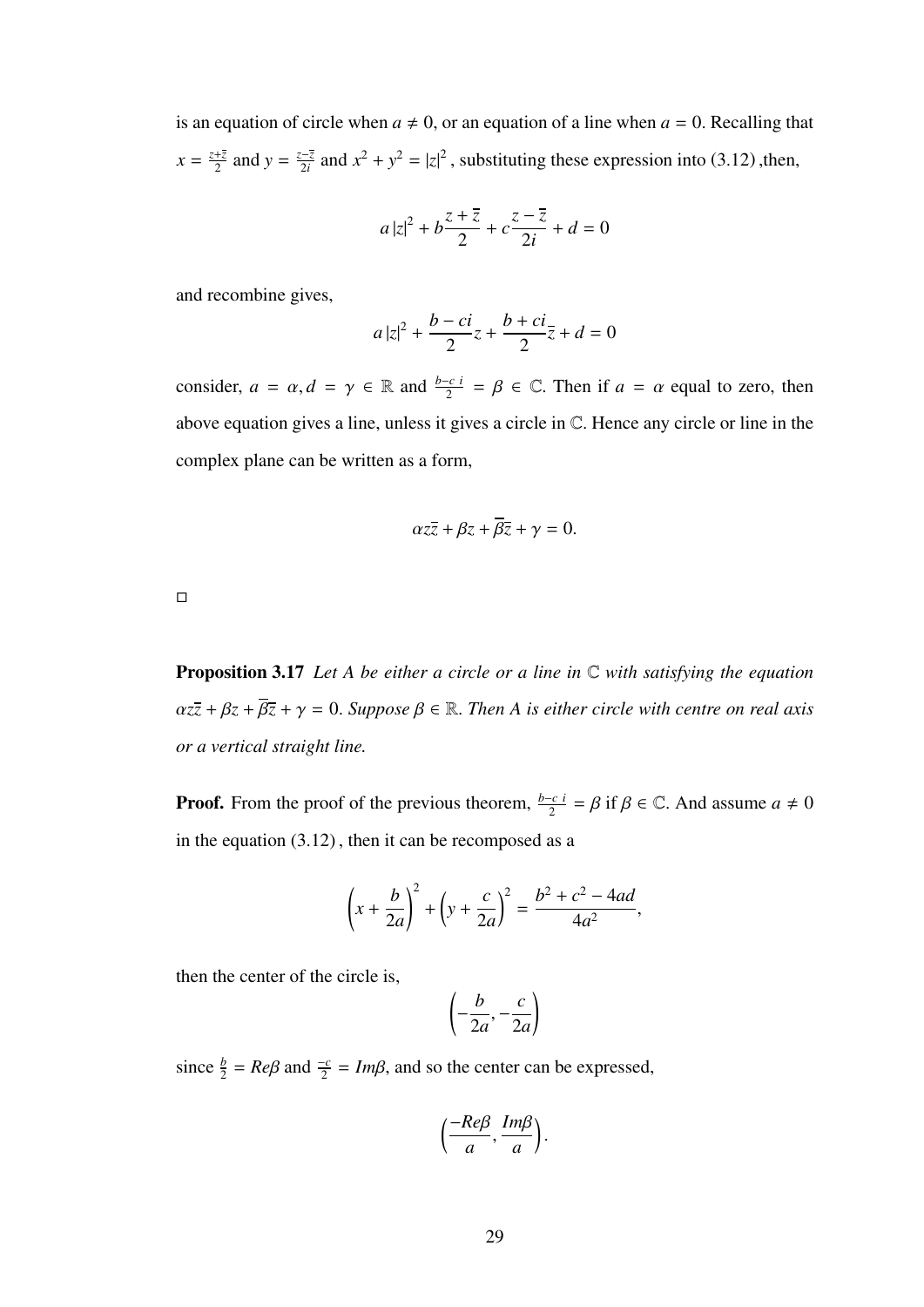is an equation of circle when  $a \neq 0$ , or an equation of a line when  $a = 0$ . Recalling that  $x = \frac{z+\overline{z}}{2}$  $\frac{+z}{2}$  and  $y = \frac{z-\overline{z}}{2i}$  $\frac{z-\overline{z}}{2i}$  and  $x^2 + y^2 = |z|^2$ , substituting these expression into (3.12), then,

$$
a\left|z\right|^2+b\frac{z+\overline{z}}{2}+c\frac{z-\overline{z}}{2i}+d=0
$$

and recombine gives,

$$
a|z|^2 + \frac{b - ci}{2}z + \frac{b + ci}{2}\overline{z} + d = 0
$$

consider,  $a = \alpha$ ,  $d = \gamma \in \mathbb{R}$  and  $\frac{b-c}{2} = \beta \in \mathbb{C}$ . Then if  $a = \alpha$  equal to zero, then above equation gives a line, unless it gives a circle in <sup>C</sup>. Hence any circle or line in the complex plane can be written as a form,

$$
\alpha z\overline{z} + \beta z + \overline{\beta z} + \gamma = 0.
$$

 $\Box$ 

Proposition 3.17 *Let A be either a circle or a line in* C *with satisfying the equation*  $\alpha z\overline{z} + \beta z + \overline{\beta z} + \gamma = 0$ . *Suppose*  $\beta \in \mathbb{R}$ . *Then A is either circle with centre on real axis or a vertical straight line.*

**Proof.** From the proof of the previous theorem,  $\frac{b-c}{2} = \beta$  if  $\beta \in \mathbb{C}$ . And assume  $a \neq 0$ in the equation (3.12) , then it can be recomposed as a

$$
\left(x + \frac{b}{2a}\right)^2 + \left(y + \frac{c}{2a}\right)^2 = \frac{b^2 + c^2 - 4ad}{4a^2},
$$

then the center of the circle is,

$$
\left(-\frac{b}{2a}, -\frac{c}{2a}\right)
$$

since  $\frac{b}{2} = Re\beta$  and  $\frac{-c}{2} = Im\beta$ , and so the center can be expressed,

$$
\left(\frac{-Re\beta}{a}, \frac{Im\beta}{a}\right).
$$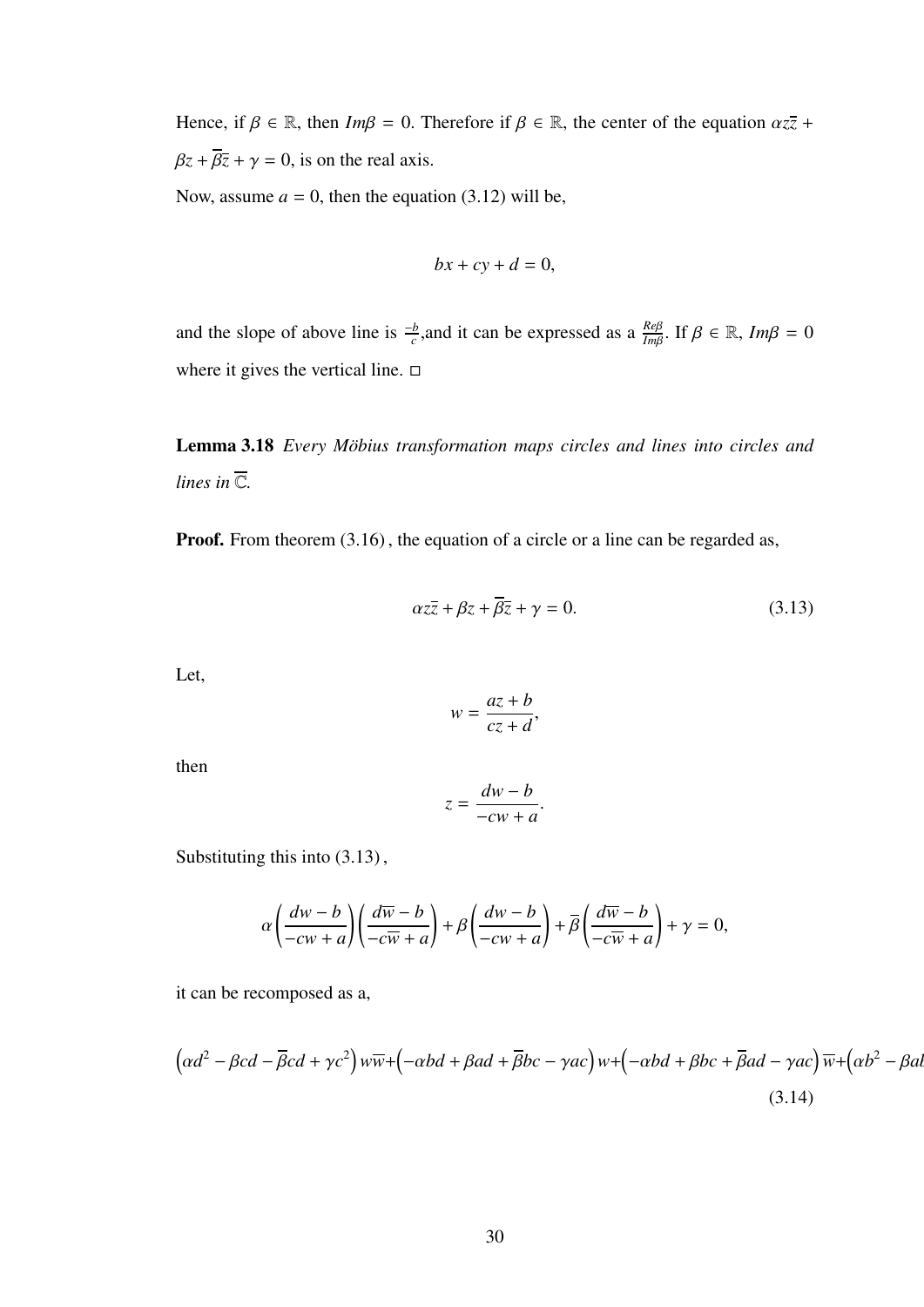Hence, if  $\beta \in \mathbb{R}$ , then  $Im\beta = 0$ . Therefore if  $\beta \in \mathbb{R}$ , the center of the equation  $\alpha z\overline{z}$  +  $\beta z + \overline{\beta z} + \gamma = 0$ , is on the real axis.

Now, assume  $a = 0$ , then the equation (3.12) will be,

$$
bx + cy + d = 0,
$$

and the slope of above line is  $\frac{-b}{c}$ , and it can be expressed as a  $\frac{Re\beta}{Im\beta}$ . If  $\beta \in \mathbb{R}$ ,  $Im\beta = 0$ where it gives the vertical line.  $\Box$ 

Lemma 3.18 *Every Möbius transformation maps circles and lines into circles and lines in*  $\overline{\mathbb{C}}$ *.* 

Proof. From theorem  $(3.16)$ , the equation of a circle or a line can be regarded as,

$$
\alpha z\overline{z} + \beta z + \overline{\beta z} + \gamma = 0. \tag{3.13}
$$

Let,

$$
w = \frac{az + b}{cz + d},
$$

then

$$
z = \frac{dw - b}{-cw + a}.
$$

Substituting this into (3.13) ,

$$
\alpha \left( \frac{dw - b}{-cw + a} \right) \left( \frac{d\overline{w} - b}{-c\overline{w} + a} \right) + \beta \left( \frac{dw - b}{-cw + a} \right) + \overline{\beta} \left( \frac{d\overline{w} - b}{-c\overline{w} + a} \right) + \gamma = 0,
$$

it can be recomposed as a,

$$
\left(\alpha d^2 - \beta c d - \overline{\beta} c d + \gamma c^2\right) w \overline{w} + \left(-\alpha b d + \beta a d + \overline{\beta} b c - \gamma a c\right) w + \left(-\alpha b d + \beta b c + \overline{\beta} a d - \gamma a c\right) \overline{w} + \left(\alpha b^2 - \beta a d\right)
$$
\n(3.14)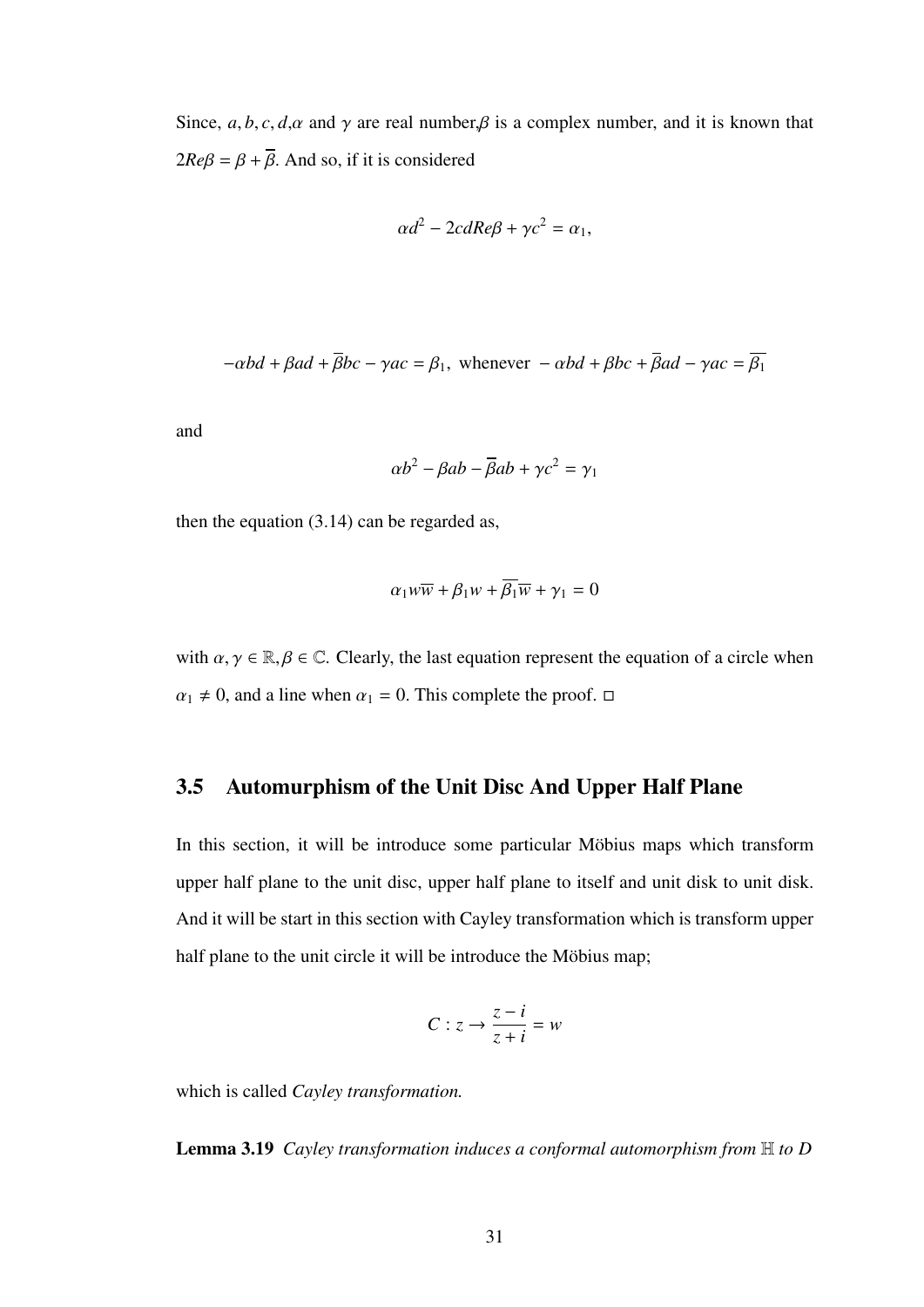Since,  $a, b, c, d, \alpha$  and  $\gamma$  are real number,  $\beta$  is a complex number, and it is known that  $2Re\beta = \beta + \overline{\beta}$ . And so, if it is considered

$$
\alpha d^2 - 2cdRe\beta + \gamma c^2 = \alpha_1,
$$

$$
-\alpha bd + \beta ad + \overline{\beta}bc - \gamma ac = \beta_1, \text{ whenever } -\alpha bd + \beta bc + \overline{\beta}ad - \gamma ac = \overline{\beta_1}
$$

and

$$
\alpha b^2 - \beta ab - \overline{\beta} ab + \gamma c^2 = \gamma_1
$$

then the equation (3.14) can be regarded as,

$$
\alpha_1 w \overline{w} + \beta_1 w + \overline{\beta_1} \overline{w} + \gamma_1 = 0
$$

with  $\alpha, \gamma \in \mathbb{R}, \beta \in \mathbb{C}$ . Clearly, the last equation represent the equation of a circle when  $\alpha_1 \neq 0$ , and a line when  $\alpha_1 = 0$ . This complete the proof.  $\Box$ 

## 3.5 Automurphism of the Unit Disc And Upper Half Plane

In this section, it will be introduce some particular Möbius maps which transform upper half plane to the unit disc, upper half plane to itself and unit disk to unit disk. And it will be start in this section with Cayley transformation which is transform upper half plane to the unit circle it will be introduce the Möbius map;

$$
C: z \to \frac{z-i}{z+i} = w
$$

which is called *Cayley transformation.*

Lemma 3.19 *Cayley transformation induces a conformal automorphism from* H *to D*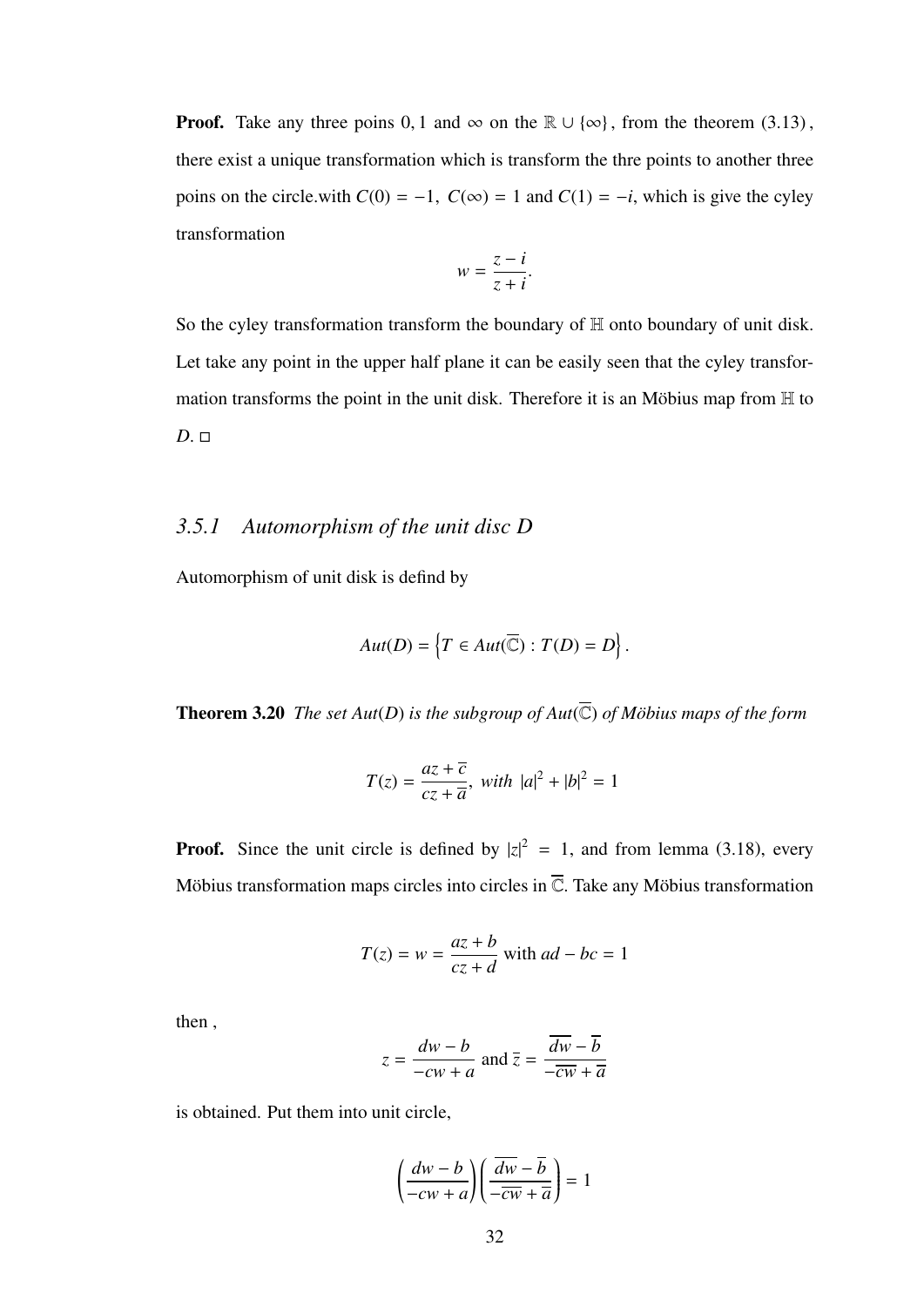**Proof.** Take any three poins 0, 1 and  $\infty$  on the  $\mathbb{R} \cup {\infty}$ , from the theorem (3.13), there exist a unique transformation which is transform the thre points to another three poins on the circle.with  $C(0) = -1$ ,  $C(\infty) = 1$  and  $C(1) = -i$ , which is give the cyley transformation

$$
w = \frac{z - i}{z + i}.
$$

So the cyley transformation transform the boundary of H onto boundary of unit disk. Let take any point in the upper half plane it can be easily seen that the cyley transformation transforms the point in the unit disk. Therefore it is an Möbius map from  $H$  to  $D \square$ 

## *3.5.1 Automorphism of the unit disc D*

Automorphism of unit disk is defind by

$$
Aut(D) = \left\{ T \in Aut(\overline{\mathbb{C}}) : T(D) = D \right\}.
$$

**Theorem 3.20** *The set Aut*(*D*) *is the subgroup of Aut*( $\overline{C}$ ) *of Möbius maps of the form* 

$$
T(z) = \frac{az + \overline{c}}{cz + \overline{a}}, \text{ with } |a|^2 + |b|^2 = 1
$$

**Proof.** Since the unit circle is defined by  $|z|^2 = 1$ , and from lemma (3.18), every Möbius transformation maps circles into circles in  $\overline{\mathbb{C}}$ . Take any Möbius transformation

$$
T(z) = w = \frac{az + b}{cz + d}
$$
 with  $ad - bc = 1$ 

then ,

$$
z = \frac{dw - b}{-cw + a} \text{ and } \overline{z} = \frac{\overline{dw} - \overline{b}}{-\overline{cw} + \overline{a}}
$$

is obtained. Put them into unit circle,

$$
\left(\frac{dw-b}{-cw+a}\right)\left(\frac{\overline{dw}-\overline{b}}{-\overline{cw}+\overline{a}}\right)=1
$$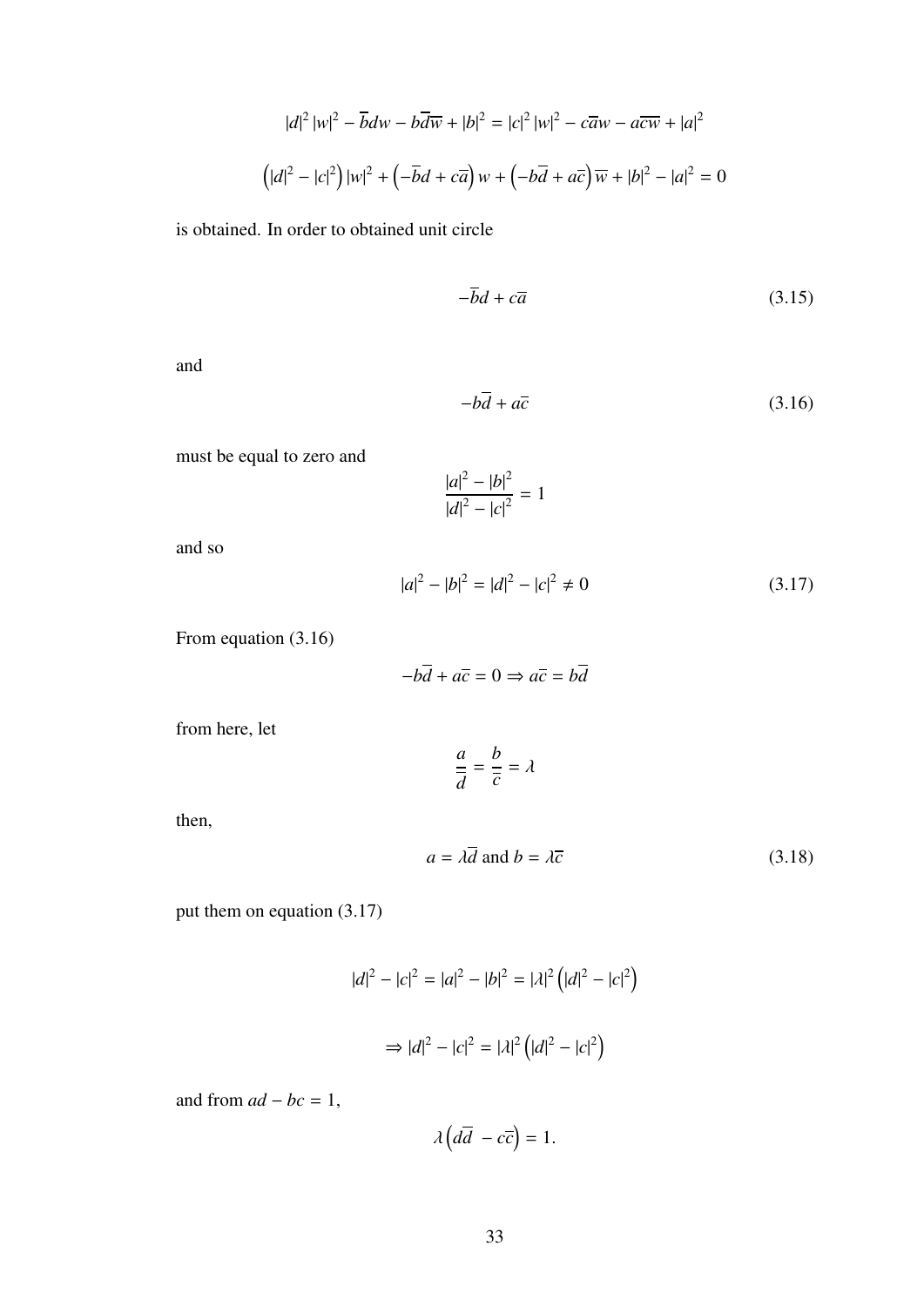$$
|d|^2 |w|^2 - \overline{b}dw - b\overline{dw} + |b|^2 = |c|^2 |w|^2 - c\overline{aw} - a\overline{cw} + |a|^2
$$

$$
\left(|d|^2 - |c|^2\right)|w|^2 + \left(-\overline{b}d + c\overline{a}\right)w + \left(-b\overline{a} + a\overline{c}\right)\overline{w} + |b|^2 - |a|^2 = 0
$$

is obtained. In order to obtained unit circle

$$
-\overline{b}d + c\overline{a} \tag{3.15}
$$

and

$$
-b\overline{d} + a\overline{c} \tag{3.16}
$$

must be equal to zero and

$$
\frac{|a|^2 - |b|^2}{|d|^2 - |c|^2} = 1
$$

and so

$$
|a|^2 - |b|^2 = |d|^2 - |c|^2 \neq 0 \tag{3.17}
$$

From equation (3.16)

$$
-b\overline{d} + a\overline{c} = 0 \Rightarrow a\overline{c} = b\overline{d}
$$

from here, let

$$
\frac{a}{\overline{d}} = \frac{b}{\overline{c}} = \lambda
$$

then,

$$
a = \lambda \overline{d} \text{ and } b = \lambda \overline{c}
$$
 (3.18)

put them on equation (3.17)

$$
|d|^2 - |c|^2 = |a|^2 - |b|^2 = |\lambda|^2 (|d|^2 - |c|^2)
$$

$$
\Rightarrow |d|^2 - |c|^2 = |\lambda|^2 (|d|^2 - |c|^2)
$$

and from  $ad - bc = 1$ ,

$$
\lambda\left(d\overline{d}-c\overline{c}\right)=1.
$$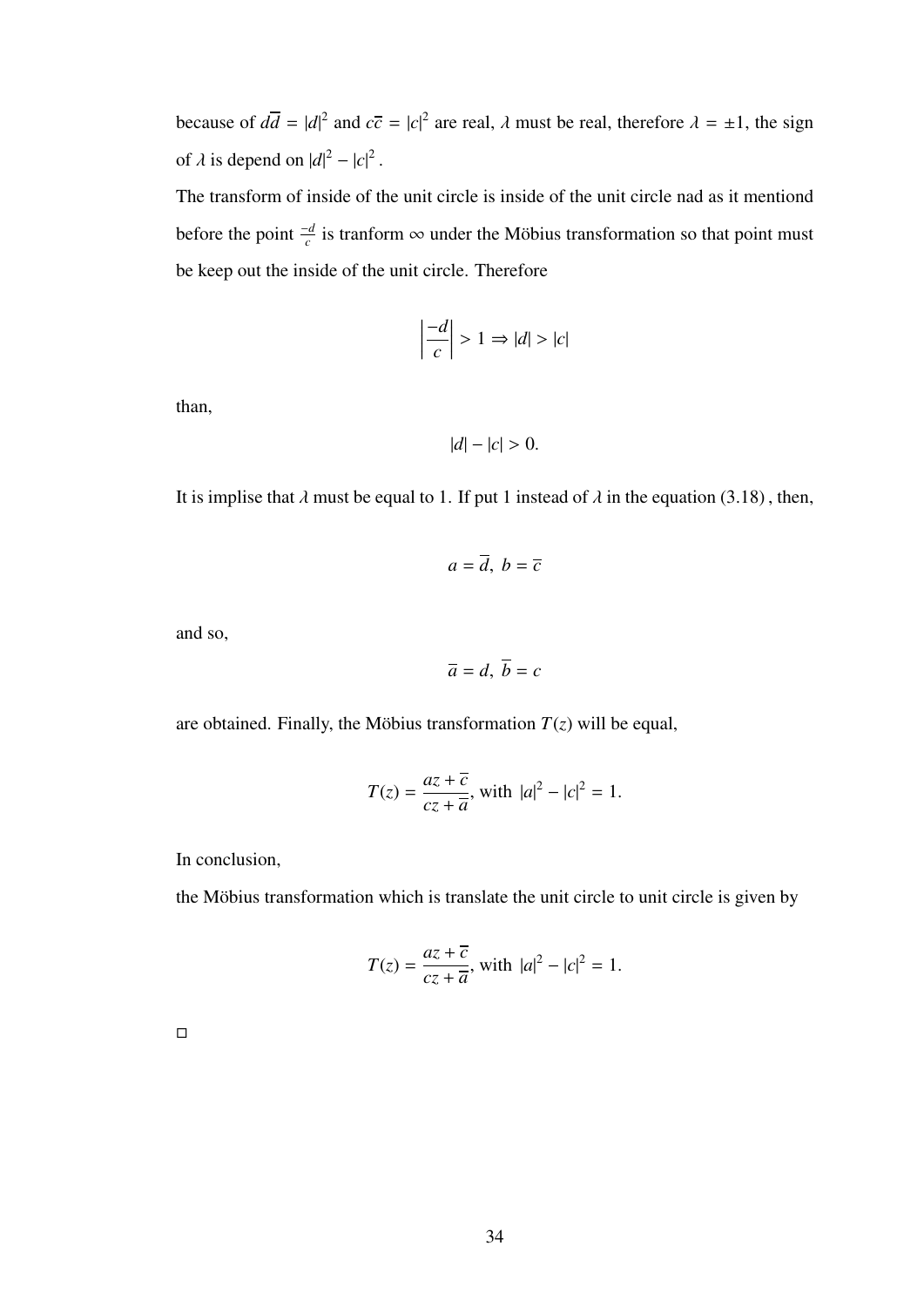because of  $d\overline{d} = |d|^2$  and  $c\overline{c} = |c|^2$  are real,  $\lambda$  must be real, therefore  $\lambda = \pm 1$ , the sign of  $\lambda$  is depend on  $|d|^2 - |c|^2$ 

The transform of inside of the unit circle is inside of the unit circle nad as it mentiond before the point  $\frac{-d}{c}$  is tranform  $\infty$  under the Möbius transformation so that point must be keep out the inside of the unit circle. Therefore

$$
\left|\frac{-d}{c}\right| > 1 \Rightarrow |d| > |c|
$$

than,

$$
|d| - |c| > 0.
$$

It is implise that  $\lambda$  must be equal to 1. If put 1 instead of  $\lambda$  in the equation (3.18), then,

$$
a=\overline{d},\ b=\overline{c}
$$

and so,

$$
\overline{a}=d, \ \overline{b}=c
$$

are obtained. Finally, the Möbius transformation  $T(z)$  will be equal,

$$
T(z) = \frac{az + \overline{c}}{cz + \overline{a}}, \text{ with } |a|^2 - |c|^2 = 1.
$$

In conclusion,

the Möbius transformation which is translate the unit circle to unit circle is given by

$$
T(z) = \frac{az + \overline{c}}{cz + \overline{a}}, \text{ with } |a|^2 - |c|^2 = 1.
$$

 $\Box$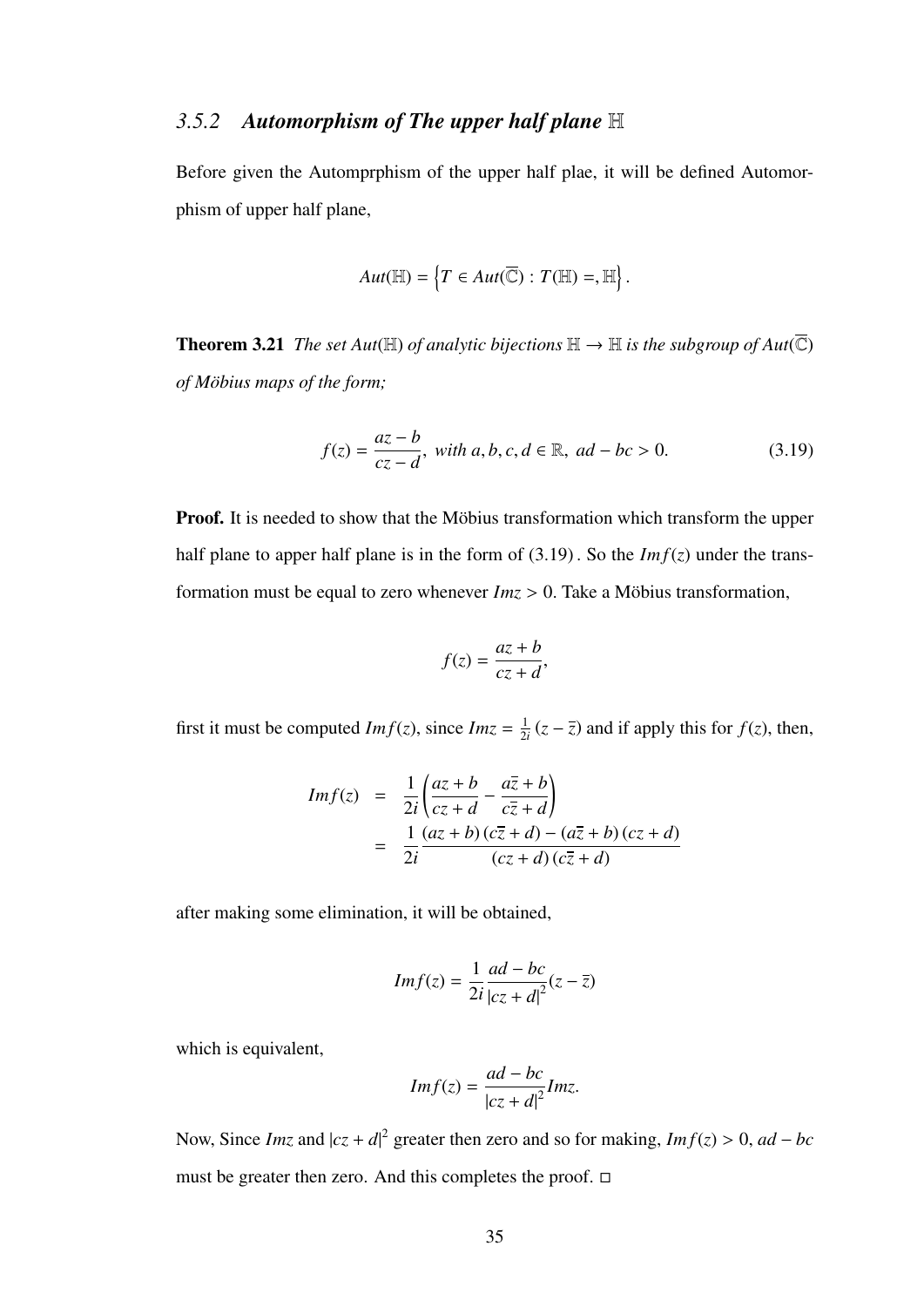## *3.5.2 Automorphism of The upper half plane* H

Before given the Automprphism of the upper half plae, it will be defined Automorphism of upper half plane,

$$
Aut(\mathbb{H})=\left\{T\in Aut(\overline{\mathbb{C}}): T(\mathbb{H})=,\mathbb{H}\right\}.
$$

**Theorem 3.21** *The set Aut*( $\mathbb{H}$ ) *of analytic bijections*  $\mathbb{H} \to \mathbb{H}$  *is the subgroup of Aut*( $\overline{\mathbb{C}}$ ) *of M¨obius maps of the form;*

$$
f(z) = \frac{az - b}{cz - d}, \text{ with } a, b, c, d \in \mathbb{R}, \text{ } ad - bc > 0.
$$
 (3.19)

Proof. It is needed to show that the Möbius transformation which transform the upper half plane to apper half plane is in the form of  $(3.19)$ . So the *Imf(z)* under the transformation must be equal to zero whenever  $Im z > 0$ . Take a Möbius transformation,

$$
f(z) = \frac{az + b}{cz + d},
$$

first it must be computed  $Im f(z)$ , since  $Im z = \frac{1}{2}$  $\frac{1}{2i}(z - \overline{z})$  and if apply this for  $f(z)$ , then,

$$
Im f(z) = \frac{1}{2i} \left( \frac{az+b}{cz+d} - \frac{a\overline{z} + b}{c\overline{z} + d} \right)
$$
  
= 
$$
\frac{1}{2i} \frac{(az+b)(c\overline{z} + d) - (a\overline{z} + b)(cz+d)}{(cz+d)(c\overline{z} + d)}
$$

after making some elimination, it will be obtained,

$$
Im f(z) = \frac{1}{2i} \frac{ad - bc}{|cz + d|^2} (z - \overline{z})
$$

which is equivalent,

$$
Im f(z) = \frac{ad - bc}{|cz + d|^2} Im z.
$$

Now, Since *Imz* and  $|cz + d|^2$  greater then zero and so for making, *Imf*(*z*) > 0, *ad* – *bc* must be greater then zero. And this completes the proof.  $\Box$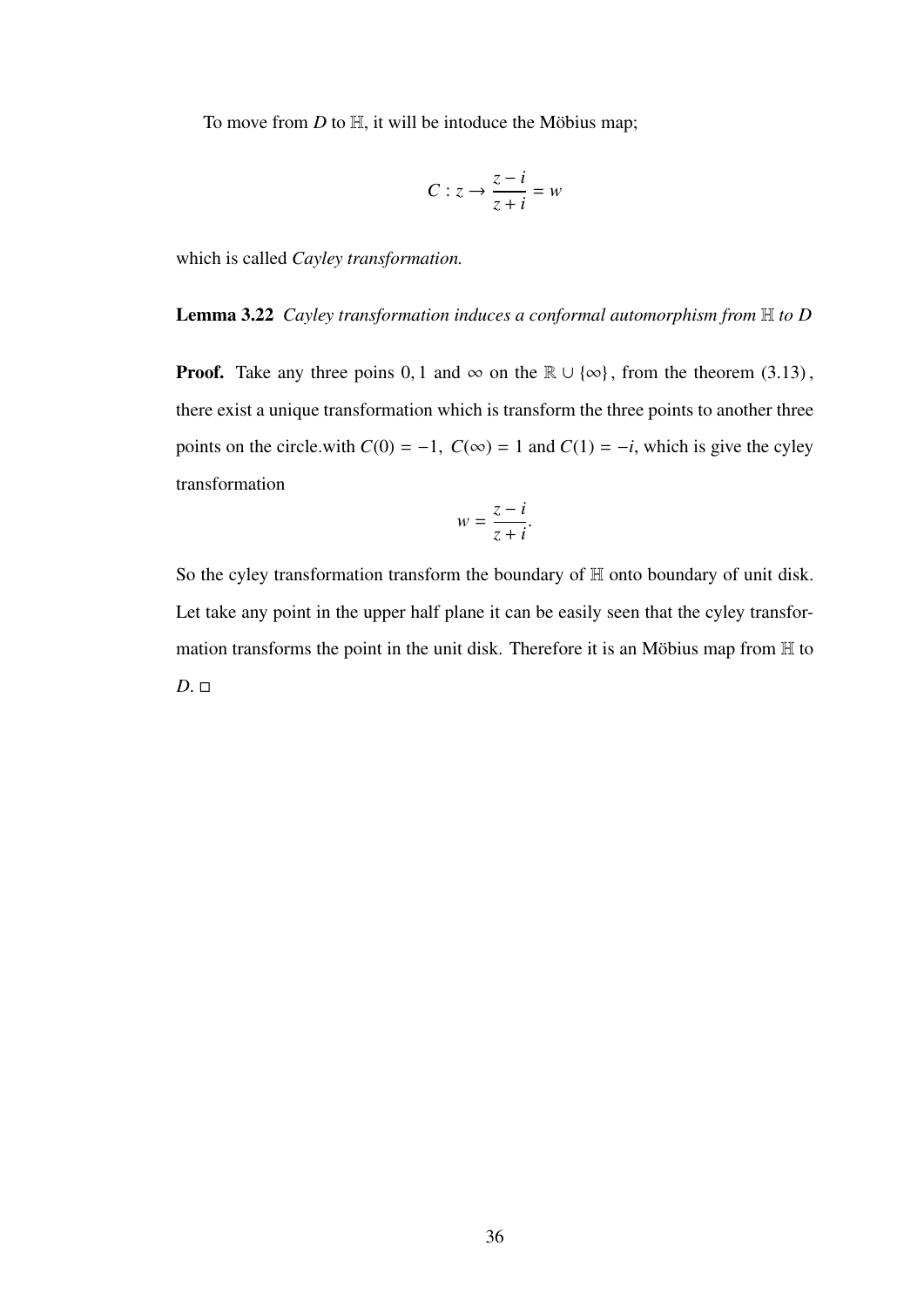To move from  $D$  to  $H$ , it will be intoduce the Möbius map;

$$
C: z \to \frac{z-i}{z+i} = w
$$

which is called *Cayley transformation.*

#### Lemma 3.22 *Cayley transformation induces a conformal automorphism from* H *to D*

**Proof.** Take any three poins 0, 1 and  $\infty$  on the  $\mathbb{R} \cup {\infty}$ , from the theorem (3.13), there exist a unique transformation which is transform the three points to another three points on the circle.with  $C(0) = -1$ ,  $C(\infty) = 1$  and  $C(1) = -i$ , which is give the cyley transformation

$$
w = \frac{z - i}{z + i}.
$$

So the cyley transformation transform the boundary of H onto boundary of unit disk. Let take any point in the upper half plane it can be easily seen that the cyley transformation transforms the point in the unit disk. Therefore it is an Möbius map from  $H$  to  $D. \Box$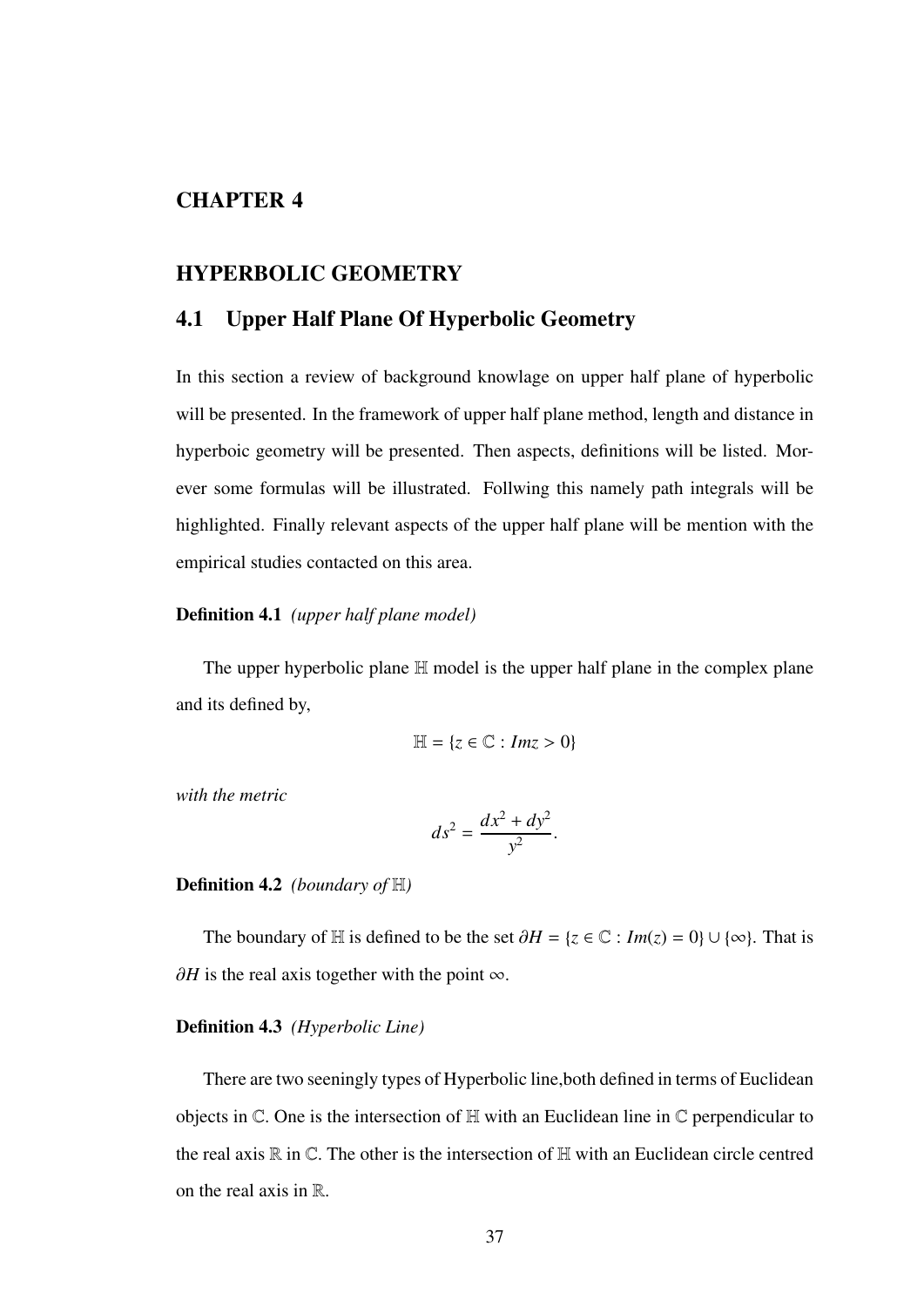## CHAPTER 4

### HYPERBOLIC GEOMETRY

## 4.1 Upper Half Plane Of Hyperbolic Geometry

In this section a review of background knowlage on upper half plane of hyperbolic will be presented. In the framework of upper half plane method, length and distance in hyperboic geometry will be presented. Then aspects, definitions will be listed. Morever some formulas will be illustrated. Follwing this namely path integrals will be highlighted. Finally relevant aspects of the upper half plane will be mention with the empirical studies contacted on this area.

#### Definition 4.1 *(upper half plane model)*

The upper hyperbolic plane H model is the upper half plane in the complex plane and its defined by,

$$
\mathbb{H} = \{z \in \mathbb{C} : Im z > 0\}
$$

*with the metric*

$$
ds^2 = \frac{dx^2 + dy^2}{y^2}
$$

#### Definition 4.2 *(boundary of* H*)*

The boundary of H is defined to be the set  $\partial H = \{z \in \mathbb{C} : Im(z) = 0\} \cup \{\infty\}$ . That is  $\partial H$  is the real axis together with the point  $\infty$ .

#### Definition 4.3 *(Hyperbolic Line)*

There are two seeningly types of Hyperbolic line,both defined in terms of Euclidean objects in  $\mathbb C$ . One is the intersection of  $\mathbb H$  with an Euclidean line in  $\mathbb C$  perpendicular to the real axis  $\mathbb R$  in  $\mathbb C$ . The other is the intersection of  $\mathbb H$  with an Euclidean circle centred on the real axis in  $\mathbb{R}$ .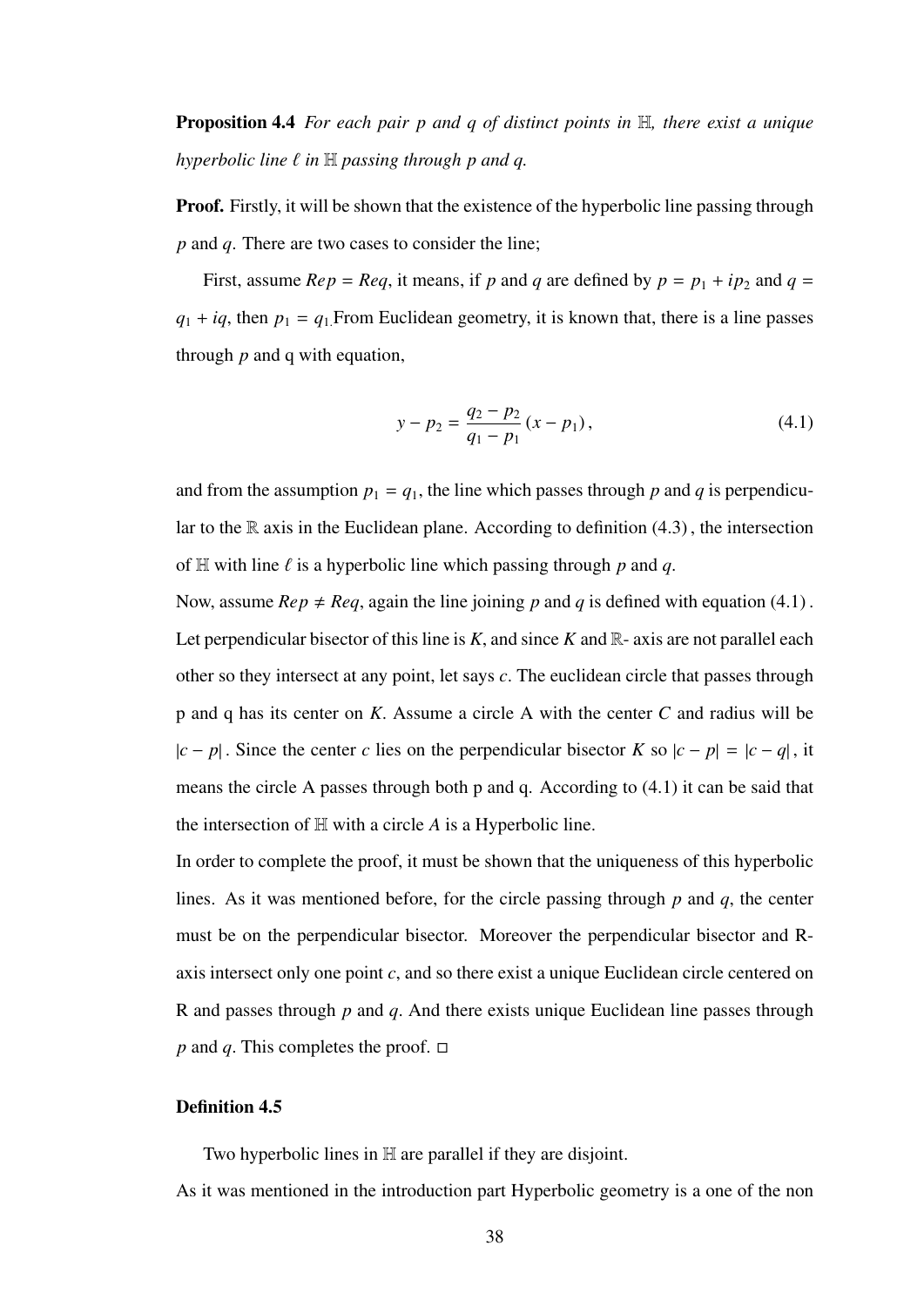Proposition 4.4 *For each pair p and q of distinct points in* H*, there exist a unique hyperbolic line*  $\ell$  *in*  $\mathbb H$  *passing through p and q.* 

**Proof.** Firstly, it will be shown that the existence of the hyperbolic line passing through *p* and *q*. There are two cases to consider the line;

First, assume *Rep* = *Req*, it means, if *p* and *q* are defined by  $p = p_1 + ip_2$  and  $q =$  $q_1 + iq$ , then  $p_1 = q_1$ . From Euclidean geometry, it is known that, there is a line passes through *p* and q with equation,

$$
y - p_2 = \frac{q_2 - p_2}{q_1 - p_1} (x - p_1),
$$
\n(4.1)

and from the assumption  $p_1 = q_1$ , the line which passes through p and q is perpendicular to the  $\mathbb R$  axis in the Euclidean plane. According to definition (4.3), the intersection of  $\mathbb H$  with line  $\ell$  is a hyperbolic line which passing through  $p$  and  $q$ .

Now, assume  $Rep \neq Reg$ , again the line joining p and q is defined with equation (4.1). Let perpendicular bisector of this line is  $K$ , and since  $K$  and  $\mathbb{R}$ -axis are not parallel each other so they intersect at any point, let says *<sup>c</sup>*. The euclidean circle that passes through p and q has its center on *<sup>K</sup>*. Assume a circle A with the center *<sup>C</sup>* and radius will be <sup>|</sup>*<sup>c</sup>* <sup>−</sup> *<sup>p</sup>*<sup>|</sup> . Since the center *<sup>c</sup>* lies on the perpendicular bisector *<sup>K</sup>* so <sup>|</sup>*<sup>c</sup>* <sup>−</sup> *<sup>p</sup>*<sup>|</sup> <sup>=</sup> <sup>|</sup>*<sup>c</sup>* <sup>−</sup> *<sup>q</sup>*<sup>|</sup> , it means the circle A passes through both p and q. According to (4.1) it can be said that the intersection of H with a circle *A* is a Hyperbolic line.

In order to complete the proof, it must be shown that the uniqueness of this hyperbolic lines. As it was mentioned before, for the circle passing through *<sup>p</sup>* and *<sup>q</sup>*, the center must be on the perpendicular bisector. Moreover the perpendicular bisector and Raxis intersect only one point *c*, and so there exist a unique Euclidean circle centered on R and passes through *<sup>p</sup>* and *<sup>q</sup>*. And there exists unique Euclidean line passes through *p* and *q*. This completes the proof.  $\Box$ 

#### Definition 4.5

Two hyperbolic lines in H are parallel if they are disjoint.

As it was mentioned in the introduction part Hyperbolic geometry is a one of the non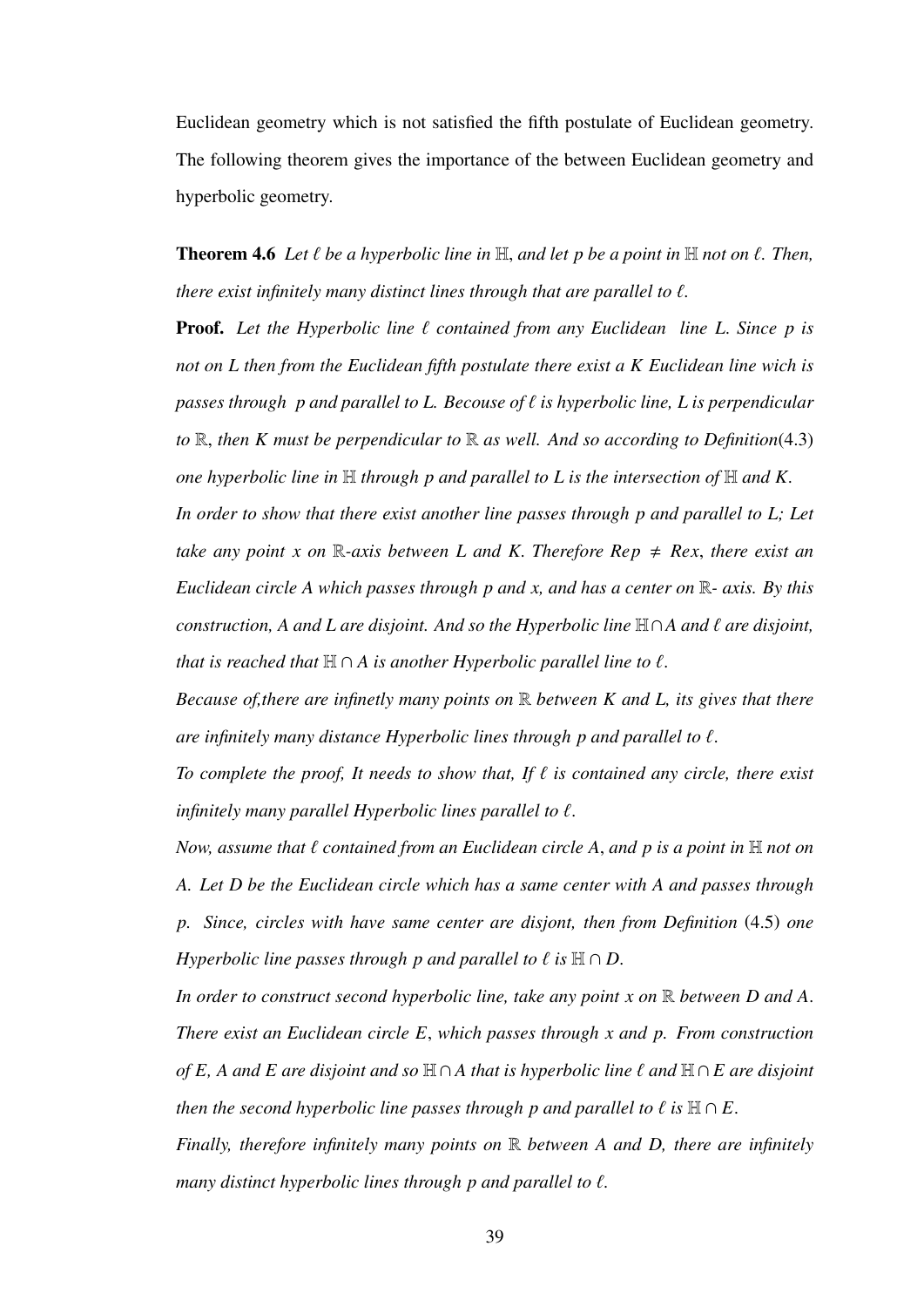Euclidean geometry which is not satisfied the fifth postulate of Euclidean geometry. The following theorem gives the importance of the between Euclidean geometry and hyperbolic geometry.

**Theorem 4.6** Let  $\ell$  be a hyperbolic line in  $\mathbb{H}$ , and let p be a point in  $\mathbb{H}$  not on  $\ell$ . Then, *there exist infinitely many distinct lines through that are parallel to*  $\ell$ *.* 

**Proof.** Let the Hyperbolic line  $\ell$  contained from any Euclidean line L. Since p is *not on L then from the Euclidean fifth postulate there exist a K Euclidean line wich is passes through p and parallel to L. Becouse of*  $\ell$  *is hyperbolic line, L is perpendicular to* <sup>R</sup>, *then K must be perpendicular to* <sup>R</sup> *as well. And so according to Definition*(4.3) *one hyperbolic line in* H *through p and parallel to L is the intersection of* H *and K.*

*In order to show that there exist another line passes through p and parallel to L; Let take any point x on*  $\mathbb{R}$ -axis between L and K. Therefore Rep  $\neq$  Rex, there exist an *Euclidean circle A which passes through p and x, and has a center on* R*- axis. By this construction, A and L are disjoint. And so the Hyperbolic line* <sup>H</sup>∩*A and* ` *are disjoint, that is reached that*  $H \cap A$  *is another Hyperbolic parallel line to*  $\ell$ *.* 

*Because of,there are infinetly many points on* R *between K and L, its gives that there are infinitely many distance Hyperbolic lines through p and parallel to*  $\ell$ *.* 

To complete the proof, It needs to show that, If  $\ell$  is contained any circle, there exist *infinitely many parallel Hyperbolic lines parallel to*  $\ell$ *.* 

*Now, assume that*  $\ell$  *contained from an Euclidean circle A, and p is a point in*  $\mathbb{H}$  *not on A. Let D be the Euclidean circle which has a same center with A and passes through p. Since, circles with have same center are disjont, then from Definition* (4.5) *one Hyperbolic line passes through p and parallel to*  $\ell$  *is*  $H \cap D$ .

*In order to construct second hyperbolic line, take any point x on* <sup>R</sup> *between D and A*. *There exist an Euclidean circle E*, *which passes through x and p. From construction of E, A and E are disjoint and so*  $H \cap A$  *that is hyperbolic line*  $\ell$  *and*  $H \cap E$  *are disjoint then the second hyperbolic line passes through p and parallel to*  $\ell$  *is*  $\mathbb{H} \cap E$ .

*Finally, therefore infinitely many points on* R *between A and D, there are infinitely many distinct hyperbolic lines through p and parallel to*  $\ell$ *.*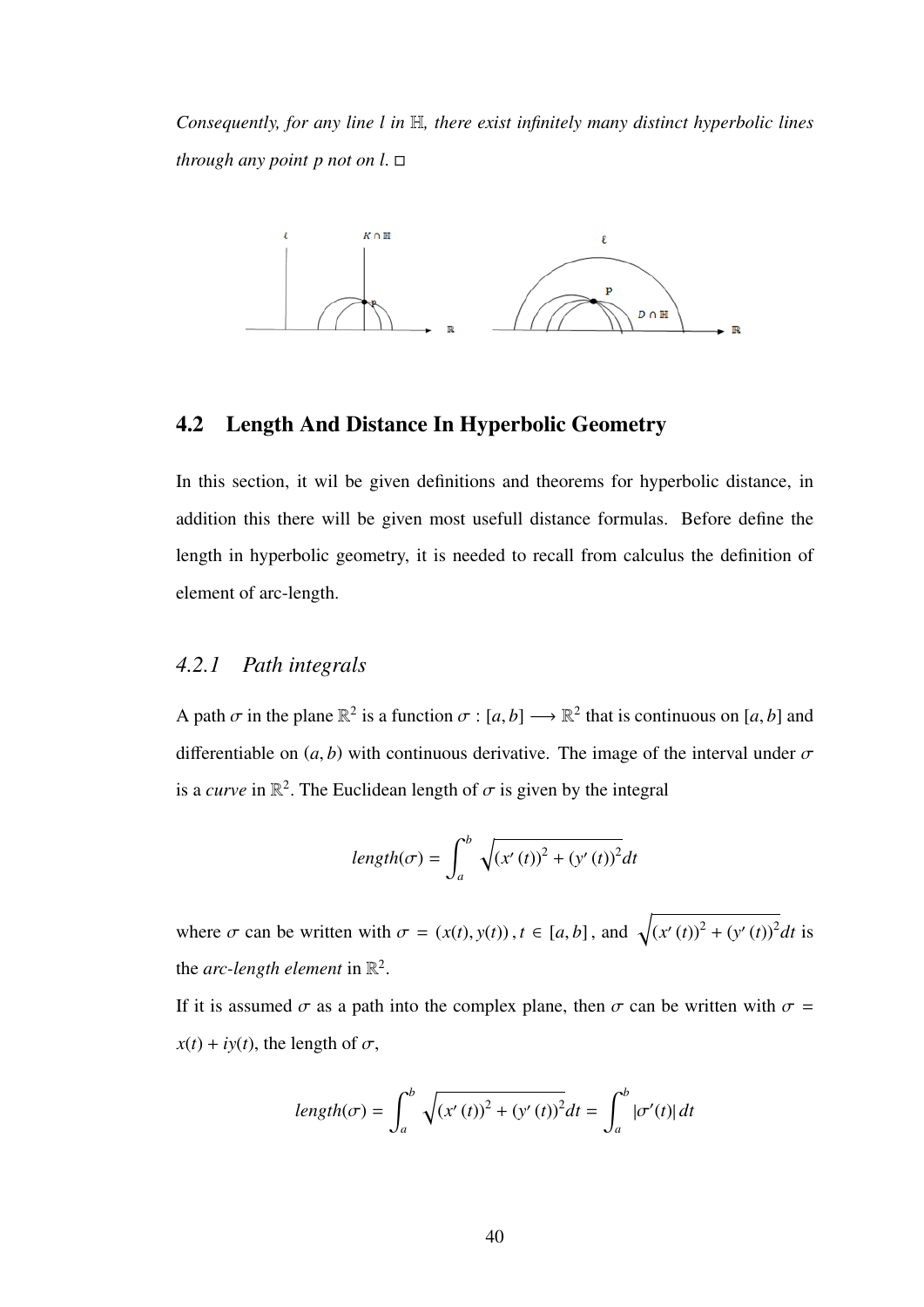*Consequently, for any line l in* H*, there exist infinitely many distinct hyperbolic lines through any point p not on l*.



## 4.2 Length And Distance In Hyperbolic Geometry

In this section, it wil be given definitions and theorems for hyperbolic distance, in addition this there will be given most usefull distance formulas. Before define the length in hyperbolic geometry, it is needed to recall from calculus the definition of element of arc-length.

### *4.2.1 Path integrals*

A path  $\sigma$  in the plane  $\mathbb{R}^2$  is a function  $\sigma : [a, b] \longrightarrow \mathbb{R}^2$  that is continuous on  $[a, b]$  and differentiable on  $(a, b)$  with continuous derivative. The image of the interval under  $\sigma$ is a *curve* in  $\mathbb{R}^2$ . The Euclidean length of  $\sigma$  is given by the integral

$$
length(\sigma) = \int_{a}^{b} \sqrt{(x'(t))^{2} + (y'(t))^{2}} dt
$$

where  $\sigma$  can be written with  $\sigma = (x(t), y(t)), t \in [a, b]$ , and  $\sqrt{(x'(t))^2 + (y'(t))^2} dt$  is the *arc-length element* in  $\mathbb{R}^2$ 

If it is assumed  $\sigma$  as a path into the complex plane, then  $\sigma$  can be written with  $\sigma$  =  $x(t) + iy(t)$ , the length of  $\sigma$ ,

$$
length(\sigma) = \int_{a}^{b} \sqrt{(x'(t))^{2} + (y'(t))^{2}} dt = \int_{a}^{b} |\sigma'(t)| dt
$$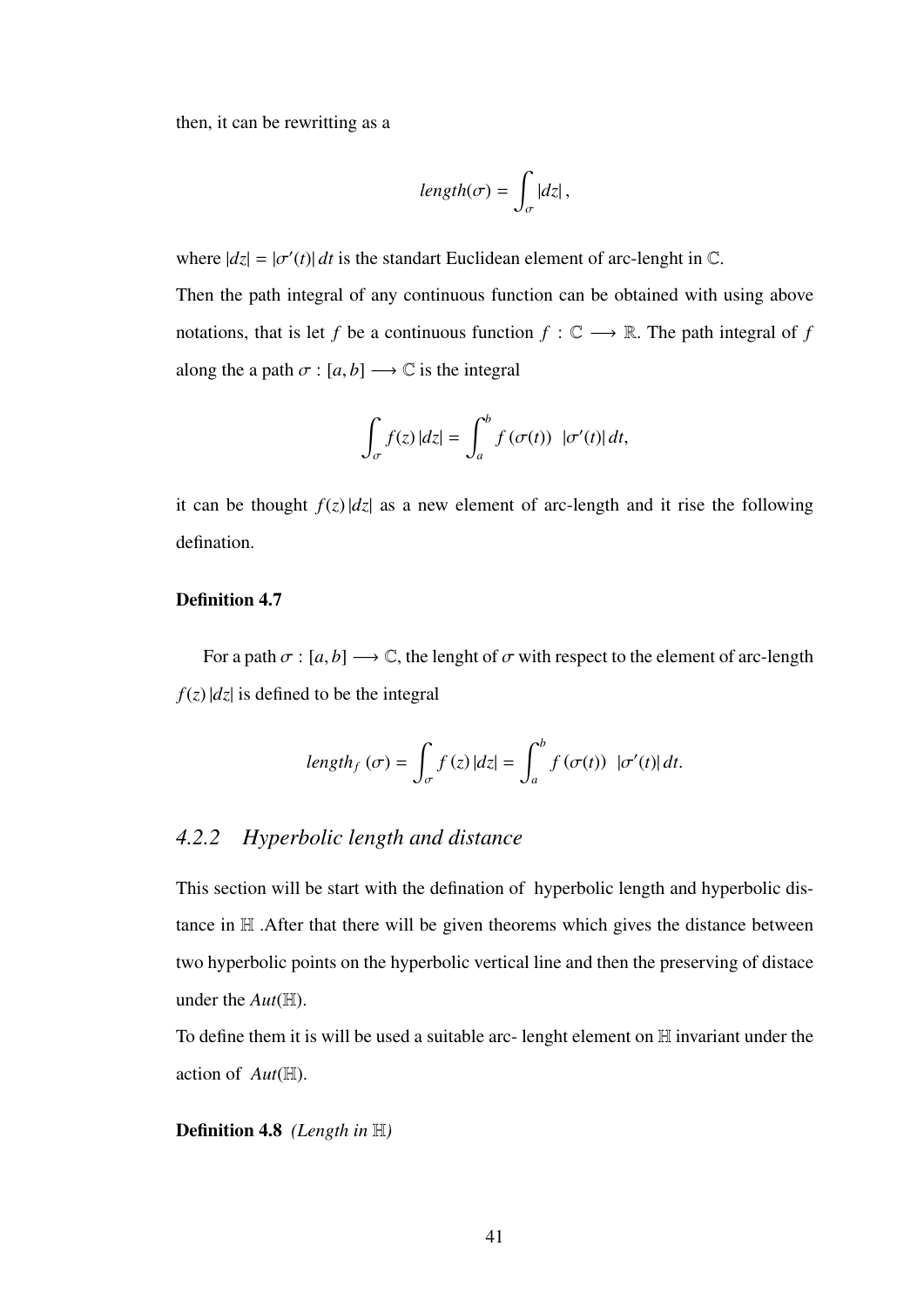then, it can be rewritting as a

$$
length(\sigma) = \int_{\sigma} |dz|,
$$

where  $|dz| = |\sigma'(t)| dt$  is the standart Euclidean element of arc-lenght in  $\mathbb{C}$ .

Then the path integral of any continuous function can be obtained with using above notations, that is let *f* be a continuous function  $f : \mathbb{C} \longrightarrow \mathbb{R}$ . The path integral of *f* along the a path  $\sigma$  :  $[a, b] \longrightarrow \mathbb{C}$  is the integral

$$
\int_{\sigma} f(z) \, |dz| = \int_{a}^{b} f(\sigma(t)) \, |\sigma'(t)| \, dt,
$$

it can be thought  $f(z) |dz|$  as a new element of arc-length and it rise the following defination.

### Definition 4.7

For a path  $\sigma$  :  $[a, b] \longrightarrow \mathbb{C}$ , the lenght of  $\sigma$  with respect to the element of arc-length  $f(z)$  |*dz*| is defined to be the integral

$$
length_f(\sigma) = \int_{\sigma} f(z) |dz| = \int_{a}^{b} f(\sigma(t)) |\sigma'(t)| dt.
$$

## *4.2.2 Hyperbolic length and distance*

This section will be start with the defination of hyperbolic length and hyperbolic distance in H .After that there will be given theorems which gives the distance between two hyperbolic points on the hyperbolic vertical line and then the preserving of distace under the *Aut*(H).

To define them it is will be used a suitable arc- lenght element on H invariant under the action of *Aut*(H).

Definition 4.8 *(Length in* H*)*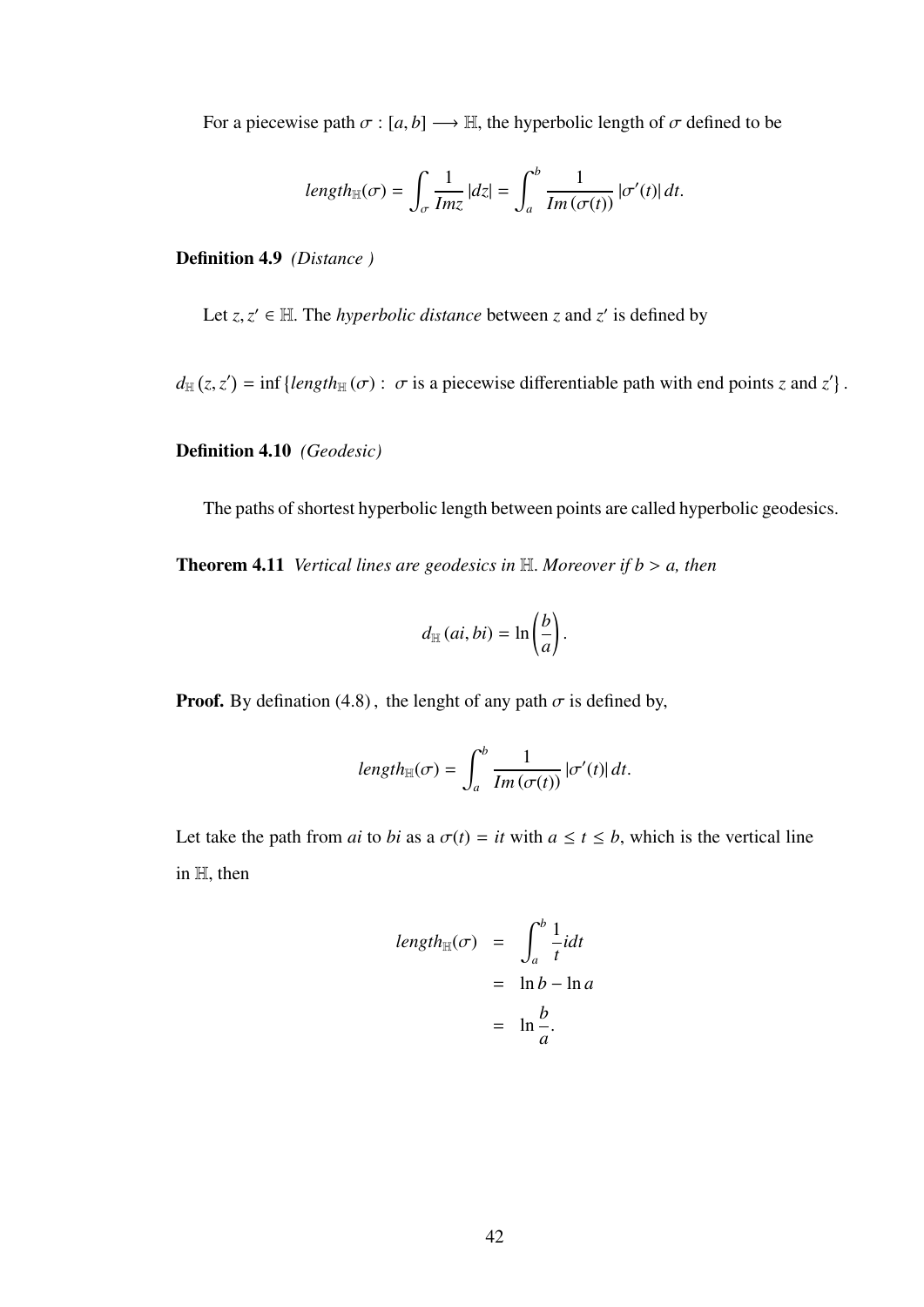For a piecewise path  $\sigma$  :  $[a, b] \longrightarrow \mathbb{H}$ , the hyperbolic length of  $\sigma$  defined to be

$$
length_{\mathbb{H}}(\sigma) = \int_{\sigma} \frac{1}{Im z} |dz| = \int_{a}^{b} \frac{1}{Im(\sigma(t))} |\sigma'(t)| dt.
$$

Definition 4.9 *(Distance )*

Let  $z, z' \in \mathbb{H}$ . The *hyperbolic distance* between *z* and *z'* is defined by

 $d_{\mathbb{H}}(z, z') = \inf \{ length_{\mathbb{H}}(\sigma) : \sigma \text{ is a piecewise differentiable path with end points } z \text{ and } z' \}$ 

### Definition 4.10 *(Geodesic)*

The paths of shortest hyperbolic length between points are called hyperbolic geodesics.

Theorem 4.11 *Vertical lines are geodesics in* <sup>H</sup>. *Moreover if b* > *a, then*

$$
d_{\mathbb{H}}(ai, bi) = \ln\left(\frac{b}{a}\right).
$$

**Proof.** By defination (4.8), the lenght of any path  $\sigma$  is defined by,

$$
length_{\mathbb{H}}(\sigma) = \int_{a}^{b} \frac{1}{Im(\sigma(t))} |\sigma'(t)| dt.
$$

Let take the path from *ai* to *bi* as a  $\sigma(t) = it$  with  $a \le t \le b$ , which is the vertical line in <sup>H</sup>, then

$$
length_{\mathbb{H}}(\sigma) = \int_{a}^{b} \frac{1}{t} i dt
$$

$$
= \ln b - \ln a
$$

$$
= \ln \frac{b}{a}.
$$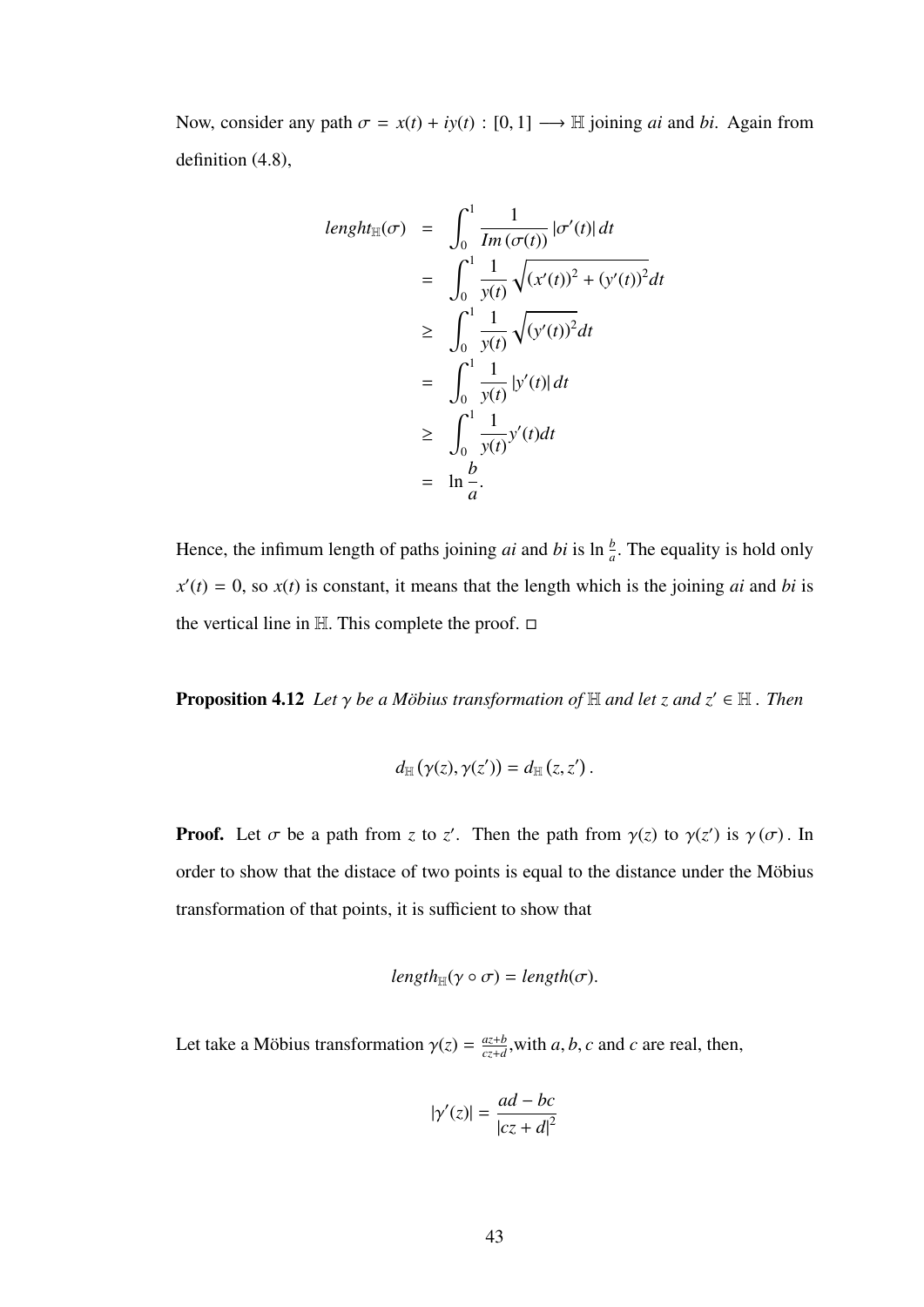Now, consider any path  $\sigma = x(t) + iy(t) : [0, 1] \rightarrow \mathbb{H}$  joining *ai* and *bi*. Again from definition (4.8),

$$
length_{\mathbb{H}}(\sigma) = \int_0^1 \frac{1}{Im(\sigma(t))} |\sigma'(t)| dt
$$
  
\n
$$
= \int_0^1 \frac{1}{y(t)} \sqrt{(x'(t))^2 + (y'(t))^2} dt
$$
  
\n
$$
\geq \int_0^1 \frac{1}{y(t)} \sqrt{(y'(t))^2} dt
$$
  
\n
$$
= \int_0^1 \frac{1}{y(t)} |y'(t)| dt
$$
  
\n
$$
\geq \int_0^1 \frac{1}{y(t)} y'(t) dt
$$
  
\n
$$
= \ln \frac{b}{a}.
$$

Hence, the infimum length of paths joining *ai* and *bi* is  $\ln \frac{b}{a}$ . The equality is hold only  $x'(t) = 0$ , so  $x(t)$  is constant, it means that the length which is the joining *ai* and *bi* is the vertical line in  $H$ . This complete the proof.  $\Box$ 

**Proposition 4.12** *Let*  $\gamma$  *be a Möbius transformation of*  $\mathbb H$  *and let z and*  $z' \in \mathbb H$  *. Then* 

$$
d_{\mathbb{H}}(\gamma(z),\gamma(z'))=d_{\mathbb{H}}(z,z').
$$

**Proof.** Let  $\sigma$  be a path from *z* to *z'*. Then the path from  $\gamma(z)$  to  $\gamma(z')$  is  $\gamma(\sigma)$ . In order to show that the distace of two points is equal to the distance under the Möbius transformation of that points, it is sufficient to show that

$$
length_{\mathbb{H}}(\gamma \circ \sigma) = length(\sigma).
$$

Let take a Möbius transformation  $\gamma(z) = \frac{az+b}{cz+d}$  $\frac{az+b}{cz+d}$ , with *a*, *b*, *c* and *c* are real, then,

$$
|\gamma'(z)| = \frac{ad - bc}{|cz + d|^2}
$$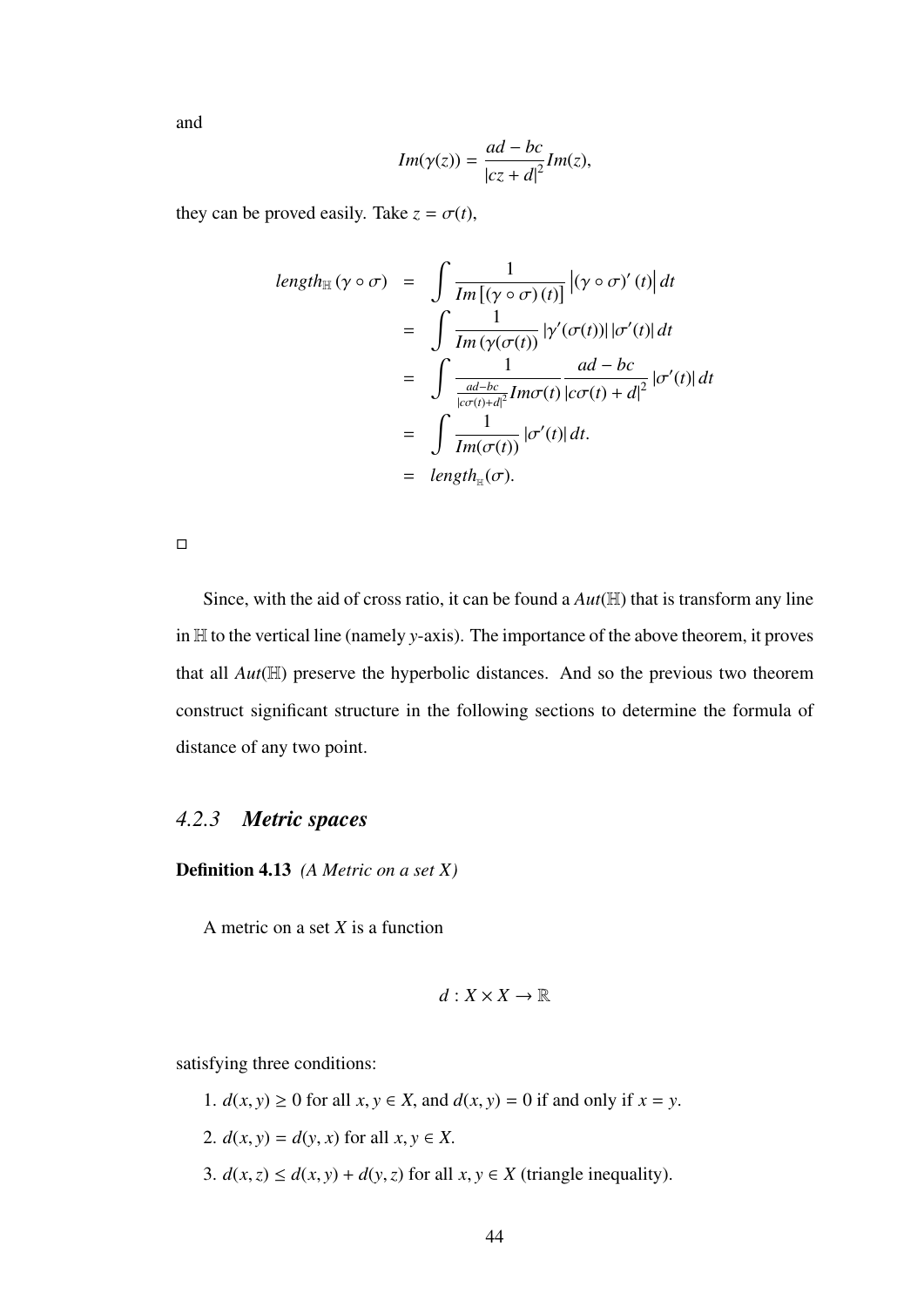and

$$
Im(\gamma(z)) = \frac{ad - bc}{|cz + d|^2} Im(z),
$$

they can be proved easily. Take  $z = \sigma(t)$ ,

$$
length_{\mathbb{H}}(\gamma \circ \sigma) = \int \frac{1}{Im[(\gamma \circ \sigma)(t)]} |(\gamma \circ \sigma)'(t)| dt
$$
  
\n
$$
= \int \frac{1}{Im(\gamma(\sigma(t))} |\gamma'(\sigma(t))| |\sigma'(t)| dt
$$
  
\n
$$
= \int \frac{1}{\frac{ad-bc}{|c\sigma(t)+d|^2} Im\sigma(t)} \frac{ad-bc}{|c\sigma(t)+d|^2} |\sigma'(t)| dt
$$
  
\n
$$
= \int \frac{1}{Im(\sigma(t))} |\sigma'(t)| dt.
$$
  
\n
$$
= length_{\mathbb{H}}(\sigma).
$$

 $\Box$ 

Since, with the aid of cross ratio, it can be found a *Aut*(H) that is transform any line in H to the vertical line (namely *y*-axis). The importance of the above theorem, it proves that all *Aut*(H) preserve the hyperbolic distances. And so the previous two theorem construct significant structure in the following sections to determine the formula of distance of any two point.

## *4.2.3 Metric spaces*

Definition 4.13 *(A Metric on a set X)*

A metric on a set *X* is a function

$$
d:X\times X\to\mathbb{R}
$$

satisfying three conditions:

1.  $d(x, y) \ge 0$  for all  $x, y \in X$ , and  $d(x, y) = 0$  if and only if  $x = y$ . 2.  $d(x, y) = d(y, x)$  for all  $x, y \in X$ . 3.  $d(x, z) \leq d(x, y) + d(y, z)$  for all  $x, y \in X$  (triangle inequality).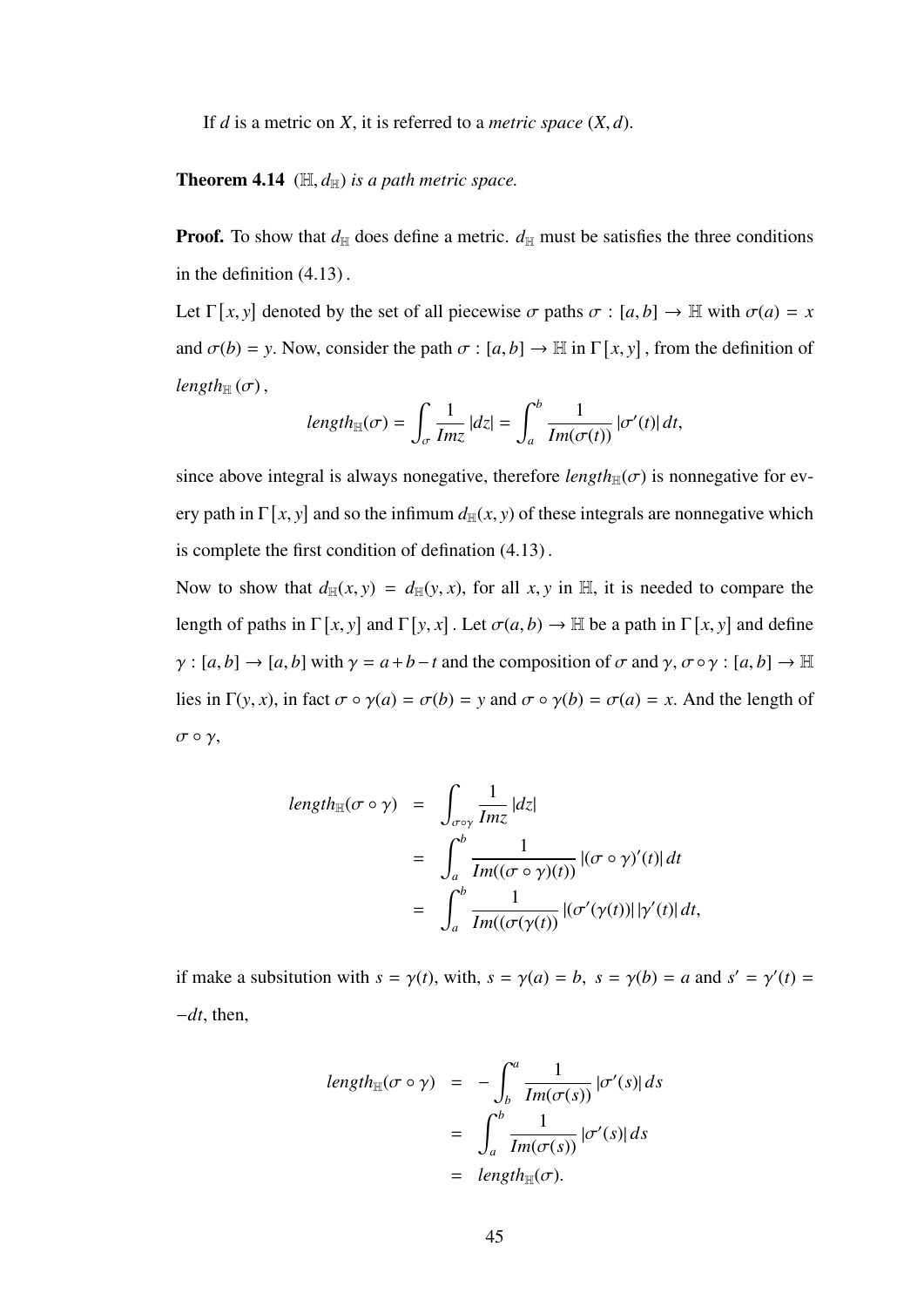If *<sup>d</sup>* is a metric on *<sup>X</sup>*, it is referred to a *metric space* (*X*, *<sup>d</sup>*).

**Theorem 4.14** ( $\mathbb{H}, d_{\mathbb{H}}$ ) *is a path metric space.* 

**Proof.** To show that  $d_{\text{H}}$  does define a metric.  $d_{\text{H}}$  must be satisfies the three conditions in the definition (4.13) .

Let  $\Gamma[x, y]$  denoted by the set of all piecewise  $\sigma$  paths  $\sigma : [a, b] \to \mathbb{H}$  with  $\sigma(a) = x$ and  $\sigma(b) = y$ . Now, consider the path  $\sigma : [a, b] \to \mathbb{H}$  in  $\Gamma[x, y]$ , from the definition of  $length_{\mathbb{H}}(\sigma)$ ,

$$
length_{\mathbb{H}}(\sigma) = \int_{\sigma} \frac{1}{Im z} |dz| = \int_{a}^{b} \frac{1}{Im(\sigma(t))} |\sigma'(t)| dt,
$$

since above integral is always nonegative, therefore  $length_{\mathbb{H}}(\sigma)$  is nonnegative for every path in  $\Gamma[x, y]$  and so the infimum  $d_{\mathbb{H}}(x, y)$  of these integrals are nonnegative which is complete the first condition of defination (4.13) .

Now to show that  $d_{\mathbb{H}}(x, y) = d_{\mathbb{H}}(y, x)$ , for all x, y in H, it is needed to compare the length of paths in  $\Gamma[x, y]$  and  $\Gamma[y, x]$ . Let  $\sigma(a, b) \to \mathbb{H}$  be a path in  $\Gamma[x, y]$  and define  $\gamma$  :  $[a, b] \rightarrow [a, b]$  with  $\gamma = a + b - t$  and the composition of  $\sigma$  and  $\gamma$ ,  $\sigma \circ \gamma$  :  $[a, b] \rightarrow \mathbb{H}$ lies in  $\Gamma(y, x)$ , in fact  $\sigma \circ \gamma(a) = \sigma(b) = y$  and  $\sigma \circ \gamma(b) = \sigma(a) = x$ . And the length of  $σ ∘ γ,$ 

$$
length_{\mathbb{H}}(\sigma \circ \gamma) = \int_{\sigma \circ \gamma} \frac{1}{Imz} |dz|
$$
  
= 
$$
\int_{a}^{b} \frac{1}{Im((\sigma \circ \gamma)(t))} |(\sigma \circ \gamma)'(t)| dt
$$
  
= 
$$
\int_{a}^{b} \frac{1}{Im((\sigma(\gamma(t))} |(\sigma'(\gamma(t))||\gamma'(t)) dt,
$$

if make a subsitution with  $s = \gamma(t)$ , with,  $s = \gamma(a) = b$ ,  $s = \gamma(b) = a$  and  $s' = \gamma'(t) =$ <sup>−</sup>*dt*, then,

$$
length_{\mathbb{H}}(\sigma \circ \gamma) = -\int_b^a \frac{1}{Im(\sigma(s))} |\sigma'(s)| ds
$$
  
= 
$$
\int_a^b \frac{1}{Im(\sigma(s))} |\sigma'(s)| ds
$$
  
= 
$$
length_{\mathbb{H}}(\sigma).
$$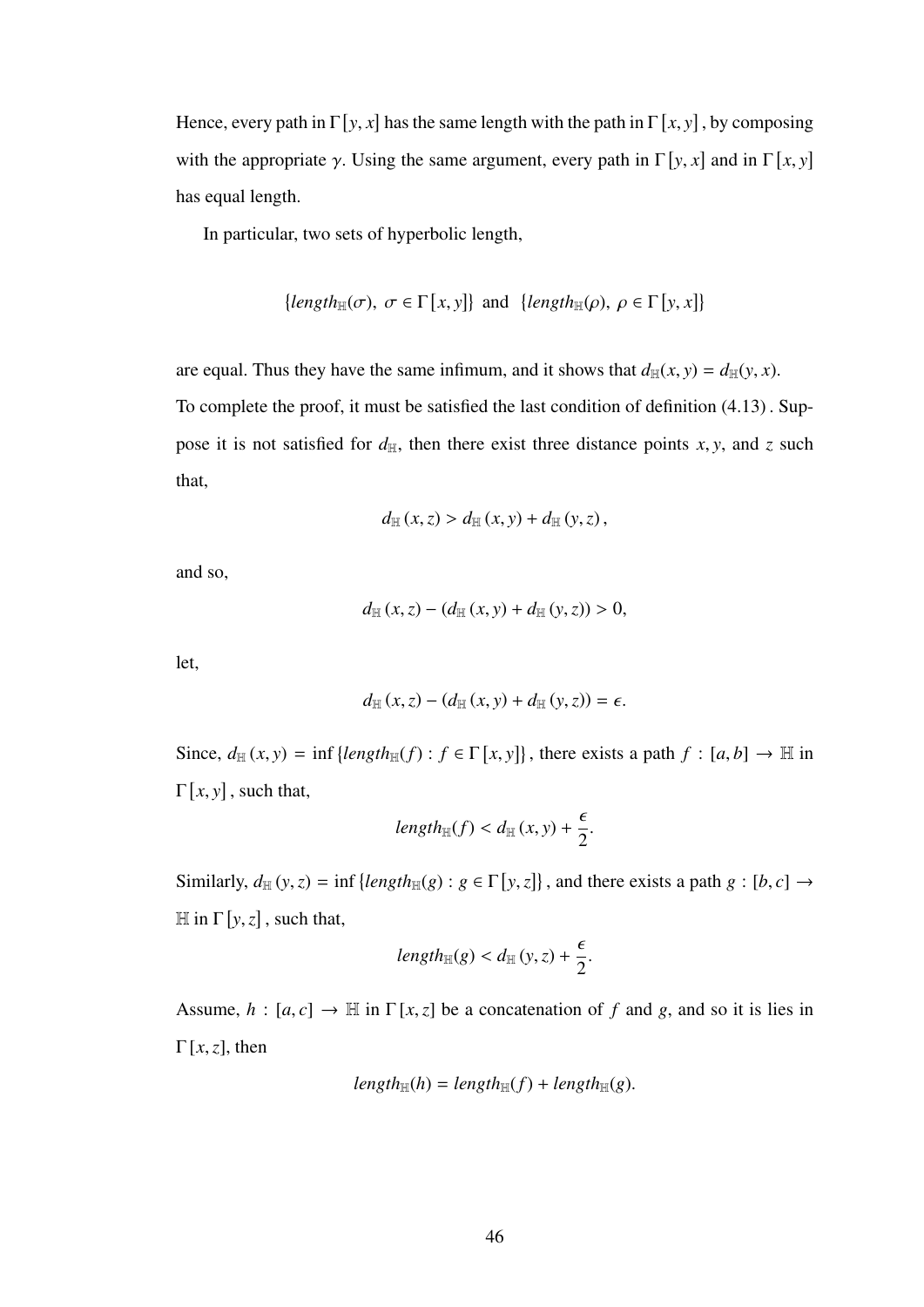Hence, every path in  $\Gamma$  [*y*, *x*] has the same length with the path in  $\Gamma$  [*x*, *y*], by composing with the appropriate *γ*. Using the same argument, every path in  $\Gamma[y, x]$  and in  $\Gamma[x, y]$ has equal length.

In particular, two sets of hyperbolic length,

$$
\{length_{\mathbb{H}}(\sigma), \ \sigma \in \Gamma[x, y]\} \ \text{and} \ \{length_{\mathbb{H}}(\rho), \ \rho \in \Gamma[y, x]\}
$$

are equal. Thus they have the same infimum, and it shows that  $d_{\mathbb{H}}(x, y) = d_{\mathbb{H}}(y, x)$ .

To complete the proof, it must be satisfied the last condition of definition (4.13) . Suppose it is not satisfied for  $d_{\text{H}}$ , then there exist three distance points *x*, *y*, and *z* such that,

$$
d_{\mathbb{H}}(x, z) > d_{\mathbb{H}}(x, y) + d_{\mathbb{H}}(y, z),
$$

and so,

$$
d_{\mathbb{H}}(x, z) - (d_{\mathbb{H}}(x, y) + d_{\mathbb{H}}(y, z)) > 0,
$$

let,

$$
d_{\mathbb{H}}(x,z) - (d_{\mathbb{H}}(x,y) + d_{\mathbb{H}}(y,z)) = \epsilon.
$$

Since,  $d_{\mathbb{H}}(x, y) = \inf \{ \text{length}_{\mathbb{H}}(f) : f \in \Gamma[x, y] \}$ , there exists a path  $f : [a, b] \to \mathbb{H}$  in  $\Gamma[x, y]$ , such that,

$$
length_{\mathbb{H}}(f) < d_{\mathbb{H}}(x, y) + \frac{\epsilon}{2}.
$$

Similarly,  $d_{\mathbb{H}}(y, z) = \inf \{ length_{\mathbb{H}}(g) : g \in \Gamma[y, z] \}$ , and there exists a path  $g : [b, c] \rightarrow$  $\mathbb{H}$  in  $\Gamma[y, z]$ , such that,

$$
length_{\mathbb{H}}(g) < d_{\mathbb{H}}(y, z) + \frac{\epsilon}{2}.
$$

Assume,  $h : [a, c] \rightarrow \mathbb{H}$  in  $\Gamma[x, z]$  be a concatenation of f and g, and so it is lies in <sup>Γ</sup> [*x*,*z*], then

$$
length_{\mathbb{H}}(h) = length_{\mathbb{H}}(f) + length_{\mathbb{H}}(g).
$$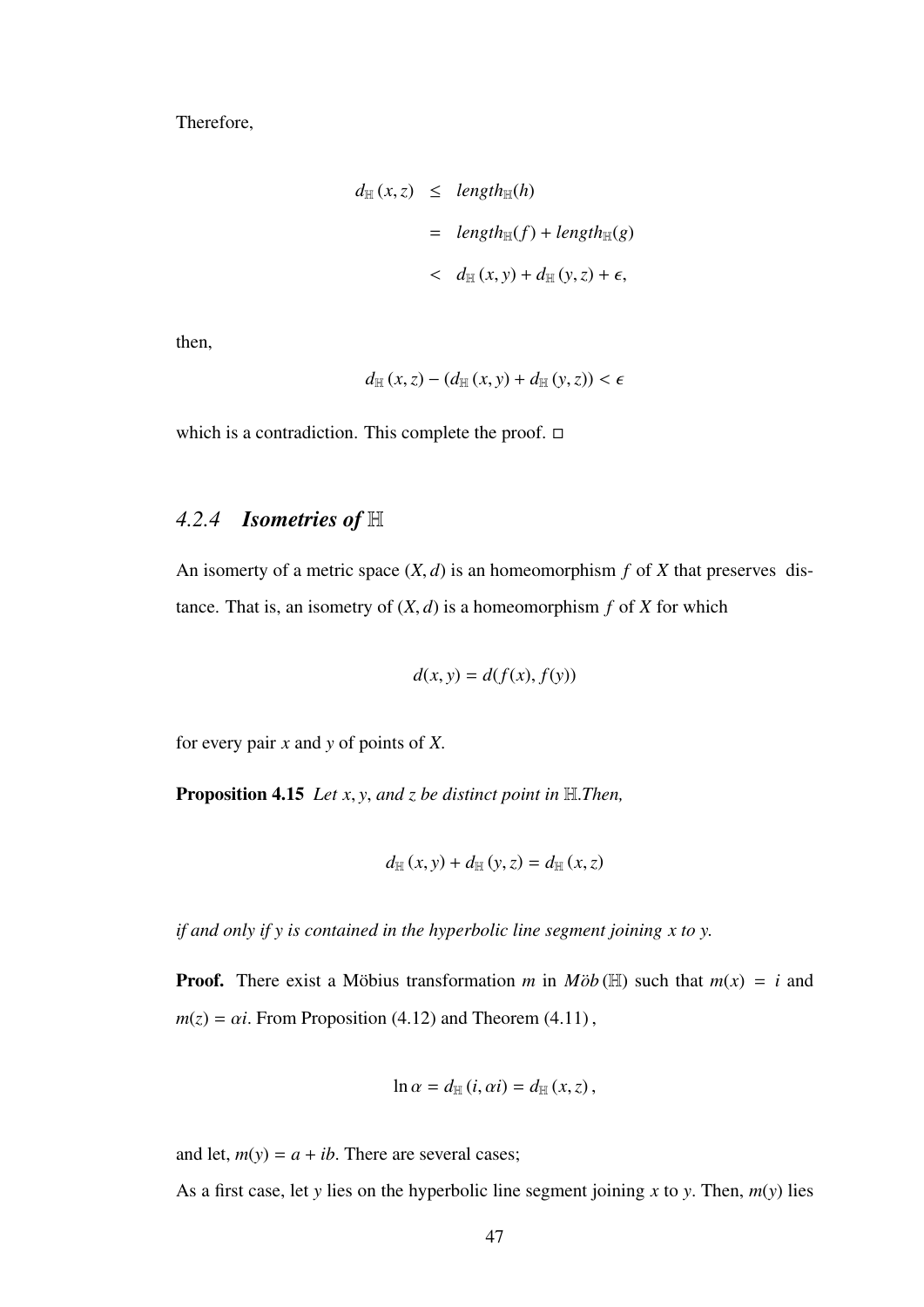Therefore,

$$
d_{\mathbb{H}}(x, z) \leq length_{\mathbb{H}}(h)
$$
  
=  $length_{\mathbb{H}}(f) + length_{\mathbb{H}}(g)$   
<  $d_{\mathbb{H}}(x, y) + d_{\mathbb{H}}(y, z) + \epsilon$ ,

then,

$$
d_{\mathbb{H}}(x,z) - (d_{\mathbb{H}}(x,y) + d_{\mathbb{H}}(y,z)) < \epsilon
$$

which is a contradiction. This complete the proof.  $\Box$ 

## *4.2.4 Isometries of* H

An isomerty of a metric space  $(X, d)$  is an homeomorphism  $f$  of  $X$  that preserves distance. That is, an isometry of  $(X, d)$  is a homeomorphism  $f$  of  $X$  for which

$$
d(x, y) = d(f(x), f(y))
$$

for every pair *<sup>x</sup>* and *<sup>y</sup>* of points of *<sup>X</sup>*.

Proposition 4.15 *Let x*, *<sup>y</sup>*, *and z be distinct point in* <sup>H</sup>.*Then,*

$$
d_{\mathbb{H}}(x,y)+d_{\mathbb{H}}(y,z)=d_{\mathbb{H}}(x,z)
$$

*if and only if y is contained in the hyperbolic line segment joining x to y.*

**Proof.** There exist a Möbius transformation m in  $M\ddot{\phi}b(\mathbb{H})$  such that  $m(x) = i$  and  $m(z) = \alpha i$ . From Proposition (4.12) and Theorem (4.11),

$$
\ln \alpha = d_{\mathbb{H}}(i, \alpha i) = d_{\mathbb{H}}(x, z),
$$

and let,  $m(y) = a + ib$ . There are several cases;

As a first case, let *<sup>y</sup>* lies on the hyperbolic line segment joining *<sup>x</sup>* to *<sup>y</sup>*. Then, *<sup>m</sup>*(*y*) lies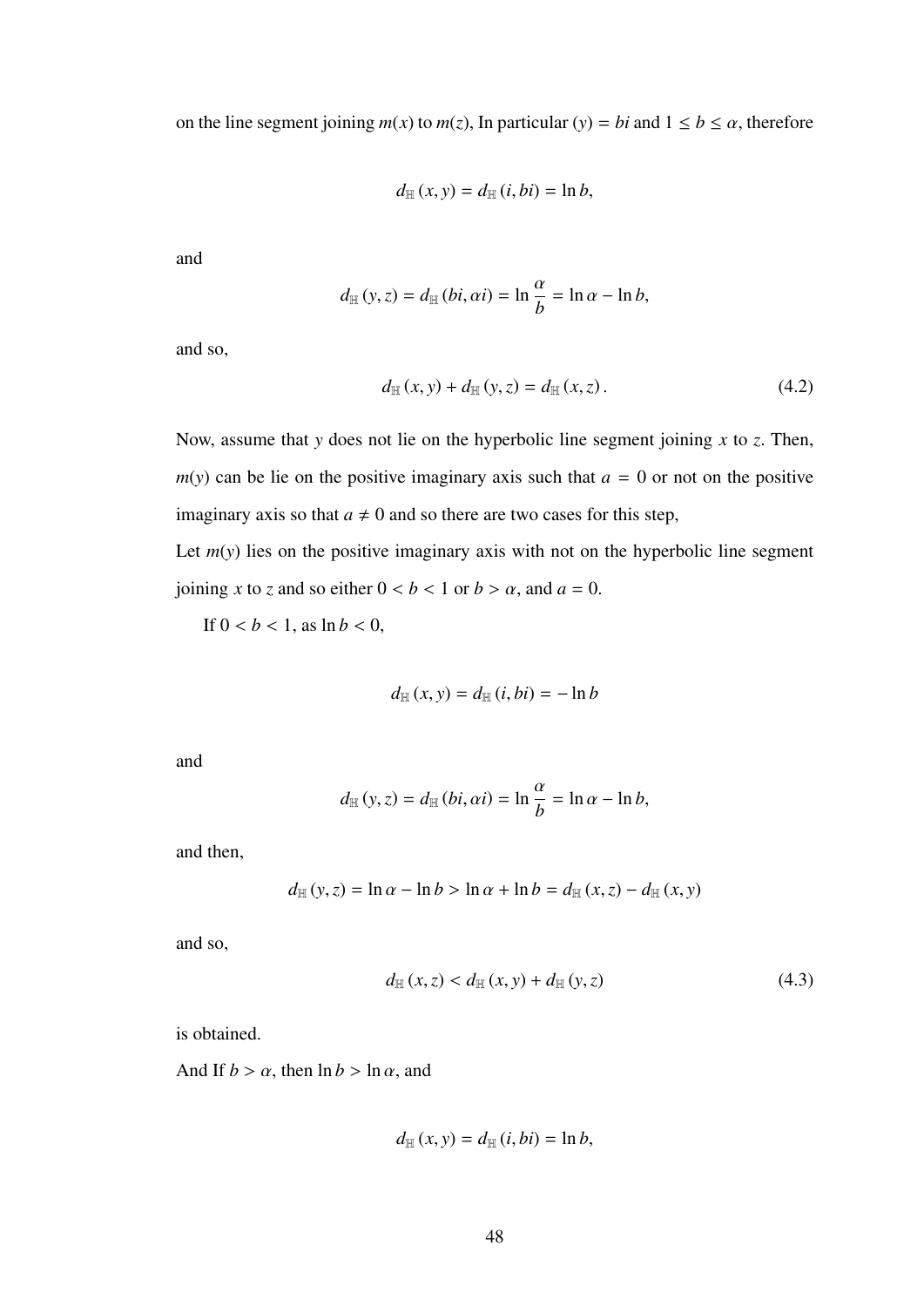on the line segment joining  $m(x)$  to  $m(z)$ , In particular (*y*) = *bi* and  $1 \le b \le \alpha$ , therefore

$$
d_{\mathbb{H}}(x,y)=d_{\mathbb{H}}(i,bi)=\ln b,
$$

and

$$
d_{\mathbb{H}}(y, z) = d_{\mathbb{H}}(bi, \alpha i) = \ln \frac{\alpha}{b} = \ln \alpha - \ln b,
$$

and so,

$$
d_{\mathbb{H}}(x, y) + d_{\mathbb{H}}(y, z) = d_{\mathbb{H}}(x, z).
$$
 (4.2)

Now, assume that *<sup>y</sup>* does not lie on the hyperbolic line segment joining *<sup>x</sup>* to *<sup>z</sup>*. Then,  $m(y)$  can be lie on the positive imaginary axis such that  $a = 0$  or not on the positive imaginary axis so that  $a \neq 0$  and so there are two cases for this step,

Let  $m(y)$  lies on the positive imaginary axis with not on the hyperbolic line segment joining *x* to *z* and so either  $0 < b < 1$  or  $b > \alpha$ , and  $a = 0$ .

If  $0 < b < 1$ , as  $\ln b < 0$ ,

$$
d_{\mathbb{H}}(x, y) = d_{\mathbb{H}}(i, bi) = -\ln b
$$

and

$$
d_{\mathbb{H}}(y, z) = d_{\mathbb{H}}(bi, \alpha i) = \ln \frac{\alpha}{b} = \ln \alpha - \ln b,
$$

and then,

$$
d_{\mathbb{H}}(y, z) = \ln \alpha - \ln b > \ln \alpha + \ln b = d_{\mathbb{H}}(x, z) - d_{\mathbb{H}}(x, y)
$$

and so,

$$
d_{\mathbb{H}}(x,z) < d_{\mathbb{H}}(x,y) + d_{\mathbb{H}}(y,z) \tag{4.3}
$$

is obtained.

And If  $b > \alpha$ , then  $\ln b > \ln \alpha$ , and

$$
d_{\mathbb{H}}(x,y)=d_{\mathbb{H}}(i,bi)=\ln b,
$$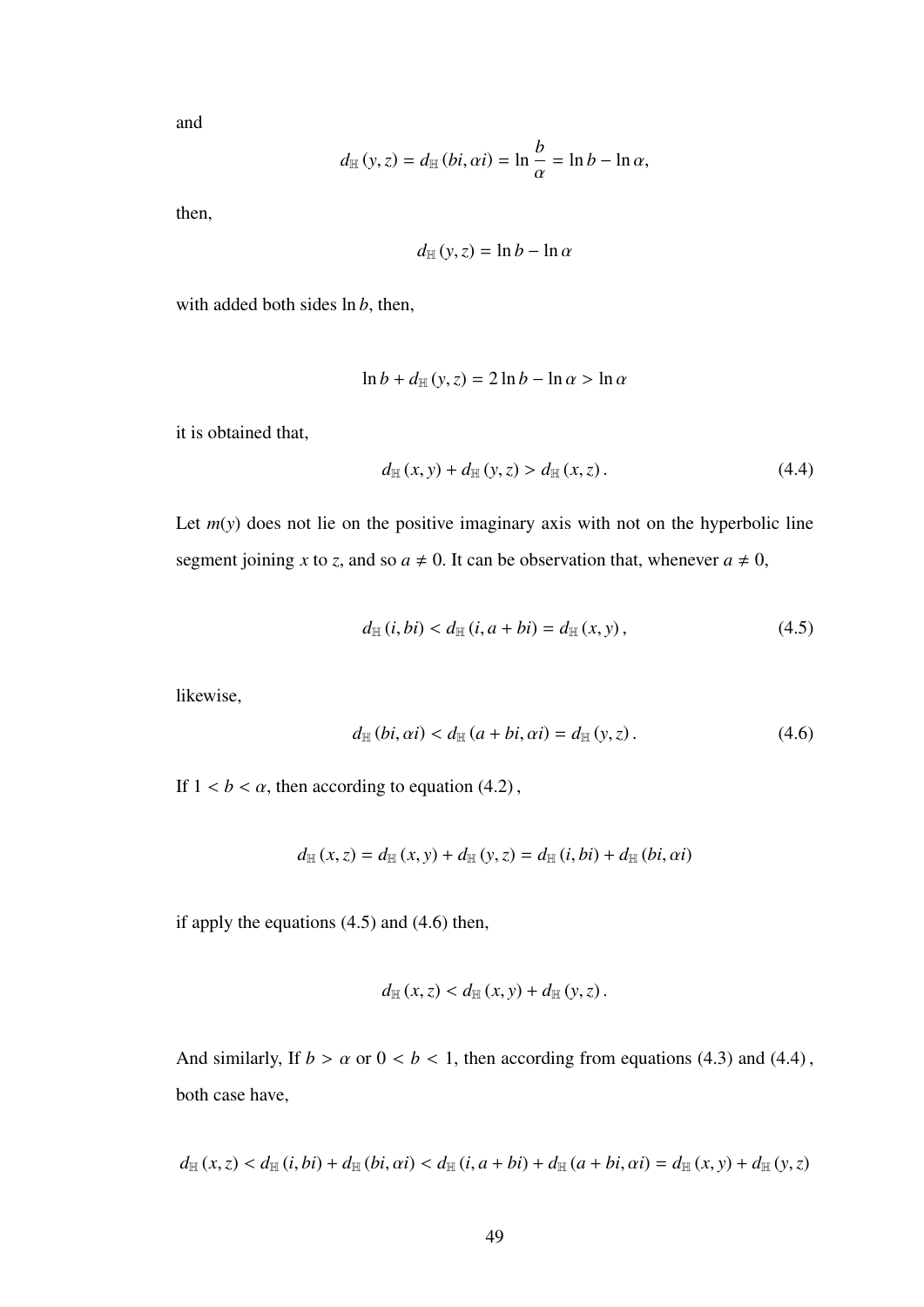and

$$
d_{\mathbb{H}}(y, z) = d_{\mathbb{H}}(bi, \alpha i) = \ln \frac{b}{\alpha} = \ln b - \ln \alpha,
$$

then,

$$
d_{\mathbb{H}}(y, z) = \ln b - \ln \alpha
$$

with added both sides ln *<sup>b</sup>*, then,

$$
\ln b + d_{\mathbb{H}}(y, z) = 2 \ln b - \ln \alpha > \ln \alpha
$$

it is obtained that,

$$
d_{\mathbb{H}}(x, y) + d_{\mathbb{H}}(y, z) > d_{\mathbb{H}}(x, z).
$$
 (4.4)

Let  $m(y)$  does not lie on the positive imaginary axis with not on the hyperbolic line segment joining *x* to *z*, and so  $a \neq 0$ . It can be observation that, whenever  $a \neq 0$ ,

$$
d_{\mathbb{H}} (i, bi) < d_{\mathbb{H}} (i, a + bi) = d_{\mathbb{H}} (x, y), \tag{4.5}
$$

likewise,

$$
d_{\mathbb{H}}(bi, \alpha i) < d_{\mathbb{H}}(a + bi, \alpha i) = d_{\mathbb{H}}(y, z).
$$
 (4.6)

If  $1 < b < \alpha$ , then according to equation (4.2),

$$
d_{\mathbb{H}}(x, z) = d_{\mathbb{H}}(x, y) + d_{\mathbb{H}}(y, z) = d_{\mathbb{H}}(i, bi) + d_{\mathbb{H}}(bi, \alpha i)
$$

if apply the equations (4.5) and (4.6) then,

$$
d_{\mathbb{H}}(x, z) < d_{\mathbb{H}}(x, y) + d_{\mathbb{H}}(y, z)
$$
.

And similarly, If  $b > a$  or  $0 < b < 1$ , then according from equations (4.3) and (4.4), both case have,

$$
d_{\mathbb{H}}(x,z) < d_{\mathbb{H}}(i,bi) + d_{\mathbb{H}}(bi, \alpha i) < d_{\mathbb{H}}(i, a+bi) + d_{\mathbb{H}}(a+bi, \alpha i) = d_{\mathbb{H}}(x,y) + d_{\mathbb{H}}(y,z)
$$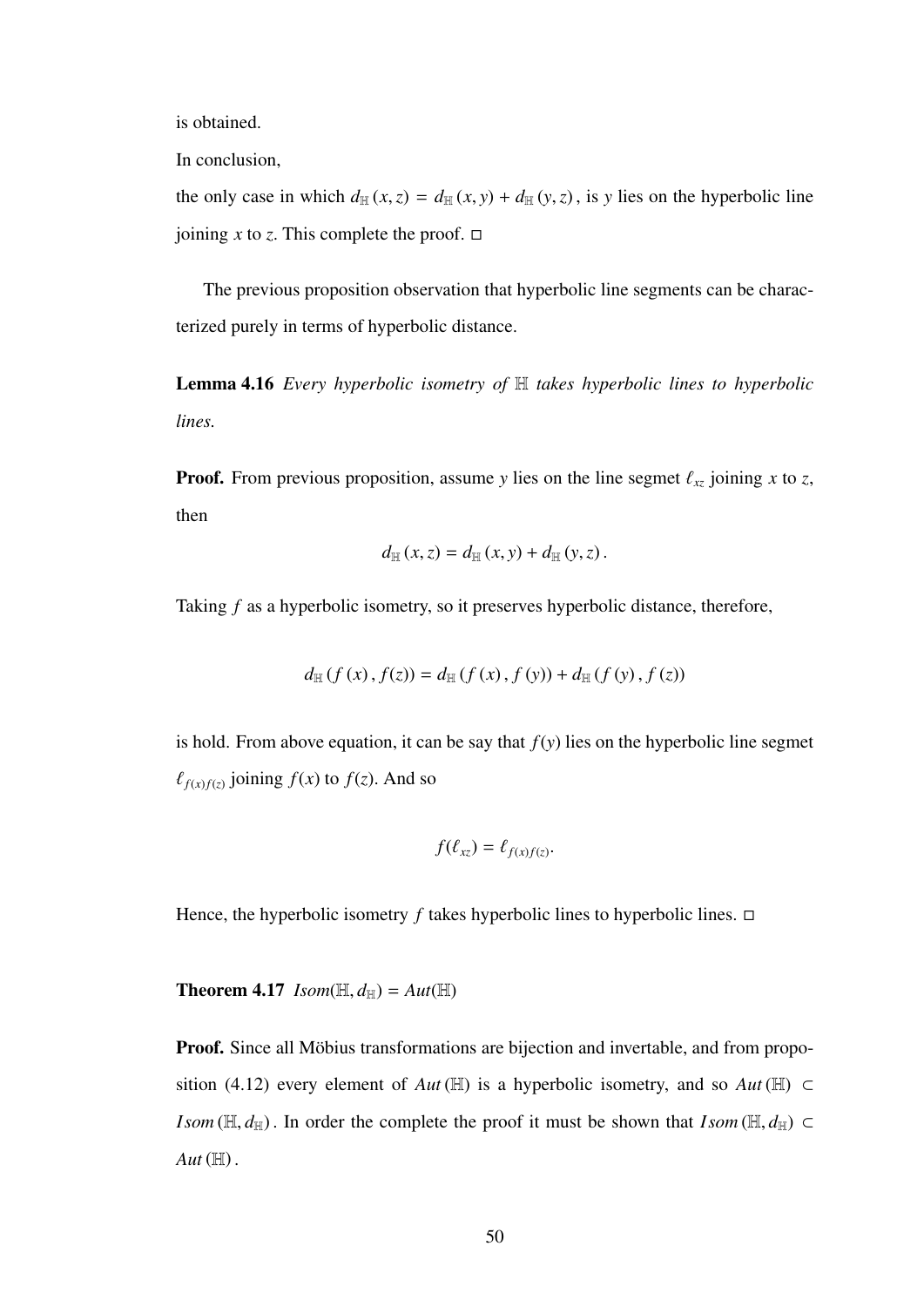is obtained.

In conclusion,

the only case in which  $d_{\mathbb{H}}(x, z) = d_{\mathbb{H}}(x, y) + d_{\mathbb{H}}(y, z)$ , is *y* lies on the hyperbolic line joining *x* to *z*. This complete the proof.  $\Box$ 

The previous proposition observation that hyperbolic line segments can be characterized purely in terms of hyperbolic distance.

Lemma 4.16 *Every hyperbolic isometry of* H *takes hyperbolic lines to hyperbolic lines.*

**Proof.** From previous proposition, assume *y* lies on the line segmet  $\ell_{xz}$  joining *x* to *z*, then

$$
d_{\mathbb{H}}(x, z) = d_{\mathbb{H}}(x, y) + d_{\mathbb{H}}(y, z)
$$
.

Taking *f* as a hyperbolic isometry, so it preserves hyperbolic distance, therefore,

$$
d_{\mathbb{H}}(f(x), f(z)) = d_{\mathbb{H}}(f(x), f(y)) + d_{\mathbb{H}}(f(y), f(z))
$$

is hold. From above equation, it can be say that  $f(y)$  lies on the hyperbolic line segmet  $\ell_{f(x)f(z)}$  joining  $f(x)$  to  $f(z)$ . And so

$$
f(\ell_{xz})=\ell_{f(x)f(z)}.
$$

Hence, the hyperbolic isometry  $f$  takes hyperbolic lines to hyperbolic lines.  $\Box$ 

**Theorem 4.17** *Isom*( $\mathbb{H}, d_{\mathbb{H}}$ ) =  $Aut(\mathbb{H})$ 

Proof. Since all Möbius transformations are bijection and invertable, and from proposition (4.12) every element of *Aut* ( $\mathbb{H}$ ) is a hyperbolic isometry, and so *Aut* ( $\mathbb{H}$ ) ⊂ *Isom* ( $\mathbb{H}, d_{\mathbb{H}}$ ). In order the complete the proof it must be shown that *Isom* ( $\mathbb{H}, d_{\mathbb{H}}$ ) ⊂  $Aut(\mathbb{H})$ .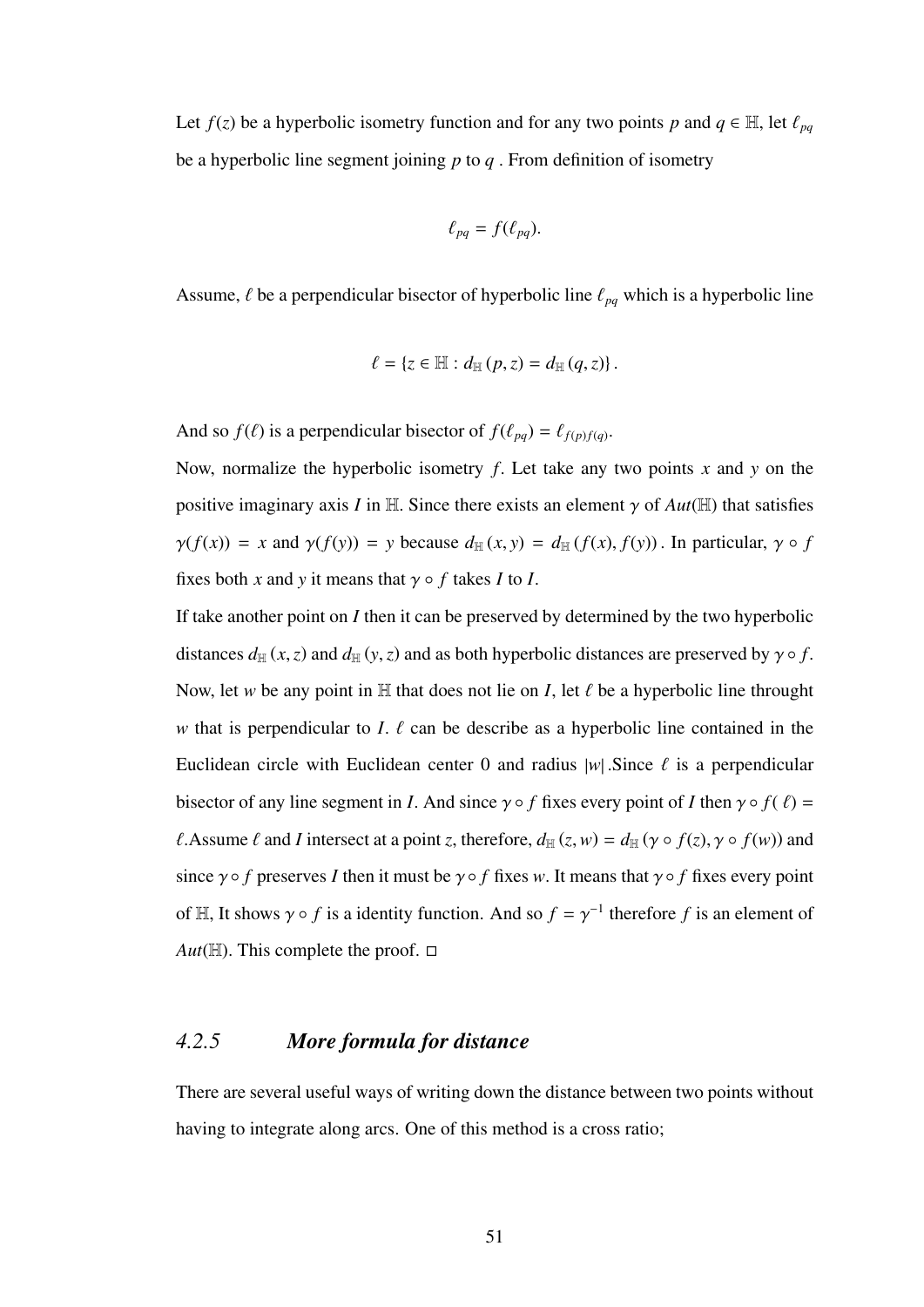Let  $f(z)$  be a hyperbolic isometry function and for any two points *p* and  $q \in \mathbb{H}$ , let  $\ell_{pq}$ be a hyperbolic line segment joining *<sup>p</sup>* to *<sup>q</sup>* . From definition of isometry

$$
\ell_{pq}=f(\ell_{pq}).
$$

Assume,  $\ell$  be a perpendicular bisector of hyperbolic line  $\ell_{pq}$  which is a hyperbolic line

$$
\ell = \{z \in \mathbb{H} : d_{\mathbb{H}}(p,z) = d_{\mathbb{H}}(q,z)\}.
$$

And so  $f(\ell)$  is a perpendicular bisector of  $f(\ell_{pq}) = \ell_{f(p)f(q)}$ .

Now, normalize the hyperbolic isometry *<sup>f</sup>*. Let take any two points *<sup>x</sup>* and *<sup>y</sup>* on the positive imaginary axis *I* in H. Since there exists an element  $\gamma$  of  $Aut(\mathbb{H})$  that satisfies  $\gamma(f(x)) = x$  and  $\gamma(f(y)) = y$  because  $d_H(x, y) = d_H(f(x), f(y))$ . In particular,  $\gamma \circ f$ fixes both *x* and *y* it means that  $\gamma \circ f$  takes *I* to *I*.

If take another point on *I* then it can be preserved by determined by the two hyperbolic distances  $d_{\mathbb{H}}(x, z)$  and  $d_{\mathbb{H}}(y, z)$  and as both hyperbolic distances are preserved by  $\gamma \circ f$ . Now, let *w* be any point in  $\mathbb H$  that does not lie on *I*, let  $\ell$  be a hyperbolic line throught *w* that is perpendicular to *I*.  $\ell$  can be describe as a hyperbolic line contained in the Euclidean circle with Euclidean center 0 and radius  $|w|$ . Since  $\ell$  is a perpendicular bisector of any line segment in *I*. And since  $\gamma \circ f$  fixes every point of *I* then  $\gamma \circ f(f) =$  $\ell$ . Assume  $\ell$  and *I* intersect at a point *z*, therefore,  $d_{\mathbb{H}}(z, w) = d_{\mathbb{H}}(\gamma \circ f(z), \gamma \circ f(w))$  and since  $\gamma \circ f$  preserves *I* then it must be  $\gamma \circ f$  fixes *w*. It means that  $\gamma \circ f$  fixes every point of  $H$ , It shows  $\gamma \circ f$  is a identity function. And so  $f = \gamma^{-1}$  therefore f is an element of *Aut*( $\mathbb{H}$ ). This complete the proof.  $\Box$ 

### *4.2.5 More formula for distance*

There are several useful ways of writing down the distance between two points without having to integrate along arcs. One of this method is a cross ratio;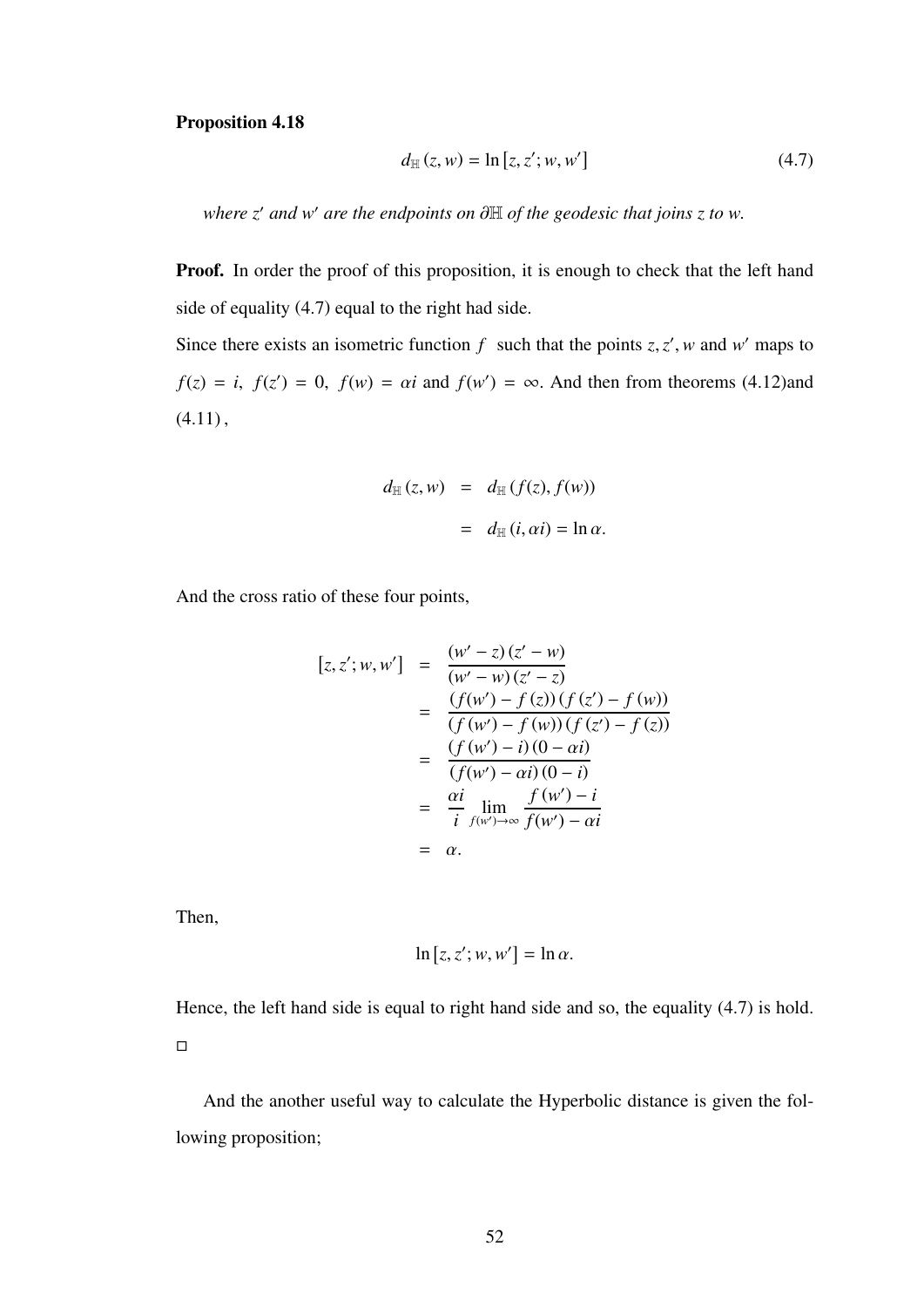#### Proposition 4.18

$$
d_{\mathbb{H}}(z, w) = \ln [z, z'; w, w'] \tag{4.7}
$$

*where z' and w' are the endpoints on* ∂H *of the geodesic that joins z to w.* 

Proof. In order the proof of this proposition, it is enough to check that the left hand side of equality (4.7) equal to the right had side.

Since there exists an isometric function  $f$  such that the points  $z, z', w$  and  $w'$  maps to  $f(z) = i$ ,  $f(z') = 0$ ,  $f(w) = \alpha i$  and  $f(w') = \infty$ . And then from theorems (4.12)and  $(4.11),$ 

$$
d_{\mathbb{H}}(z, w) = d_{\mathbb{H}}(f(z), f(w))
$$

$$
= d_{\mathbb{H}}(i, \alpha i) = \ln \alpha.
$$

And the cross ratio of these four points,

$$
[z, z'; w, w'] = \frac{(w' - z)(z' - w)}{(w' - w)(z' - z)}
$$
  
= 
$$
\frac{(f(w') - f(z))(f(z') - f(w))}{(f(w') - f(w))(f(z') - f(z))}
$$
  
= 
$$
\frac{(f(w') - i)(0 - \alpha i)}{(f(w') - \alpha i)(0 - i)}
$$
  
= 
$$
\frac{\alpha i}{i} \lim_{f(w') \to \infty} \frac{f(w') - i}{f(w') - \alpha i}
$$
  
= 
$$
\alpha.
$$

Then,

$$
\ln [z, z'; w, w'] = \ln \alpha.
$$

Hence, the left hand side is equal to right hand side and so, the equality (4.7) is hold.  $\Box$ 

And the another useful way to calculate the Hyperbolic distance is given the following proposition;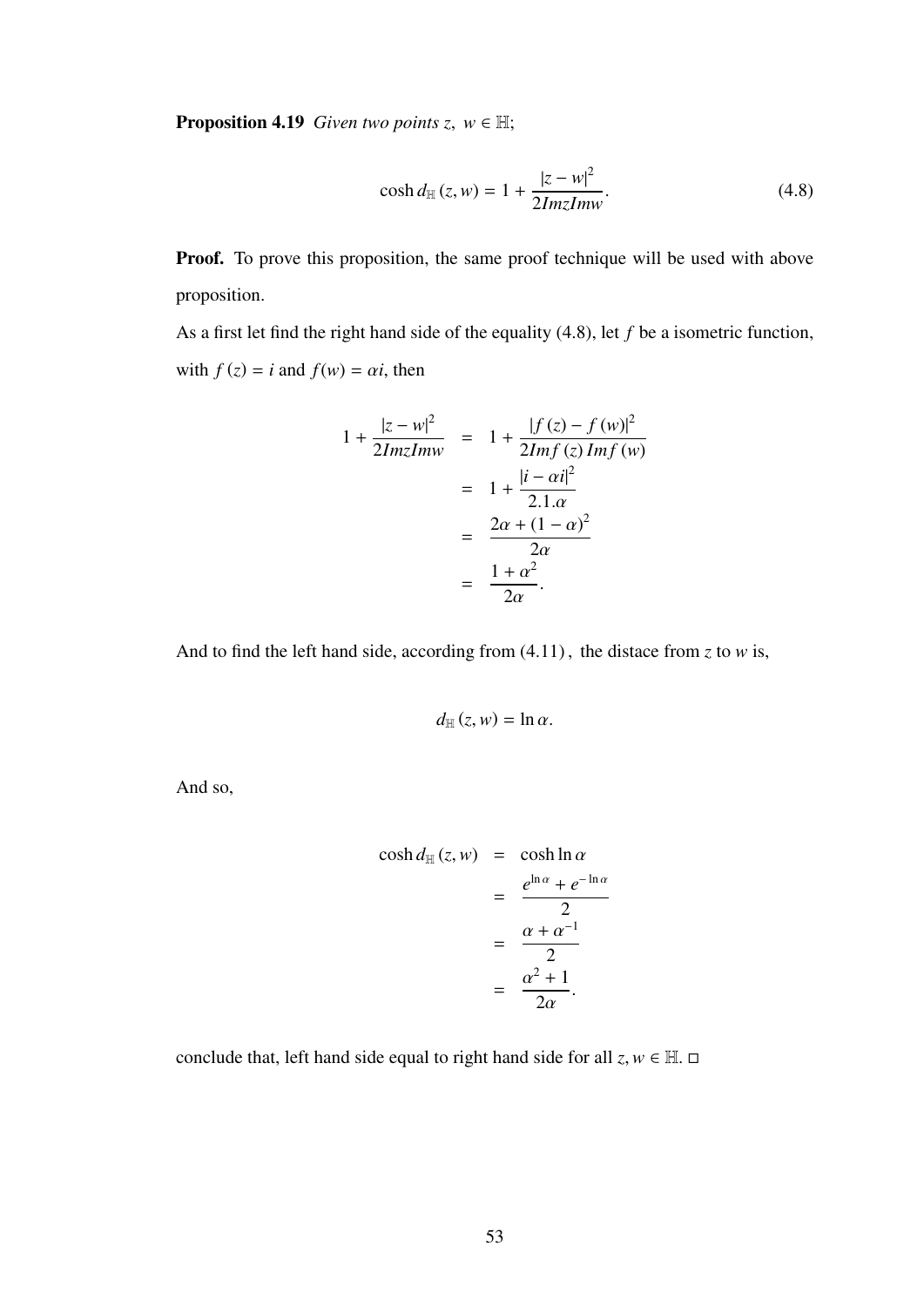**Proposition 4.19** *Given two points z*,  $w \in \mathbb{H}$ ;

$$
\cosh d_{\mathbb{H}}(z, w) = 1 + \frac{|z - w|^2}{2ImzImw}.
$$
\n(4.8)

Proof. To prove this proposition, the same proof technique will be used with above proposition.

As a first let find the right hand side of the equality (4.8), let *<sup>f</sup>* be a isometric function, with  $f(z) = i$  and  $f(w) = \alpha i$ , then

$$
1 + \frac{|z - w|^2}{2ImzImw} = 1 + \frac{|f(z) - f(w)|^2}{2Imf(z) Imf(w)}
$$
  
= 
$$
1 + \frac{|i - \alpha i|^2}{2.1 \cdot \alpha}
$$
  
= 
$$
\frac{2\alpha + (1 - \alpha)^2}{2\alpha}
$$
  
= 
$$
\frac{1 + \alpha^2}{2\alpha}.
$$

And to find the left hand side, according from (4.11) , the distace from *<sup>z</sup>* to *<sup>w</sup>* is,

$$
d_{\mathbb{H}}(z,w)=\ln \alpha.
$$

And so,

$$
\cosh d_{\mathbb{H}}(z, w) = \cosh \ln \alpha
$$
  
= 
$$
\frac{e^{\ln \alpha} + e^{-\ln \alpha}}{2}
$$
  
= 
$$
\frac{\alpha + \alpha^{-1}}{2}
$$
  
= 
$$
\frac{\alpha^2 + 1}{2\alpha}.
$$

conclude that, left hand side equal to right hand side for all  $z, w \in \mathbb{H}$ .  $\Box$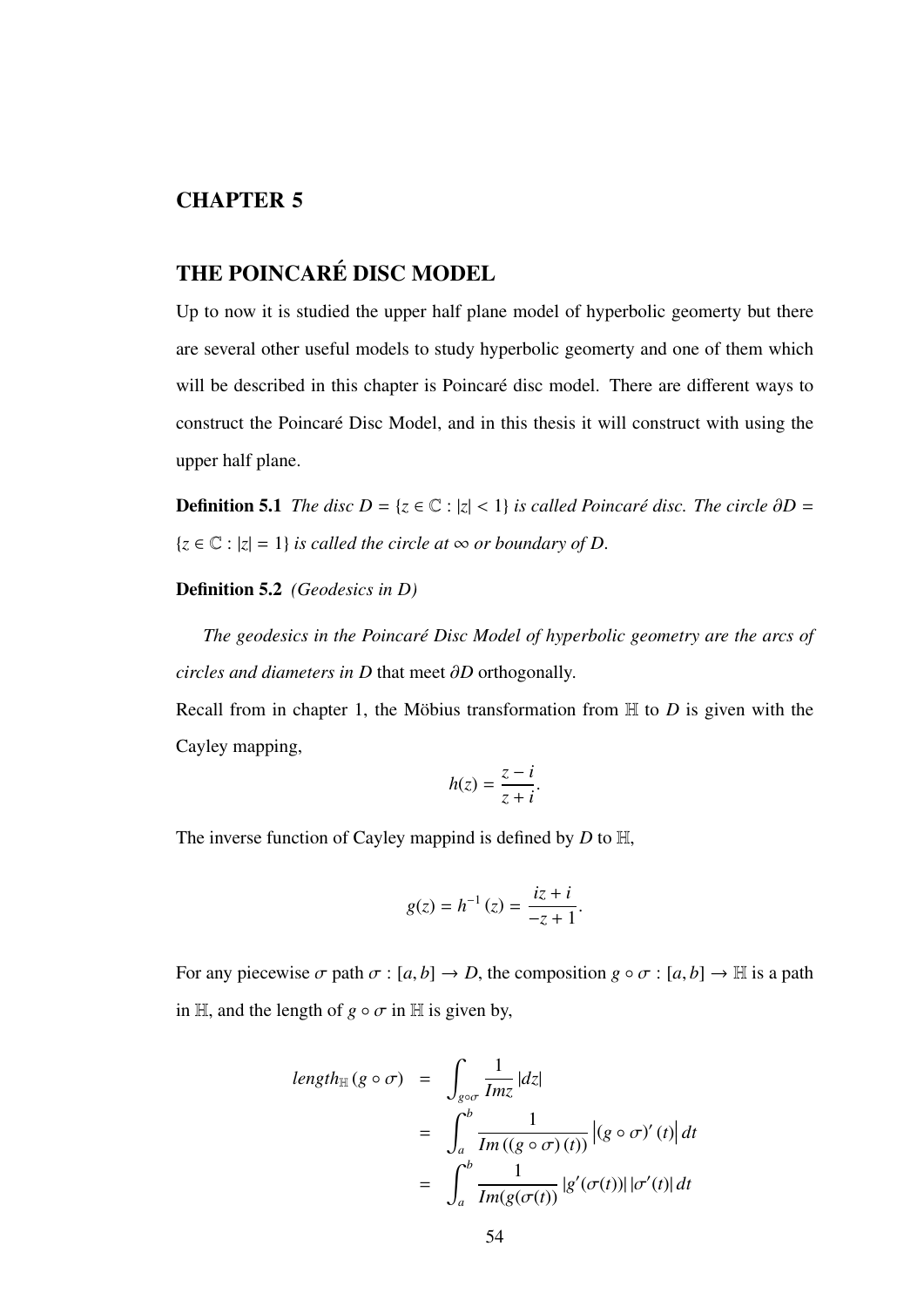## CHAPTER 5

## THE POINCARÉ DISC MODEL

Up to now it is studied the upper half plane model of hyperbolic geomerty but there are several other useful models to study hyperbolic geomerty and one of them which will be described in this chapter is Poincaré disc model. There are different ways to construct the Poincaré Disc Model, and in this thesis it will construct with using the upper half plane.

**Definition 5.1** *The disc*  $D = \{z \in \mathbb{C} : |z| < 1\}$  *is called Poincaré disc. The circle*  $\partial D =$  ${x \in \mathbb{C} : |z| = 1}$  *is called the circle at*  $\infty$  *or boundary of D.* 

Definition 5.2 *(Geodesics in D)*

The geodesics in the Poincaré Disc Model of hyperbolic geometry are the arcs of *circles and diameters in D* that meet ∂*<sup>D</sup>* orthogonally.

Recall from in chapter 1, the Möbius transformation from  $H$  to  $D$  is given with the Cayley mapping,

$$
h(z) = \frac{z - i}{z + i}.
$$

The inverse function of Cayley mappind is defined by *<sup>D</sup>* to <sup>H</sup>,

$$
g(z) = h^{-1}(z) = \frac{iz + i}{-z + 1}.
$$

For any piecewise  $\sigma$  path  $\sigma$  :  $[a, b] \rightarrow D$ , the composition  $g \circ \sigma$  :  $[a, b] \rightarrow \mathbb{H}$  is a path in H, and the length of  $g \circ \sigma$  in H is given by,

$$
length_{\mathbb{H}} (g \circ \sigma) = \int_{g \circ \sigma} \frac{1}{Imz} |dz|
$$
  
= 
$$
\int_{a}^{b} \frac{1}{Im((g \circ \sigma)(t))} |(g \circ \sigma)'(t)| dt
$$
  
= 
$$
\int_{a}^{b} \frac{1}{Im(g(\sigma(t))} |g'(\sigma(t))| |\sigma'(t)| dt
$$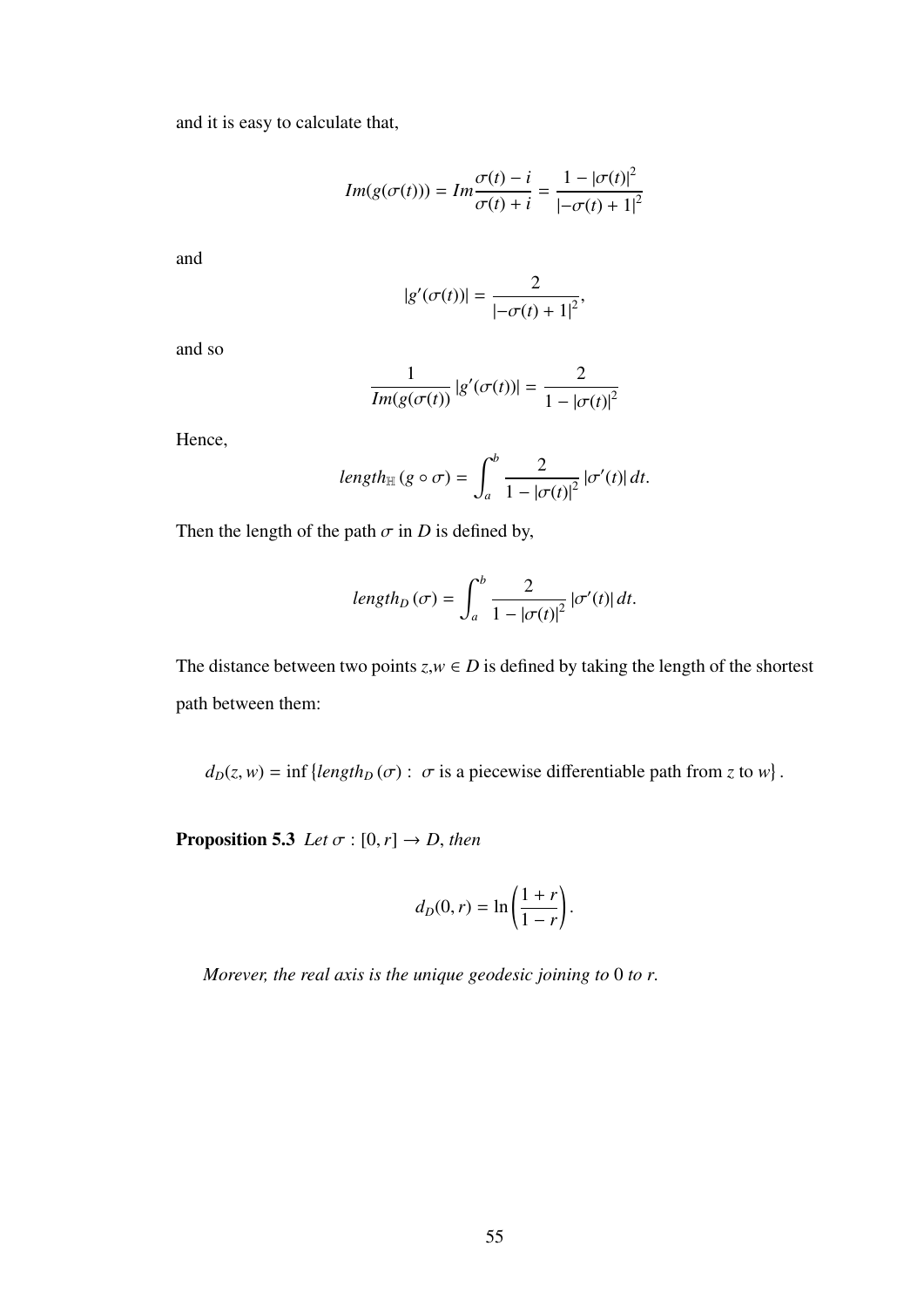and it is easy to calculate that,

$$
Im(g(\sigma(t))) = Im \frac{\sigma(t) - i}{\sigma(t) + i} = \frac{1 - |\sigma(t)|^2}{| -\sigma(t) + 1|^2}
$$

and

$$
|g'(\sigma(t))| = \frac{2}{|\sigma(t) + 1|^2},
$$

and so

$$
\frac{1}{Im(g(\sigma(t))} |g'(\sigma(t))| = \frac{2}{1 - |\sigma(t)|^2}
$$

Hence,

$$
length_{\mathbb{H}} (g \circ \sigma) = \int_{a}^{b} \frac{2}{1 - |\sigma(t)|^{2}} |\sigma'(t)| dt.
$$

Then the length of the path  $\sigma$  in *D* is defined by,

$$
length_D(\sigma) = \int_a^b \frac{2}{1 - |\sigma(t)|^2} |\sigma'(t)| dt.
$$

The distance between two points  $z, w \in D$  is defined by taking the length of the shortest path between them:

 $d_D(z, w) = \inf \{ length_D(\sigma) : \sigma \text{ is a piecewise differentiable path from } z \text{ to } w \}$ 

**Proposition 5.3** *Let*  $\sigma$  :  $[0, r] \rightarrow D$ , *then* 

$$
d_D(0,r) = \ln\left(\frac{1+r}{1-r}\right).
$$

*Morever, the real axis is the unique geodesic joining to* <sup>0</sup> *to r*.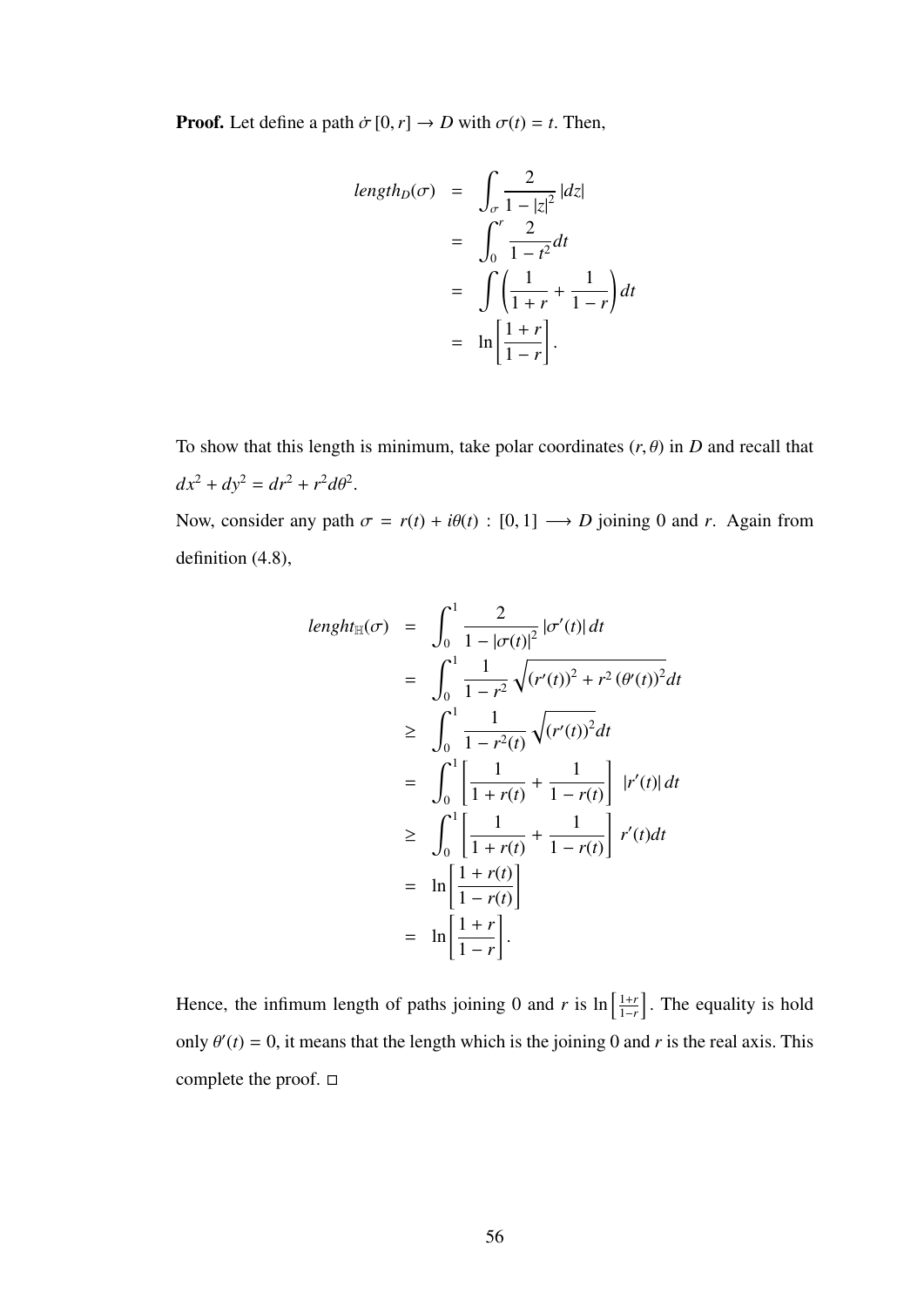**Proof.** Let define a path  $\dot{\sigma}$  [0, *r*]  $\rightarrow$  *D* with  $\sigma$ (*t*) = *t*. Then,

$$
length_D(\sigma) = \int_{\sigma} \frac{2}{1 - |z|^2} |dz|
$$
  
= 
$$
\int_0^r \frac{2}{1 - t^2} dt
$$
  
= 
$$
\int \left(\frac{1}{1 + r} + \frac{1}{1 - r}\right) dt
$$
  
= 
$$
\ln\left[\frac{1 + r}{1 - r}\right].
$$

To show that this length is minimum, take polar coordinates  $(r, \theta)$  in *D* and recall that  $dx^2 + dy^2 = dr^2 + r^2 d\theta^2.$ 

Now, consider any path  $\sigma = r(t) + i\theta(t)$ : [0, 1]  $\longrightarrow D$  joining 0 and *r*. Again from definition (4.8),

$$
length_{\mathbb{H}}(\sigma) = \int_0^1 \frac{2}{1 - |\sigma(t)|^2} |\sigma'(t)| dt
$$
  
\n
$$
= \int_0^1 \frac{1}{1 - r^2} \sqrt{(r'(t))^2 + r^2 (\theta'(t))^2} dt
$$
  
\n
$$
\geq \int_0^1 \frac{1}{1 - r^2(t)} \sqrt{(r'(t))^2} dt
$$
  
\n
$$
= \int_0^1 \left[ \frac{1}{1 + r(t)} + \frac{1}{1 - r(t)} \right] |r'(t)| dt
$$
  
\n
$$
\geq \int_0^1 \left[ \frac{1}{1 + r(t)} + \frac{1}{1 - r(t)} \right] r'(t) dt
$$
  
\n
$$
= \ln \left[ \frac{1 + r(t)}{1 - r(t)} \right]
$$
  
\n
$$
= \ln \left[ \frac{1 + r}{1 - r} \right].
$$

Hence, the infimum length of paths joining 0 and *r* is  $\ln \left( \frac{1+t}{1-t} \right)$  $\left[\frac{1+r}{1-r}\right]$ . The equality is hold only  $\theta'(t) = 0$ , it means that the length which is the joining 0 and *r* is the real axis. This complete the proof.  $\square$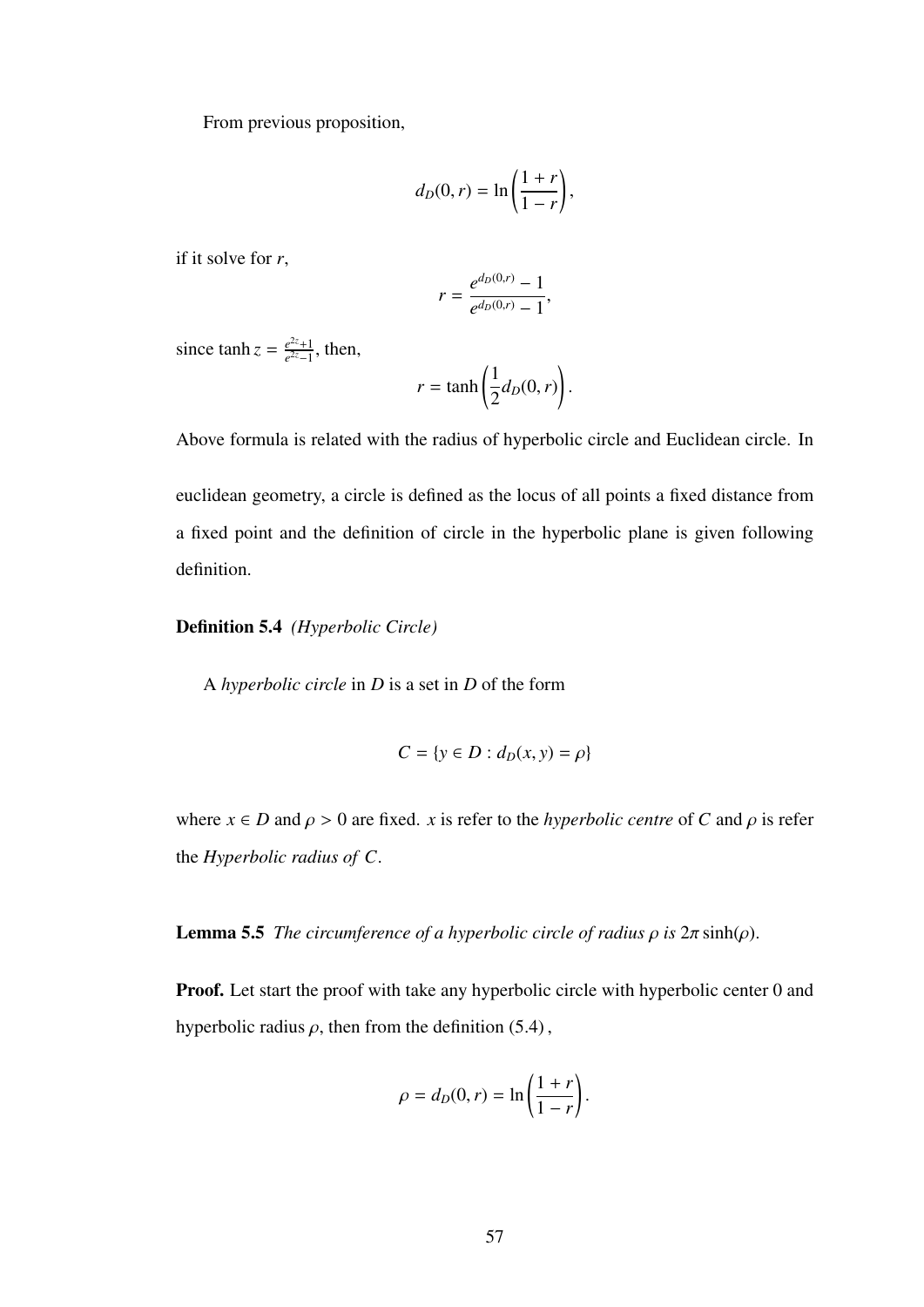From previous proposition,

$$
d_D(0,r) = \ln\left(\frac{1+r}{1-r}\right),\,
$$

if it solve for *r*,

$$
r = \frac{e^{d_D(0,r)} - 1}{e^{d_D(0,r)} - 1},
$$

since  $\tanh z = \frac{e^{2z}+1}{e^{2z}-1}$  $\frac{e^{2z}+1}{e^{2z}-1}$ , then,

$$
r = \tanh\left(\frac{1}{2}d_D(0, r)\right).
$$

Above formula is related with the radius of hyperbolic circle and Euclidean circle. In

euclidean geometry, a circle is defined as the locus of all points a fixed distance from a fixed point and the definition of circle in the hyperbolic plane is given following definition.

### Definition 5.4 *(Hyperbolic Circle)*

A *hyperbolic circle* in *D* is a set in *D* of the form

$$
C = \{ y \in D : d_D(x, y) = \rho \}
$$

where  $x \in D$  and  $\rho > 0$  are fixed. *x* is refer to the *hyperbolic centre* of *C* and  $\rho$  is refer the *Hyperbolic radius of C*.

**Lemma 5.5** *The circumference of a hyperbolic circle of radius*  $ρ$  *is*  $2π \sinh(ρ)$ *.* 

Proof. Let start the proof with take any hyperbolic circle with hyperbolic center 0 and hyperbolic radius  $\rho$ , then from the definition (5.4),

$$
\rho = d_D(0, r) = \ln\left(\frac{1+r}{1-r}\right).
$$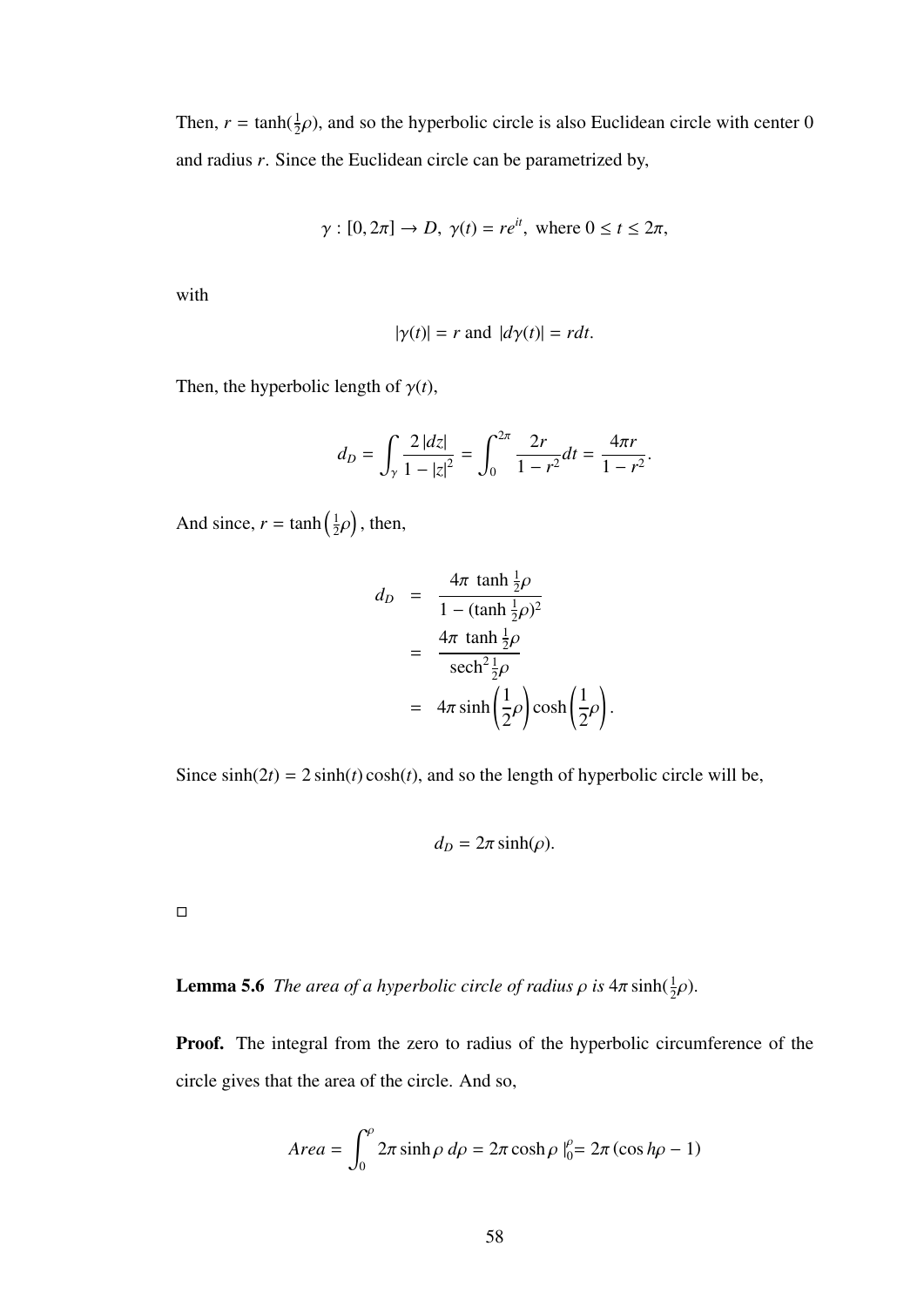Then,  $r = \tanh(\frac{1}{2}\rho)$ , and so the hyperbolic circle is also Euclidean circle with center 0 and radius *r*. Since the Euclidean circle can be parametrized by,

$$
\gamma
$$
: [0, 2 $\pi$ ]  $\rightarrow$  D,  $\gamma(t) = re^{it}$ , where  $0 \le t \le 2\pi$ ,

with

$$
|\gamma(t)| = r \text{ and } |d\gamma(t)| = rdt.
$$

Then, the hyperbolic length of  $\gamma(t)$ ,

$$
d_D = \int_{\gamma} \frac{2 |dz|}{1 - |z|^2} = \int_0^{2\pi} \frac{2r}{1 - r^2} dt = \frac{4\pi r}{1 - r^2}.
$$

And since,  $r = \tanh\left(\frac{1}{2}\right)$  $2^{\mathcal{P}}$  $\big)$ , then,

$$
d_D = \frac{4\pi \tanh \frac{1}{2}\rho}{1 - (\tanh \frac{1}{2}\rho)^2}
$$
  
= 
$$
\frac{4\pi \tanh \frac{1}{2}\rho}{\mathrm{sech}^2 \frac{1}{2}\rho}
$$
  
= 
$$
4\pi \sinh\left(\frac{1}{2}\rho\right)\cosh\left(\frac{1}{2}\rho\right)
$$

Since  $sinh(2t) = 2 sinh(t) cosh(t)$ , and so the length of hyperbolic circle will be,

$$
d_D=2\pi\sinh(\rho).
$$

 $\Box$ 

# **Lemma 5.6** *The area of a hyperbolic circle of radius*  $\rho$  *is*  $4\pi \sinh(\frac{1}{2}\rho)$ .

Proof. The integral from the zero to radius of the hyperbolic circumference of the circle gives that the area of the circle. And so,

$$
Area = \int_0^{\rho} 2\pi \sinh \rho \, d\rho = 2\pi \cosh \rho \big|_0^{\rho} = 2\pi (\cos h \rho - 1)
$$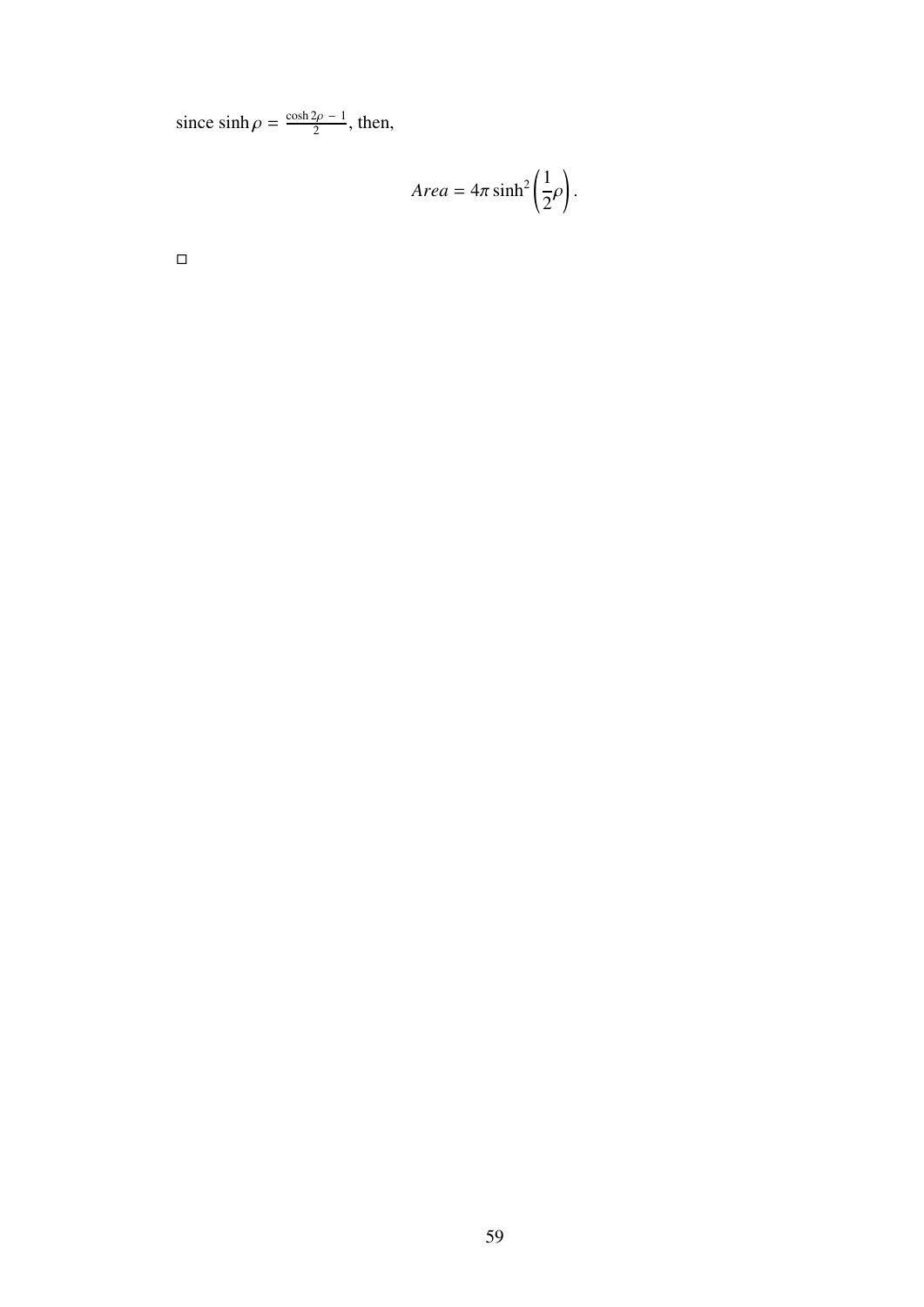since  $\sinh \rho = \frac{\cosh 2\rho - 1}{2}$ , then,

$$
Area = 4\pi \sinh^2\left(\frac{1}{2}\rho\right).
$$

 $\Box$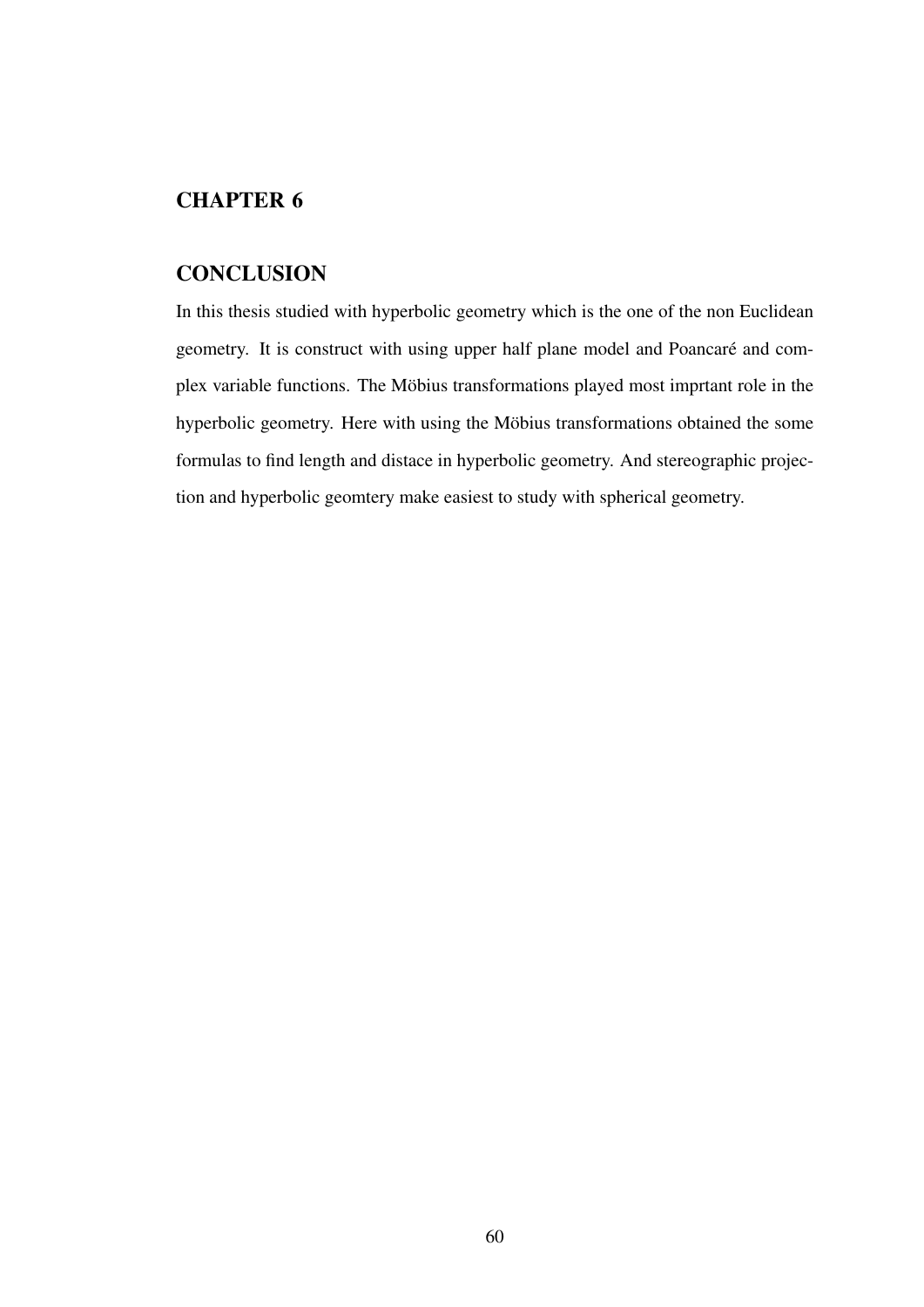## CHAPTER 6

## **CONCLUSION**

In this thesis studied with hyperbolic geometry which is the one of the non Euclidean geometry. It is construct with using upper half plane model and Poancaré and complex variable functions. The Möbius transformations played most imprtant role in the hyperbolic geometry. Here with using the Möbius transformations obtained the some formulas to find length and distace in hyperbolic geometry. And stereographic projection and hyperbolic geomtery make easiest to study with spherical geometry.